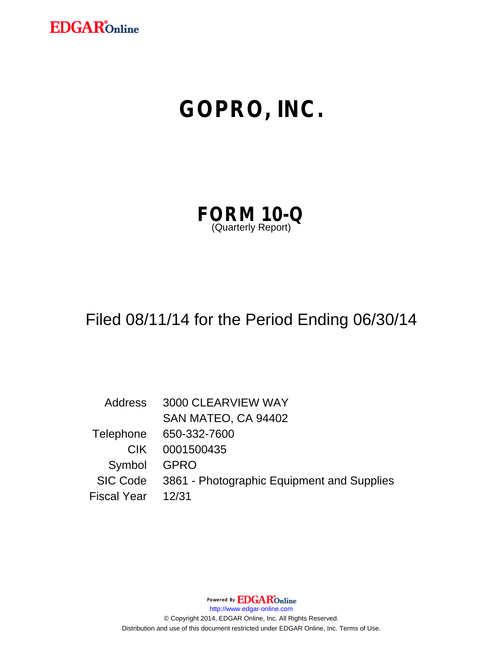

# **GOPRO, INC.**

| <b>FORM 10-Q</b>   |  |  |
|--------------------|--|--|
| (Quarterly Report) |  |  |

# Filed 08/11/14 for the Period Ending 06/30/14

Address 3000 CLEARVIEW WAY SAN MATEO, CA 94402 Telephone 650-332-7600 CIK 0001500435 Symbol GPRO SIC Code 3861 - Photographic Equipment and Supplies Fiscal Year 12/31

Powered By **EDGAR**Online

http://www.edgar-online.com

© Copyright 2014, EDGAR Online, Inc. All Rights Reserved. Distribution and use of this document restricted under EDGAR Online, Inc. Terms of Use.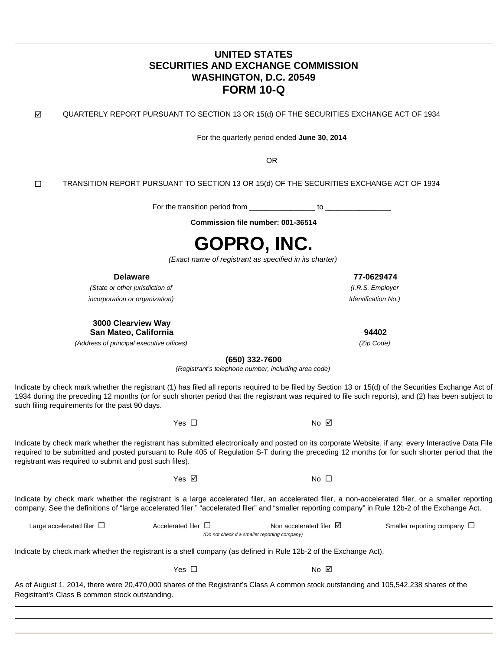### **UNITED STATES SECURITIES AND EXCHANGE COMMISSION WASHINGTON, D.C. 20549 FORM 10-Q**

 $\boxtimes$  QUARTERLY REPORT PURSUANT TO SECTION 13 OR 15(d) OF THE SECURITIES EXCHANGE ACT OF 1934

For the quarterly period ended **June 30, 2014** 

**OR** Service of the contract of the contract of the contract of the contract of the contract of the contract of the contract of the contract of the contract of the contract of the contract of the contract of the contract o

 $\square$  TRANSITION REPORT PURSUANT TO SECTION 13 OR 15(d) OF THE SECURITIES EXCHANGE ACT OF 1934

For the transition period from \_\_\_\_\_\_\_\_\_\_\_\_\_\_\_\_ to \_\_\_\_\_\_\_\_\_\_\_\_\_\_\_\_

**Commission file number: 001-36514** 

# **GOPRO, INC.**

(Exact name of registrant as specified in its charter)

(State or other jurisdiction of (I.R.S. Employer incorporation or organization)

**3000 Clearview Way San Mateo, California 94402** 

(Address of principal executive offices)

**(650) 332-7600** 

(Registrant's telephone number, including area code)

Indicate by check mark whether the registrant (1) has filed all reports required to be filed by Section 13 or 15(d) of the Securities Exchange Act of 1934 during the preceding 12 months (or for such shorter period that the registrant was required to file such reports), and (2) has been subject to such filing requirements for the past 90 days.

 $Yes \Box$ 

Indicate by check mark whether the registrant has submitted electronically and posted on its corporate Website, if any, every Interactive Data File required to be submitted and posted pursuant to Rule 405 of Regulation S-T during the preceding 12 months (or for such shorter period that the registrant was required to submit and post such files).

 $Yes \n\boxtimes$ 

Indicate by check mark whether the registrant is a large accelerated filer, an accelerated filer, a non-accelerated filer, or a smaller reporting company. See the definitions of "large accelerated filer," "accelerated filer" and "smaller reporting company" in Rule 12b-2 of the Exchange Act.

| Large accelerated filer $\Box$                | Accelerated filer $\Box$ | Non accelerated filer $\boxtimes$                                                                                | Smaller reporting company $\Box$ |  |  |  |  |  |
|-----------------------------------------------|--------------------------|------------------------------------------------------------------------------------------------------------------|----------------------------------|--|--|--|--|--|
| (Do not check if a smaller reporting company) |                          |                                                                                                                  |                                  |  |  |  |  |  |
|                                               |                          |                                                                                                                  |                                  |  |  |  |  |  |
|                                               |                          | Indicate by check mark whether the registrant is a shell company (as defined in Rule 12b-2 of the Exchange Act). |                                  |  |  |  |  |  |

 $Yes \Box$ 

As of August 1, 2014, there were 20,470,000 shares of the Registrant's Class A common stock outstanding and 105,542,238 shares of the Registrant's Class B common stock outstanding.

**Delaware 77-0629474**  Identification No.)

(Zip Code)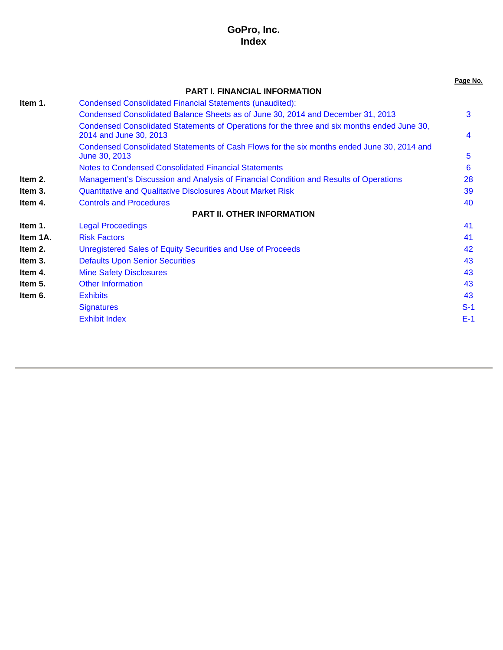### **GoPro, Inc. Index**

|          |                                                                                                                       | Page No. |
|----------|-----------------------------------------------------------------------------------------------------------------------|----------|
|          | <b>PART I. FINANCIAL INFORMATION</b>                                                                                  |          |
| Item 1.  | <b>Condensed Consolidated Financial Statements (unaudited):</b>                                                       |          |
|          | Condensed Consolidated Balance Sheets as of June 30, 2014 and December 31, 2013                                       | 3        |
|          | Condensed Consolidated Statements of Operations for the three and six months ended June 30,<br>2014 and June 30, 2013 | 4        |
|          | Condensed Consolidated Statements of Cash Flows for the six months ended June 30, 2014 and<br>June 30, 2013           | 5        |
|          | <b>Notes to Condensed Consolidated Financial Statements</b>                                                           | 6        |
| Item 2.  | Management's Discussion and Analysis of Financial Condition and Results of Operations                                 | 28       |
| Item 3.  | <b>Quantitative and Qualitative Disclosures About Market Risk</b>                                                     | 39       |
| Item 4.  | <b>Controls and Procedures</b>                                                                                        | 40       |
|          | <b>PART II. OTHER INFORMATION</b>                                                                                     |          |
| Item 1.  | <b>Legal Proceedings</b>                                                                                              | 41       |
| Item 1A. | <b>Risk Factors</b>                                                                                                   | 41       |
| Item 2.  | Unregistered Sales of Equity Securities and Use of Proceeds                                                           | 42       |
| Item 3.  | <b>Defaults Upon Senior Securities</b>                                                                                | 43       |
| Item 4.  | <b>Mine Safety Disclosures</b>                                                                                        | 43       |
| Item 5.  | <b>Other Information</b>                                                                                              | 43       |
| Item 6.  | <b>Exhibits</b>                                                                                                       | 43       |
|          | <b>Signatures</b>                                                                                                     | $S-1$    |
|          | <b>Exhibit Index</b>                                                                                                  | $E-1$    |
|          |                                                                                                                       |          |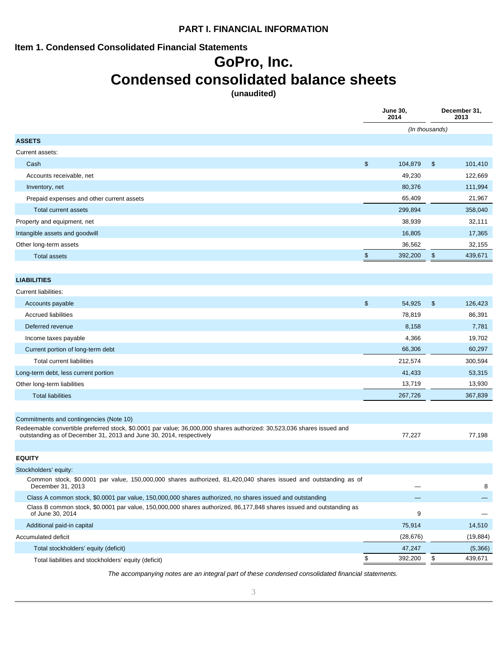### **PART I. FINANCIAL INFORMATION**

### **Item 1. Condensed Consolidated Financial Statements**

# **GoPro, Inc.**

# **Condensed consolidated balance sheets**

**(unaudited)** 

**June 30,** 

**December 31,** 

|                                                                                                                                                                                               |               | 2014           |               | 2013      |
|-----------------------------------------------------------------------------------------------------------------------------------------------------------------------------------------------|---------------|----------------|---------------|-----------|
|                                                                                                                                                                                               |               | (In thousands) |               |           |
| <b>ASSETS</b>                                                                                                                                                                                 |               |                |               |           |
| Current assets:                                                                                                                                                                               |               |                |               |           |
| Cash                                                                                                                                                                                          | \$            | 104,879        | $\frac{1}{2}$ | 101,410   |
| Accounts receivable, net                                                                                                                                                                      |               | 49,230         |               | 122,669   |
| Inventory, net                                                                                                                                                                                |               | 80,376         |               | 111,994   |
| Prepaid expenses and other current assets                                                                                                                                                     |               | 65,409         |               | 21,967    |
| <b>Total current assets</b>                                                                                                                                                                   |               | 299,894        |               | 358,040   |
| Property and equipment, net                                                                                                                                                                   |               | 38,939         |               | 32,111    |
| Intangible assets and goodwill                                                                                                                                                                |               | 16,805         |               | 17,365    |
| Other long-term assets                                                                                                                                                                        |               | 36,562         |               | 32,155    |
| <b>Total assets</b>                                                                                                                                                                           | $\frac{1}{2}$ | 392,200        | \$            | 439,671   |
|                                                                                                                                                                                               |               |                |               |           |
| <b>LIABILITIES</b>                                                                                                                                                                            |               |                |               |           |
| <b>Current liabilities:</b>                                                                                                                                                                   |               |                |               |           |
| Accounts payable                                                                                                                                                                              | \$            | 54,925         | $\frac{1}{2}$ | 126,423   |
| <b>Accrued liabilities</b>                                                                                                                                                                    |               | 78,819         |               | 86,391    |
| Deferred revenue                                                                                                                                                                              |               | 8,158          |               | 7,781     |
| Income taxes payable                                                                                                                                                                          |               | 4,366          |               | 19,702    |
| Current portion of long-term debt                                                                                                                                                             |               | 66,306         |               | 60,297    |
| Total current liabilities                                                                                                                                                                     |               | 212,574        |               | 300,594   |
| Long-term debt, less current portion                                                                                                                                                          |               | 41,433         |               | 53,315    |
| Other long-term liabilities                                                                                                                                                                   |               | 13,719         |               | 13,930    |
| <b>Total liabilities</b>                                                                                                                                                                      |               | 267,726        |               | 367,839   |
|                                                                                                                                                                                               |               |                |               |           |
| Commitments and contingencies (Note 10)                                                                                                                                                       |               |                |               |           |
| Redeemable convertible preferred stock, \$0.0001 par value; 36,000,000 shares authorized: 30,523,036 shares issued and<br>outstanding as of December 31, 2013 and June 30, 2014, respectively |               | 77,227         |               | 77,198    |
|                                                                                                                                                                                               |               |                |               |           |
| <b>EQUITY</b>                                                                                                                                                                                 |               |                |               |           |
| Stockholders' equity:                                                                                                                                                                         |               |                |               |           |
| Common stock, \$0.0001 par value, 150,000,000 shares authorized, 81,420,040 shares issued and outstanding as of<br>December 31, 2013                                                          |               |                |               | 8         |
| Class A common stock, \$0.0001 par value, 150,000,000 shares authorized, no shares issued and outstanding                                                                                     |               |                |               |           |
| Class B common stock, \$0.0001 par value, 150,000,000 shares authorized, 86,177,848 shares issued and outstanding as<br>of June 30, 2014                                                      |               | 9              |               |           |
| Additional paid-in capital                                                                                                                                                                    |               | 75,914         |               | 14,510    |
| Accumulated deficit                                                                                                                                                                           |               | (28, 676)      |               | (19, 884) |
| Total stockholders' equity (deficit)                                                                                                                                                          |               | 47,247         |               | (5,366)   |
| Total liabilities and stockholders' equity (deficit)                                                                                                                                          | \$            | 392,200        | \$            | 439,671   |

The accompanying notes are an integral part of these condensed consolidated financial statements.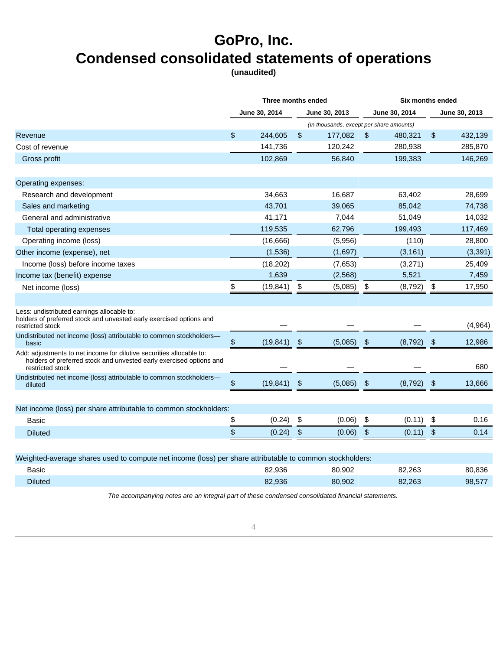# **GoPro, Inc. Condensed consolidated statements of operations**

**(unaudited)** 

|                                                                                                                                                                 | Three months ended |                      |                       | <b>Six months ended</b>                  |                           |               |               |               |
|-----------------------------------------------------------------------------------------------------------------------------------------------------------------|--------------------|----------------------|-----------------------|------------------------------------------|---------------------------|---------------|---------------|---------------|
|                                                                                                                                                                 |                    | <b>June 30, 2014</b> |                       | <b>June 30, 2013</b>                     |                           | June 30, 2014 |               | June 30, 2013 |
|                                                                                                                                                                 |                    |                      |                       | (In thousands, except per share amounts) |                           |               |               |               |
| Revenue                                                                                                                                                         | \$                 | 244,605              | \$                    | 177,082                                  | $\sqrt[6]{\frac{1}{2}}$   | 480,321       | \$            | 432,139       |
| Cost of revenue                                                                                                                                                 |                    | 141,736              |                       | 120,242                                  |                           | 280,938       |               | 285,870       |
| Gross profit                                                                                                                                                    |                    | 102,869              |                       | 56,840                                   |                           | 199,383       |               | 146,269       |
| Operating expenses:                                                                                                                                             |                    |                      |                       |                                          |                           |               |               |               |
| Research and development                                                                                                                                        |                    | 34,663               |                       | 16,687                                   |                           | 63,402        |               | 28,699        |
| Sales and marketing                                                                                                                                             |                    | 43,701               |                       | 39,065                                   |                           | 85,042        |               | 74,738        |
| General and administrative                                                                                                                                      |                    | 41,171               |                       | 7,044                                    |                           | 51,049        |               | 14,032        |
| Total operating expenses                                                                                                                                        |                    | 119,535              |                       | 62,796                                   |                           | 199,493       |               | 117,469       |
| Operating income (loss)                                                                                                                                         |                    | (16,666)             |                       | (5,956)                                  |                           | (110)         |               | 28,800        |
| Other income (expense), net                                                                                                                                     |                    | (1,536)              |                       | (1,697)                                  |                           | (3, 161)      |               | (3, 391)      |
| Income (loss) before income taxes                                                                                                                               |                    | (18, 202)            |                       | (7,653)                                  |                           | (3,271)       |               | 25,409        |
| Income tax (benefit) expense                                                                                                                                    |                    | 1,639                |                       | (2,568)                                  |                           | 5,521         |               | 7,459         |
| Net income (loss)                                                                                                                                               | \$                 | (19, 841)            | \$                    | (5,085)                                  | \$                        | (8,792)       | \$            | 17,950        |
|                                                                                                                                                                 |                    |                      |                       |                                          |                           |               |               |               |
| Less: undistributed earnings allocable to:<br>holders of preferred stock and unvested early exercised options and<br>restricted stock                           |                    |                      |                       |                                          |                           |               |               | (4,964)       |
| Undistributed net income (loss) attributable to common stockholders-<br>basic                                                                                   | \$                 | (19, 841)            | \$                    | (5,085)                                  | \$                        | (8,792)       | \$            | 12,986        |
| Add: adjustments to net income for dilutive securities allocable to:<br>holders of preferred stock and unvested early exercised options and<br>restricted stock |                    |                      |                       |                                          |                           |               |               | 680           |
| Undistributed net income (loss) attributable to common stockholders—<br>diluted                                                                                 | \$                 | (19, 841)            | \$                    | (5,085)                                  | \$                        | (8, 792)      | \$            | 13,666        |
|                                                                                                                                                                 |                    |                      |                       |                                          |                           |               |               |               |
| Net income (loss) per share attributable to common stockholders:                                                                                                |                    |                      |                       |                                          |                           |               |               |               |
| Basic                                                                                                                                                           | \$                 | (0.24)               | \$                    | (0.06)                                   | \$                        | (0.11)        | \$            | 0.16          |
| <b>Diluted</b>                                                                                                                                                  | \$                 | (0.24)               | $\boldsymbol{\theta}$ | (0.06)                                   | $\boldsymbol{\mathsf{S}}$ | (0.11)        | $\frac{2}{3}$ | 0.14          |
| Weighted-average shares used to compute net income (loss) per share attributable to common stockholders:                                                        |                    |                      |                       |                                          |                           |               |               |               |
| Basic                                                                                                                                                           |                    | 82,936               |                       | 80,902                                   |                           | 82,263        |               | 80,836        |
| Diluted                                                                                                                                                         |                    | 82,936               |                       | 80,902                                   |                           | 82,263        |               | 98,577        |
|                                                                                                                                                                 |                    |                      |                       |                                          |                           |               |               |               |

The accompanying notes are an integral part of these condensed consolidated financial statements.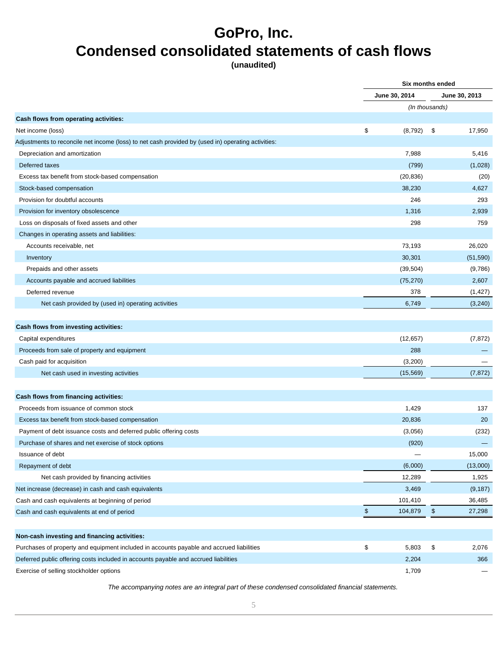# **GoPro, Inc. Condensed consolidated statements of cash flows**

**(unaudited)** 

**Six months ended** 

|                                                                                                    | June 30, 2014  |      | June 30, 2013 |
|----------------------------------------------------------------------------------------------------|----------------|------|---------------|
|                                                                                                    | (In thousands) |      |               |
| Cash flows from operating activities:                                                              |                |      |               |
| Net income (loss)                                                                                  | \$<br>(8, 792) | - \$ | 17,950        |
| Adjustments to reconcile net income (loss) to net cash provided by (used in) operating activities: |                |      |               |
| Depreciation and amortization                                                                      | 7,988          |      | 5,416         |
| Deferred taxes                                                                                     | (799)          |      | (1,028)       |
| Excess tax benefit from stock-based compensation                                                   | (20, 836)      |      | (20)          |
| Stock-based compensation                                                                           | 38,230         |      | 4,627         |
| Provision for doubtful accounts                                                                    | 246            |      | 293           |
| Provision for inventory obsolescence                                                               | 1,316          |      | 2,939         |
| Loss on disposals of fixed assets and other                                                        | 298            |      | 759           |
| Changes in operating assets and liabilities:                                                       |                |      |               |
| Accounts receivable, net                                                                           | 73,193         |      | 26,020        |
| Inventory                                                                                          | 30,301         |      | (51, 590)     |
| Prepaids and other assets                                                                          | (39, 504)      |      | (9,786)       |
| Accounts payable and accrued liabilities                                                           | (75, 270)      |      | 2,607         |
| Deferred revenue                                                                                   | 378            |      | (1, 427)      |
| Net cash provided by (used in) operating activities                                                | 6,749          |      | (3, 240)      |
|                                                                                                    |                |      |               |
| Cash flows from investing activities:                                                              |                |      |               |
| Capital expenditures                                                                               | (12, 657)      |      | (7, 872)      |
| Proceeds from sale of property and equipment                                                       | 288            |      |               |
| Cash paid for acquisition                                                                          | (3,200)        |      |               |
| Net cash used in investing activities                                                              | (15, 569)      |      | (7, 872)      |
|                                                                                                    |                |      |               |
| Cash flows from financing activities:                                                              |                |      |               |
| Proceeds from issuance of common stock                                                             | 1,429          |      | 137           |
| Excess tax benefit from stock-based compensation                                                   | 20,836         |      | 20            |
| Payment of debt issuance costs and deferred public offering costs                                  | (3,056)        |      | (232)         |
| Purchase of shares and net exercise of stock options                                               | (920)          |      |               |
| Issuance of debt                                                                                   |                |      | 15,000        |
| Repayment of debt                                                                                  | (6,000)        |      | (13,000)      |
| Net cash provided by financing activities                                                          | 12,289         |      | 1,925         |
| Net increase (decrease) in cash and cash equivalents                                               | 3,469          |      | (9, 187)      |
| Cash and cash equivalents at beginning of period                                                   | 101,410        |      | 36,485        |
| Cash and cash equivalents at end of period                                                         | \$<br>104,879  | \$   | 27,298        |
|                                                                                                    |                |      |               |
| Non-cash investing and financing activities:                                                       |                |      |               |
| Purchases of property and equipment included in accounts payable and accrued liabilities           | \$<br>5,803    | \$   | 2,076         |
| Deferred public offering costs included in accounts payable and accrued liabilities                | 2,204          |      | 366           |
| Exercise of selling stockholder options                                                            | 1,709          |      |               |
|                                                                                                    |                |      |               |

The accompanying notes are an integral part of these condensed consolidated financial statements.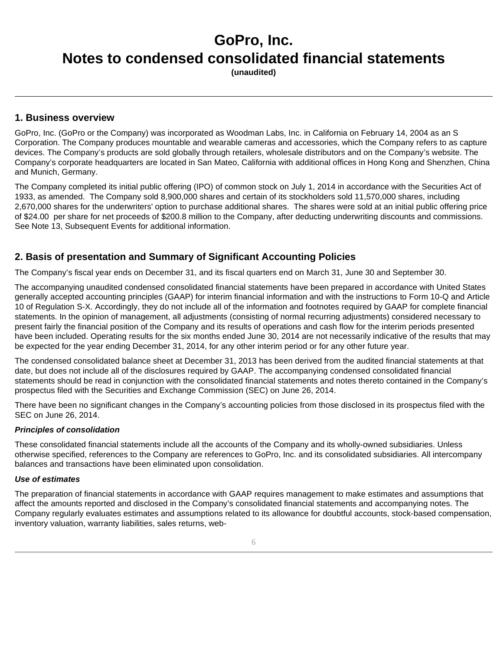**(unaudited)** 

### **1. Business overview**

GoPro, Inc. (GoPro or the Company) was incorporated as Woodman Labs, Inc. in California on February 14, 2004 as an S Corporation. The Company produces mountable and wearable cameras and accessories, which the Company refers to as capture devices. The Company's products are sold globally through retailers, wholesale distributors and on the Company's website. The Company's corporate headquarters are located in San Mateo, California with additional offices in Hong Kong and Shenzhen, China and Munich, Germany.

The Company completed its initial public offering (IPO) of common stock on July 1, 2014 in accordance with the Securities Act of 1933, as amended. The Company sold 8,900,000 shares and certain of its stockholders sold 11,570,000 shares, including 2,670,000 shares for the underwriters' option to purchase additional shares. The shares were sold at an initial public offering price of \$24.00 per share for net proceeds of \$200.8 million to the Company, after deducting underwriting discounts and commissions. See Note 13, Subsequent Events for additional information.

### **2. Basis of presentation and Summary of Significant Accounting Policies**

The Company's fiscal year ends on December 31, and its fiscal quarters end on March 31, June 30 and September 30.

The accompanying unaudited condensed consolidated financial statements have been prepared in accordance with United States generally accepted accounting principles (GAAP) for interim financial information and with the instructions to Form 10-Q and Article 10 of Regulation S-X. Accordingly, they do not include all of the information and footnotes required by GAAP for complete financial statements. In the opinion of management, all adjustments (consisting of normal recurring adjustments) considered necessary to present fairly the financial position of the Company and its results of operations and cash flow for the interim periods presented have been included. Operating results for the six months ended June 30, 2014 are not necessarily indicative of the results that may be expected for the year ending December 31, 2014, for any other interim period or for any other future year.

The condensed consolidated balance sheet at December 31, 2013 has been derived from the audited financial statements at that date, but does not include all of the disclosures required by GAAP. The accompanying condensed consolidated financial statements should be read in conjunction with the consolidated financial statements and notes thereto contained in the Company's prospectus filed with the Securities and Exchange Commission (SEC) on June 26, 2014.

There have been no significant changes in the Company's accounting policies from those disclosed in its prospectus filed with the SEC on June 26, 2014.

### **Principles of consolidation**

These consolidated financial statements include all the accounts of the Company and its wholly-owned subsidiaries. Unless otherwise specified, references to the Company are references to GoPro, Inc. and its consolidated subsidiaries. All intercompany balances and transactions have been eliminated upon consolidation.

#### **Use of estimates**

The preparation of financial statements in accordance with GAAP requires management to make estimates and assumptions that affect the amounts reported and disclosed in the Company's consolidated financial statements and accompanying notes. The Company regularly evaluates estimates and assumptions related to its allowance for doubtful accounts, stock-based compensation, inventory valuation, warranty liabilities, sales returns, web-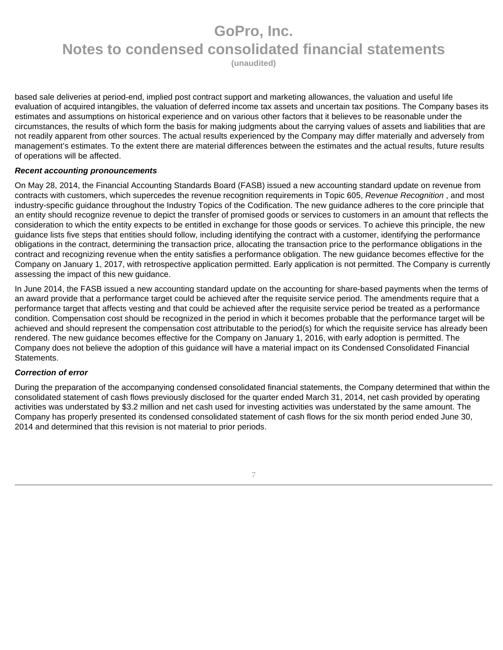**(unaudited)** 

based sale deliveries at period-end, implied post contract support and marketing allowances, the valuation and useful life evaluation of acquired intangibles, the valuation of deferred income tax assets and uncertain tax positions. The Company bases its estimates and assumptions on historical experience and on various other factors that it believes to be reasonable under the circumstances, the results of which form the basis for making judgments about the carrying values of assets and liabilities that are not readily apparent from other sources. The actual results experienced by the Company may differ materially and adversely from management's estimates. To the extent there are material differences between the estimates and the actual results, future results of operations will be affected.

### **Recent accounting pronouncements**

On May 28, 2014, the Financial Accounting Standards Board (FASB) issued a new accounting standard update on revenue from contracts with customers, which supercedes the revenue recognition requirements in Topic 605, Revenue Recognition, and most industry-specific guidance throughout the Industry Topics of the Codification. The new guidance adheres to the core principle that an entity should recognize revenue to depict the transfer of promised goods or services to customers in an amount that reflects the consideration to which the entity expects to be entitled in exchange for those goods or services. To achieve this principle, the new guidance lists five steps that entities should follow, including identifying the contract with a customer, identifying the performance obligations in the contract, determining the transaction price, allocating the transaction price to the performance obligations in the contract and recognizing revenue when the entity satisfies a performance obligation. The new guidance becomes effective for the Company on January 1, 2017, with retrospective application permitted. Early application is not permitted. The Company is currently assessing the impact of this new guidance.

In June 2014, the FASB issued a new accounting standard update on the accounting for share-based payments when the terms of an award provide that a performance target could be achieved after the requisite service period. The amendments require that a performance target that affects vesting and that could be achieved after the requisite service period be treated as a performance condition. Compensation cost should be recognized in the period in which it becomes probable that the performance target will be achieved and should represent the compensation cost attributable to the period(s) for which the requisite service has already been rendered. The new guidance becomes effective for the Company on January 1, 2016, with early adoption is permitted. The Company does not believe the adoption of this guidance will have a material impact on its Condensed Consolidated Financial Statements.

### **Correction of error**

During the preparation of the accompanying condensed consolidated financial statements, the Company determined that within the consolidated statement of cash flows previously disclosed for the quarter ended March 31, 2014, net cash provided by operating activities was understated by \$3.2 million and net cash used for investing activities was understated by the same amount. The Company has properly presented its condensed consolidated statement of cash flows for the six month period ended June 30, 2014 and determined that this revision is not material to prior periods.

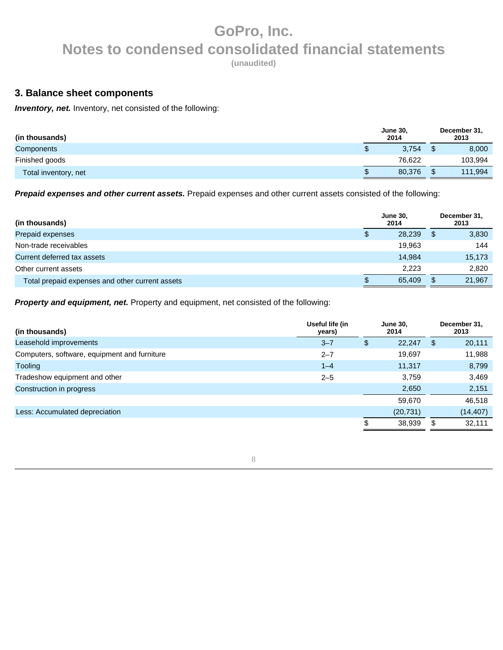**(unaudited)** 

### **3. Balance sheet components**

**Inventory, net.** Inventory, net consisted of the following:

| (in thousands)       | <b>June 30,</b><br>2014 | December 31,<br>2013 |
|----------------------|-------------------------|----------------------|
| <b>Components</b>    | 3.754                   | 8,000                |
| Finished goods       | 76.622                  | 103,994              |
| Total inventory, net | 80.376                  | 111,994              |

**Prepaid expenses and other current assets.** Prepaid expenses and other current assets consisted of the following:

| (in thousands)                                  | <b>June 30.</b><br>2014 |   | December 31,<br>2013 |
|-------------------------------------------------|-------------------------|---|----------------------|
| Prepaid expenses                                | 28,239                  | S | 3,830                |
| Non-trade receivables                           | 19,963                  |   | 144                  |
| Current deferred tax assets                     | 14,984                  |   | 15,173               |
| Other current assets                            | 2.223                   |   | 2,820                |
| Total prepaid expenses and other current assets | 65.409                  |   | 21,967               |

**Property and equipment, net.** Property and equipment, net consisted of the following:

| (in thousands)                               | Useful life (in<br>years) | <b>June 30.</b><br>2014 |    | December 31,<br>2013 |
|----------------------------------------------|---------------------------|-------------------------|----|----------------------|
| Leasehold improvements                       | $3 - 7$                   | \$<br>22,247            | -S | 20,111               |
| Computers, software, equipment and furniture | $2 - 7$                   | 19,697                  |    | 11,988               |
| <b>Tooling</b>                               | $1 - 4$                   | 11,317                  |    | 8,799                |
| Tradeshow equipment and other                | $2 - 5$                   | 3.759                   |    | 3,469                |
| Construction in progress                     |                           | 2,650                   |    | 2,151                |
|                                              |                           | 59,670                  |    | 46,518               |
| Less: Accumulated depreciation               |                           | (20, 731)               |    | (14, 407)            |
|                                              |                           | 38,939                  | \$ | 32,111               |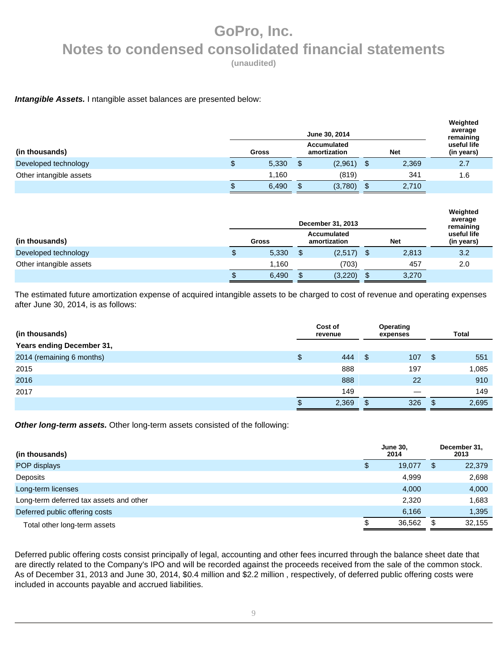**(unaudited)** 

### **Intangible Assets.** I ntangible asset balances are presented below:

|                         | June 30, 2014                                      |       |    |         |  |       |                                        |  |
|-------------------------|----------------------------------------------------|-------|----|---------|--|-------|----------------------------------------|--|
| (in thousands)          | Accumulated<br><b>Net</b><br>amortization<br>Gross |       |    |         |  |       | remaining<br>useful life<br>(in years) |  |
| Developed technology    | \$.                                                | 5,330 | \$ | (2,961) |  | 2,369 | 2.7                                    |  |
| Other intangible assets |                                                    | 1,160 |    | (819)   |  | 341   | 1.6                                    |  |
|                         |                                                    | 6,490 |    | (3,780) |  | 2,710 |                                        |  |

|                         |    | Weighted<br>average<br>remaining            |  |              |            |     |  |                           |  |
|-------------------------|----|---------------------------------------------|--|--------------|------------|-----|--|---------------------------|--|
| (in thousands)          |    | <b>Accumulated</b><br>Gross<br>amortization |  |              | <b>Net</b> |     |  | useful life<br>(in years) |  |
| Developed technology    | \$ | 5,330                                       |  | $(2,517)$ \$ | 2,813      | 3.2 |  |                           |  |
| Other intangible assets |    | 1.160                                       |  | (703)        | 457        | 2.0 |  |                           |  |
|                         | S  | 6,490                                       |  | (3,220)      | 3,270      |     |  |                           |  |

The estimated future amortization expense of acquired intangible assets to be charged to cost of revenue and operating expenses after June 30, 2014, is as follows:

| (in thousands)                   | Cost of<br>revenue | Operating<br>expenses | <b>Total</b> |
|----------------------------------|--------------------|-----------------------|--------------|
| <b>Years ending December 31,</b> |                    |                       |              |
| 2014 (remaining 6 months)        | \$<br>444          | 107                   | \$<br>551    |
| 2015                             | 888                | 197                   | 1,085        |
| 2016                             | 888                | 22                    | 910          |
| 2017                             | 149                |                       | 149          |
|                                  | \$<br>2,369        | 326                   | 2,695        |

**Other long-term assets.** Other long-term assets consisted of the following:

| (in thousands)                          |   | <b>June 30.</b><br>2014 |      | December 31,<br>2013 |
|-----------------------------------------|---|-------------------------|------|----------------------|
| POP displays                            | S | 19,077                  | - \$ | 22,379               |
| Deposits                                |   | 4,999                   |      | 2,698                |
| Long-term licenses                      |   | 4,000                   |      | 4,000                |
| Long-term deferred tax assets and other |   | 2.320                   |      | 1,683                |
| Deferred public offering costs          |   | 6.166                   |      | 1,395                |
| Total other long-term assets            |   | 36,562                  |      | 32.155               |

Deferred public offering costs consist principally of legal, accounting and other fees incurred through the balance sheet date that are directly related to the Company's IPO and will be recorded against the proceeds received from the sale of the common stock. As of December 31, 2013 and June 30, 2014, \$0.4 million and \$2.2 million , respectively, of deferred public offering costs were included in accounts payable and accrued liabilities.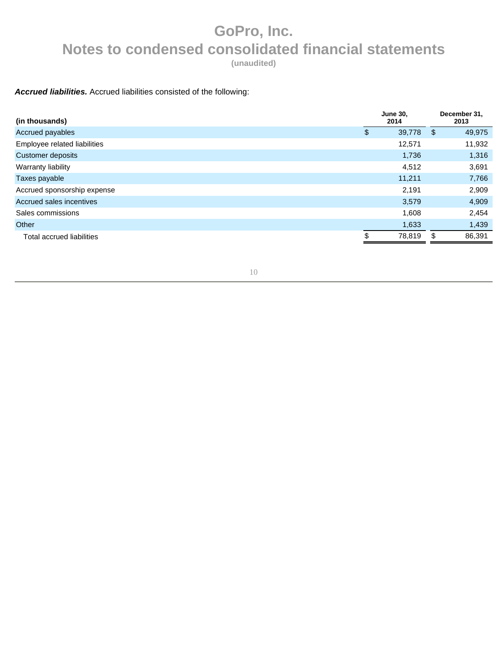**(unaudited)** 

### **Accrued liabilities.** Accrued liabilities consisted of the following:

| (in thousands)               | <b>June 30,</b><br>2014 |      | December 31,<br>2013 |
|------------------------------|-------------------------|------|----------------------|
| Accrued payables             | \$<br>39,778            | - \$ | 49,975               |
| Employee related liabilities | 12,571                  |      | 11,932               |
| Customer deposits            | 1,736                   |      | 1,316                |
| Warranty liability           | 4,512                   |      | 3,691                |
| Taxes payable                | 11,211                  |      | 7,766                |
| Accrued sponsorship expense  | 2,191                   |      | 2,909                |
| Accrued sales incentives     | 3,579                   |      | 4,909                |
| Sales commissions            | 1.608                   |      | 2,454                |
| Other                        | 1,633                   |      | 1,439                |
| Total accrued liabilities    | \$<br>78,819            | \$   | 86,391               |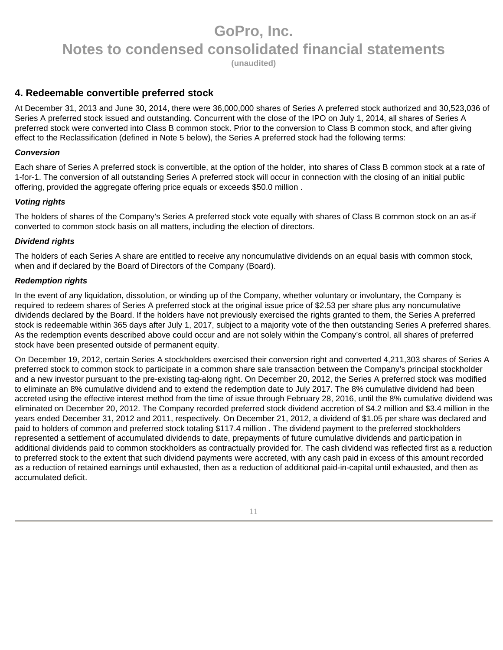**(unaudited)** 

### **4. Redeemable convertible preferred stock**

At December 31, 2013 and June 30, 2014, there were 36,000,000 shares of Series A preferred stock authorized and 30,523,036 of Series A preferred stock issued and outstanding. Concurrent with the close of the IPO on July 1, 2014, all shares of Series A preferred stock were converted into Class B common stock. Prior to the conversion to Class B common stock, and after giving effect to the Reclassification (defined in Note 5 below), the Series A preferred stock had the following terms:

### **Conversion**

Each share of Series A preferred stock is convertible, at the option of the holder, into shares of Class B common stock at a rate of 1-for-1. The conversion of all outstanding Series A preferred stock will occur in connection with the closing of an initial public offering, provided the aggregate offering price equals or exceeds \$50.0 million .

### **Voting rights**

The holders of shares of the Company's Series A preferred stock vote equally with shares of Class B common stock on an as-if converted to common stock basis on all matters, including the election of directors.

### **Dividend rights**

The holders of each Series A share are entitled to receive any noncumulative dividends on an equal basis with common stock, when and if declared by the Board of Directors of the Company (Board).

### **Redemption rights**

In the event of any liquidation, dissolution, or winding up of the Company, whether voluntary or involuntary, the Company is required to redeem shares of Series A preferred stock at the original issue price of \$2.53 per share plus any noncumulative dividends declared by the Board. If the holders have not previously exercised the rights granted to them, the Series A preferred stock is redeemable within 365 days after July 1, 2017, subject to a majority vote of the then outstanding Series A preferred shares. As the redemption events described above could occur and are not solely within the Company's control, all shares of preferred stock have been presented outside of permanent equity.

On December 19, 2012, certain Series A stockholders exercised their conversion right and converted 4,211,303 shares of Series A preferred stock to common stock to participate in a common share sale transaction between the Company's principal stockholder and a new investor pursuant to the pre-existing tag-along right. On December 20, 2012, the Series A preferred stock was modified to eliminate an 8% cumulative dividend and to extend the redemption date to July 2017. The 8% cumulative dividend had been accreted using the effective interest method from the time of issue through February 28, 2016, until the 8% cumulative dividend was eliminated on December 20, 2012. The Company recorded preferred stock dividend accretion of \$4.2 million and \$3.4 million in the years ended December 31, 2012 and 2011, respectively. On December 21, 2012, a dividend of \$1.05 per share was declared and paid to holders of common and preferred stock totaling \$117.4 million . The dividend payment to the preferred stockholders represented a settlement of accumulated dividends to date, prepayments of future cumulative dividends and participation in additional dividends paid to common stockholders as contractually provided for. The cash dividend was reflected first as a reduction to preferred stock to the extent that such dividend payments were accreted, with any cash paid in excess of this amount recorded as a reduction of retained earnings until exhausted, then as a reduction of additional paid-in-capital until exhausted, and then as accumulated deficit.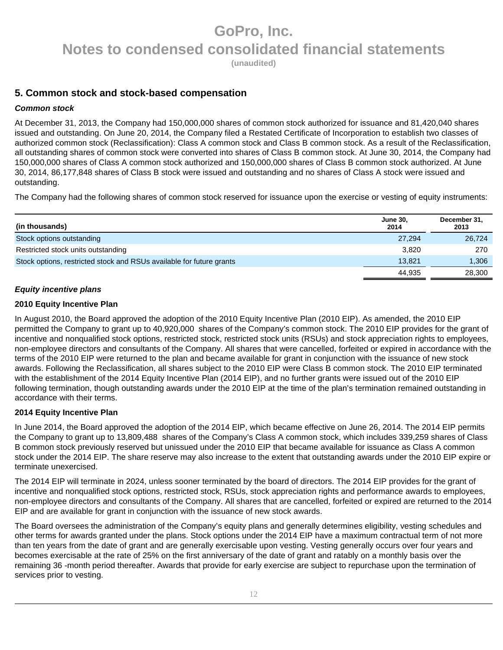**(unaudited)** 

### **5. Common stock and stock-based compensation**

### **Common stock**

At December 31, 2013, the Company had 150,000,000 shares of common stock authorized for issuance and 81,420,040 shares issued and outstanding. On June 20, 2014, the Company filed a Restated Certificate of Incorporation to establish two classes of authorized common stock (Reclassification): Class A common stock and Class B common stock. As a result of the Reclassification, all outstanding shares of common stock were converted into shares of Class B common stock. At June 30, 2014, the Company had 150,000,000 shares of Class A common stock authorized and 150,000,000 shares of Class B common stock authorized. At June 30, 2014, 86,177,848 shares of Class B stock were issued and outstanding and no shares of Class A stock were issued and outstanding.

The Company had the following shares of common stock reserved for issuance upon the exercise or vesting of equity instruments:

| (in thousands)                                                       | <b>June 30,</b><br>2014 | December 31,<br>2013 |
|----------------------------------------------------------------------|-------------------------|----------------------|
| Stock options outstanding                                            | 27,294                  | 26,724               |
| Restricted stock units outstanding                                   | 3.820                   | 270                  |
| Stock options, restricted stock and RSUs available for future grants | 13.821                  | 1,306                |
|                                                                      | 44.935                  | 28,300               |

### **Equity incentive plans**

### **2010 Equity Incentive Plan**

In August 2010, the Board approved the adoption of the 2010 Equity Incentive Plan (2010 EIP). As amended, the 2010 EIP permitted the Company to grant up to 40,920,000 shares of the Company's common stock. The 2010 EIP provides for the grant of incentive and nonqualified stock options, restricted stock, restricted stock units (RSUs) and stock appreciation rights to employees, non-employee directors and consultants of the Company. All shares that were cancelled, forfeited or expired in accordance with the terms of the 2010 EIP were returned to the plan and became available for grant in conjunction with the issuance of new stock awards. Following the Reclassification, all shares subject to the 2010 EIP were Class B common stock. The 2010 EIP terminated with the establishment of the 2014 Equity Incentive Plan (2014 EIP), and no further grants were issued out of the 2010 EIP following termination, though outstanding awards under the 2010 EIP at the time of the plan's termination remained outstanding in accordance with their terms.

#### **2014 Equity Incentive Plan**

In June 2014, the Board approved the adoption of the 2014 EIP, which became effective on June 26, 2014. The 2014 EIP permits the Company to grant up to 13,809,488 shares of the Company's Class A common stock, which includes 339,259 shares of Class B common stock previously reserved but unissued under the 2010 EIP that became available for issuance as Class A common stock under the 2014 EIP. The share reserve may also increase to the extent that outstanding awards under the 2010 EIP expire or terminate unexercised.

The 2014 EIP will terminate in 2024, unless sooner terminated by the board of directors. The 2014 EIP provides for the grant of incentive and nonqualified stock options, restricted stock, RSUs, stock appreciation rights and performance awards to employees, non-employee directors and consultants of the Company. All shares that are cancelled, forfeited or expired are returned to the 2014 EIP and are available for grant in conjunction with the issuance of new stock awards.

The Board oversees the administration of the Company's equity plans and generally determines eligibility, vesting schedules and other terms for awards granted under the plans. Stock options under the 2014 EIP have a maximum contractual term of not more than ten years from the date of grant and are generally exercisable upon vesting. Vesting generally occurs over four years and becomes exercisable at the rate of 25% on the first anniversary of the date of grant and ratably on a monthly basis over the remaining 36 -month period thereafter. Awards that provide for early exercise are subject to repurchase upon the termination of services prior to vesting.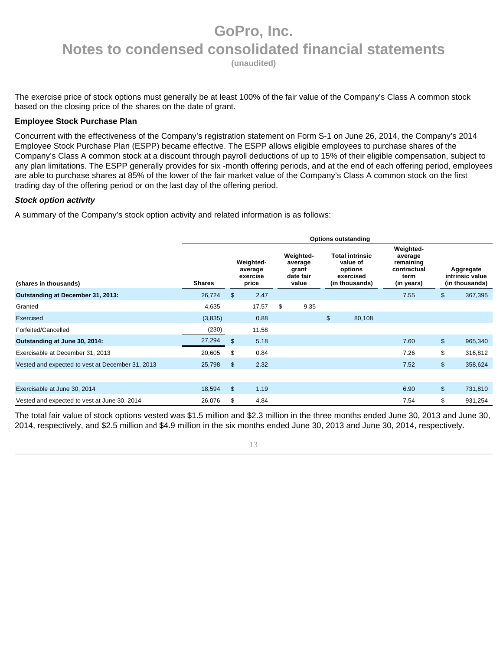**(unaudited)** 

The exercise price of stock options must generally be at least 100% of the fair value of the Company's Class A common stock based on the closing price of the shares on the date of grant.

#### **Employee Stock Purchase Plan**

Concurrent with the effectiveness of the Company's registration statement on Form S-1 on June 26, 2014, the Company's 2014 Employee Stock Purchase Plan (ESPP) became effective. The ESPP allows eligible employees to purchase shares of the Company's Class A common stock at a discount through payroll deductions of up to 15% of their eligible compensation, subject to any plan limitations. The ESPP generally provides for six -month offering periods, and at the end of each offering period, employees are able to purchase shares at 85% of the lower of the fair market value of the Company's Class A common stock on the first trading day of the offering period or on the last day of the offering period.

### **Stock option activity**

A summary of the Company's stock option activity and related information is as follows:

|                                                  | <b>Options outstanding</b> |                |                                           |    |                                                     |    |                                                                              |                                                                        |                |                                                |
|--------------------------------------------------|----------------------------|----------------|-------------------------------------------|----|-----------------------------------------------------|----|------------------------------------------------------------------------------|------------------------------------------------------------------------|----------------|------------------------------------------------|
| (shares in thousands)                            | <b>Shares</b>              |                | Weighted-<br>average<br>exercise<br>price |    | Weighted-<br>average<br>grant<br>date fair<br>value |    | <b>Total intrinsic</b><br>value of<br>options<br>exercised<br>(in thousands) | Weighted-<br>average<br>remaining<br>contractual<br>term<br>(in years) |                | Aggregate<br>intrinsic value<br>(in thousands) |
| Outstanding at December 31, 2013:                | 26,724                     | \$             | 2.47                                      |    |                                                     |    |                                                                              | 7.55                                                                   | \$             | 367,395                                        |
| Granted                                          | 4,635                      |                | 17.57                                     | \$ | 9.35                                                |    |                                                                              |                                                                        |                |                                                |
| Exercised                                        | (3,835)                    |                | 0.88                                      |    |                                                     | \$ | 80,108                                                                       |                                                                        |                |                                                |
| Forfeited/Cancelled                              | (230)                      |                | 11.58                                     |    |                                                     |    |                                                                              |                                                                        |                |                                                |
| Outstanding at June 30, 2014:                    | 27,294                     | \$             | 5.18                                      |    |                                                     |    |                                                                              | 7.60                                                                   | $\mathfrak{S}$ | 965,340                                        |
| Exercisable at December 31, 2013                 | 20,605                     | \$             | 0.84                                      |    |                                                     |    |                                                                              | 7.26                                                                   | \$             | 316,812                                        |
| Vested and expected to vest at December 31, 2013 | 25,798                     | $\mathfrak{S}$ | 2.32                                      |    |                                                     |    |                                                                              | 7.52                                                                   | $\mathfrak{S}$ | 358,624                                        |
|                                                  |                            |                |                                           |    |                                                     |    |                                                                              |                                                                        |                |                                                |
| Exercisable at June 30, 2014                     | 18,594                     | \$             | 1.19                                      |    |                                                     |    |                                                                              | 6.90                                                                   | $\mathfrak{S}$ | 731,810                                        |
| Vested and expected to vest at June 30, 2014     | 26,076                     | \$             | 4.84                                      |    |                                                     |    |                                                                              | 7.54                                                                   | \$             | 931,254                                        |

The total fair value of stock options vested was \$1.5 million and \$2.3 million in the three months ended June 30, 2013 and June 30, 2014, respectively, and \$2.5 million and \$4.9 million in the six months ended June 30, 2013 and June 30, 2014, respectively.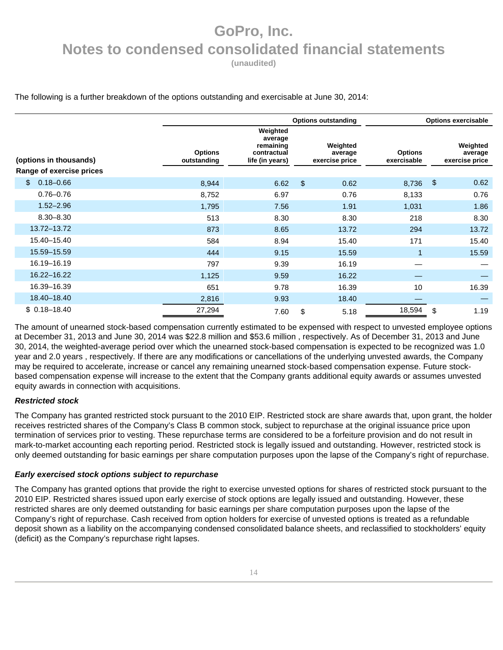**(unaudited)** 

#### The following is a further breakdown of the options outstanding and exercisable at June 30, 2014:

|                          | <b>Options outstanding</b>    |                                                                    |                         |                                       | <b>Options exercisable</b>    |               |                                       |  |
|--------------------------|-------------------------------|--------------------------------------------------------------------|-------------------------|---------------------------------------|-------------------------------|---------------|---------------------------------------|--|
| (options in thousands)   | <b>Options</b><br>outstanding | Weighted<br>average<br>remaining<br>contractual<br>life (in years) |                         | Weighted<br>average<br>exercise price | <b>Options</b><br>exercisable |               | Weighted<br>average<br>exercise price |  |
| Range of exercise prices |                               |                                                                    |                         |                                       |                               |               |                                       |  |
| $0.18 - 0.66$<br>\$      | 8,944                         | 6.62                                                               | $\sqrt[6]{\frac{1}{2}}$ | 0.62                                  | 8,736                         | $\frac{1}{2}$ | 0.62                                  |  |
| $0.76 - 0.76$            | 8,752                         | 6.97                                                               |                         | 0.76                                  | 8,133                         |               | 0.76                                  |  |
| $1.52 - 2.96$            | 1,795                         | 7.56                                                               |                         | 1.91                                  | 1,031                         |               | 1.86                                  |  |
| $8.30 - 8.30$            | 513                           | 8.30                                                               |                         | 8.30                                  | 218                           |               | 8.30                                  |  |
| 13.72-13.72              | 873                           | 8.65                                                               |                         | 13.72                                 | 294                           |               | 13.72                                 |  |
| 15.40-15.40              | 584                           | 8.94                                                               |                         | 15.40                                 | 171                           |               | 15.40                                 |  |
| 15.59-15.59              | 444                           | 9.15                                                               |                         | 15.59                                 | $\overline{1}$                |               | 15.59                                 |  |
| 16.19-16.19              | 797                           | 9.39                                                               |                         | 16.19                                 |                               |               |                                       |  |
| 16.22-16.22              | 1,125                         | 9.59                                                               |                         | 16.22                                 |                               |               |                                       |  |
| 16.39-16.39              | 651                           | 9.78                                                               |                         | 16.39                                 | 10                            |               | 16.39                                 |  |
| 18.40-18.40              | 2,816                         | 9.93                                                               |                         | 18.40                                 |                               |               |                                       |  |
| $$0.18 - 18.40$          | 27,294                        | 7.60                                                               | \$                      | 5.18                                  | 18,594                        | \$            | 1.19                                  |  |

The amount of unearned stock-based compensation currently estimated to be expensed with respect to unvested employee options at December 31, 2013 and June 30, 2014 was \$22.8 million and \$53.6 million , respectively. As of December 31, 2013 and June 30, 2014, the weighted-average period over which the unearned stock-based compensation is expected to be recognized was 1.0 year and 2.0 years , respectively. If there are any modifications or cancellations of the underlying unvested awards, the Company may be required to accelerate, increase or cancel any remaining unearned stock-based compensation expense. Future stockbased compensation expense will increase to the extent that the Company grants additional equity awards or assumes unvested equity awards in connection with acquisitions.

#### **Restricted stock**

The Company has granted restricted stock pursuant to the 2010 EIP. Restricted stock are share awards that, upon grant, the holder receives restricted shares of the Company's Class B common stock, subject to repurchase at the original issuance price upon termination of services prior to vesting. These repurchase terms are considered to be a forfeiture provision and do not result in mark-to-market accounting each reporting period. Restricted stock is legally issued and outstanding. However, restricted stock is only deemed outstanding for basic earnings per share computation purposes upon the lapse of the Company's right of repurchase.

#### **Early exercised stock options subject to repurchase**

The Company has granted options that provide the right to exercise unvested options for shares of restricted stock pursuant to the 2010 EIP. Restricted shares issued upon early exercise of stock options are legally issued and outstanding. However, these restricted shares are only deemed outstanding for basic earnings per share computation purposes upon the lapse of the Company's right of repurchase. Cash received from option holders for exercise of unvested options is treated as a refundable deposit shown as a liability on the accompanying condensed consolidated balance sheets, and reclassified to stockholders' equity (deficit) as the Company's repurchase right lapses.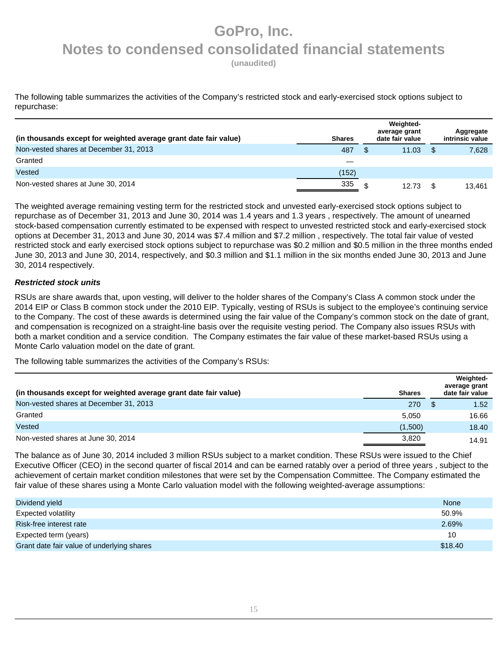**(unaudited)** 

The following table summarizes the activities of the Company's restricted stock and early-exercised stock options subject to repurchase:

| (in thousands except for weighted average grant date fair value) | <b>Shares</b> | Weighted-<br>average grant<br>date fair value | Aggregate<br>intrinsic value |
|------------------------------------------------------------------|---------------|-----------------------------------------------|------------------------------|
| Non-vested shares at December 31, 2013                           | 487           | 11.03                                         | 7,628                        |
| Granted                                                          |               |                                               |                              |
| Vested                                                           | (152)         |                                               |                              |
| Non-vested shares at June 30, 2014                               | 335           | 12.73                                         | 13.461                       |

The weighted average remaining vesting term for the restricted stock and unvested early-exercised stock options subject to repurchase as of December 31, 2013 and June 30, 2014 was 1.4 years and 1.3 years , respectively. The amount of unearned stock-based compensation currently estimated to be expensed with respect to unvested restricted stock and early-exercised stock options at December 31, 2013 and June 30, 2014 was \$7.4 million and \$7.2 million , respectively. The total fair value of vested restricted stock and early exercised stock options subject to repurchase was \$0.2 million and \$0.5 million in the three months ended June 30, 2013 and June 30, 2014, respectively, and \$0.3 million and \$1.1 million in the six months ended June 30, 2013 and June 30, 2014 respectively.

### **Restricted stock units**

RSUs are share awards that, upon vesting, will deliver to the holder shares of the Company's Class A common stock under the 2014 EIP or Class B common stock under the 2010 EIP. Typically, vesting of RSUs is subject to the employee's continuing service to the Company. The cost of these awards is determined using the fair value of the Company's common stock on the date of grant, and compensation is recognized on a straight-line basis over the requisite vesting period. The Company also issues RSUs with both a market condition and a service condition. The Company estimates the fair value of these market-based RSUs using a Monte Carlo valuation model on the date of grant.

The following table summarizes the activities of the Company's RSUs:

| (in thousands except for weighted average grant date fair value) | <b>Shares</b> |     | Weighted-<br>average grant<br>date fair value |
|------------------------------------------------------------------|---------------|-----|-----------------------------------------------|
| Non-vested shares at December 31, 2013                           | 270           | \$. | 1.52                                          |
| Granted                                                          | 5.050         |     | 16.66                                         |
| Vested                                                           | (1,500)       |     | 18.40                                         |
| Non-vested shares at June 30, 2014                               | 3.820         |     | 14.91                                         |

The balance as of June 30, 2014 included 3 million RSUs subject to a market condition. These RSUs were issued to the Chief Executive Officer (CEO) in the second quarter of fiscal 2014 and can be earned ratably over a period of three years , subject to the achievement of certain market condition milestones that were set by the Compensation Committee. The Company estimated the fair value of these shares using a Monte Carlo valuation model with the following weighted-average assumptions:

| Dividend yield                             | None    |
|--------------------------------------------|---------|
| Expected volatility                        | 50.9%   |
| Risk-free interest rate                    | 2.69%   |
| Expected term (years)                      | 10      |
| Grant date fair value of underlying shares | \$18.40 |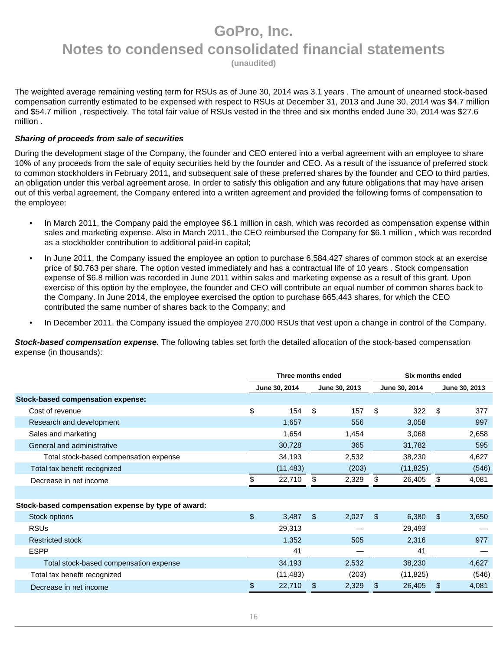**(unaudited)** 

The weighted average remaining vesting term for RSUs as of June 30, 2014 was 3.1 years . The amount of unearned stock-based compensation currently estimated to be expensed with respect to RSUs at December 31, 2013 and June 30, 2014 was \$4.7 million and \$54.7 million , respectively. The total fair value of RSUs vested in the three and six months ended June 30, 2014 was \$27.6 million .

#### **Sharing of proceeds from sale of securities**

During the development stage of the Company, the founder and CEO entered into a verbal agreement with an employee to share 10% of any proceeds from the sale of equity securities held by the founder and CEO. As a result of the issuance of preferred stock to common stockholders in February 2011, and subsequent sale of these preferred shares by the founder and CEO to third parties, an obligation under this verbal agreement arose. In order to satisfy this obligation and any future obligations that may have arisen out of this verbal agreement, the Company entered into a written agreement and provided the following forms of compensation to the employee:

- In March 2011, the Company paid the employee \$6.1 million in cash, which was recorded as compensation expense within sales and marketing expense. Also in March 2011, the CEO reimbursed the Company for \$6.1 million , which was recorded as a stockholder contribution to additional paid-in capital;
- In June 2011, the Company issued the employee an option to purchase 6,584,427 shares of common stock at an exercise price of \$0.763 per share. The option vested immediately and has a contractual life of 10 years . Stock compensation expense of \$6.8 million was recorded in June 2011 within sales and marketing expense as a result of this grant. Upon exercise of this option by the employee, the founder and CEO will contribute an equal number of common shares back to the Company. In June 2014, the employee exercised the option to purchase 665,443 shares, for which the CEO contributed the same number of shares back to the Company; and
- In December 2011, the Company issued the employee 270,000 RSUs that vest upon a change in control of the Company.

**Stock-based compensation expense.** The following tables set forth the detailed allocation of the stock-based compensation expense (in thousands):

|                                                    | Three months ended |           |               |       | Six months ended |           |    |               |
|----------------------------------------------------|--------------------|-----------|---------------|-------|------------------|-----------|----|---------------|
|                                                    | June 30, 2014      |           | June 30, 2013 |       | June 30, 2014    |           |    | June 30, 2013 |
| Stock-based compensation expense:                  |                    |           |               |       |                  |           |    |               |
| Cost of revenue                                    | \$                 | 154       | \$            | 157   | \$               | 322       | \$ | 377           |
| Research and development                           |                    | 1,657     |               | 556   |                  | 3,058     |    | 997           |
| Sales and marketing                                |                    | 1,654     |               | 1,454 |                  | 3,068     |    | 2,658         |
| General and administrative                         |                    | 30,728    |               | 365   |                  | 31,782    |    | 595           |
| Total stock-based compensation expense             |                    | 34,193    |               | 2,532 |                  | 38,230    |    | 4,627         |
| Total tax benefit recognized                       |                    | (11, 483) |               | (203) |                  | (11, 825) |    | (546)         |
| Decrease in net income                             | \$                 | 22,710    | \$            | 2,329 | \$               | 26,405    | \$ | 4,081         |
|                                                    |                    |           |               |       |                  |           |    |               |
| Stock-based compensation expense by type of award: |                    |           |               |       |                  |           |    |               |
| Stock options                                      | \$                 | 3,487     | \$            | 2,027 | \$.              | 6,380     | \$ | 3,650         |
| <b>RSUs</b>                                        |                    | 29,313    |               |       |                  | 29,493    |    |               |
| <b>Restricted stock</b>                            |                    | 1,352     |               | 505   |                  | 2,316     |    | 977           |
| <b>ESPP</b>                                        |                    | 41        |               |       |                  | 41        |    |               |
| Total stock-based compensation expense             |                    | 34,193    |               | 2,532 |                  | 38,230    |    | 4,627         |
| Total tax benefit recognized                       |                    | (11, 483) |               | (203) |                  | (11, 825) |    | (546)         |
| Decrease in net income                             |                    | 22,710    |               | 2,329 | \$               | 26,405    | \$ | 4,081         |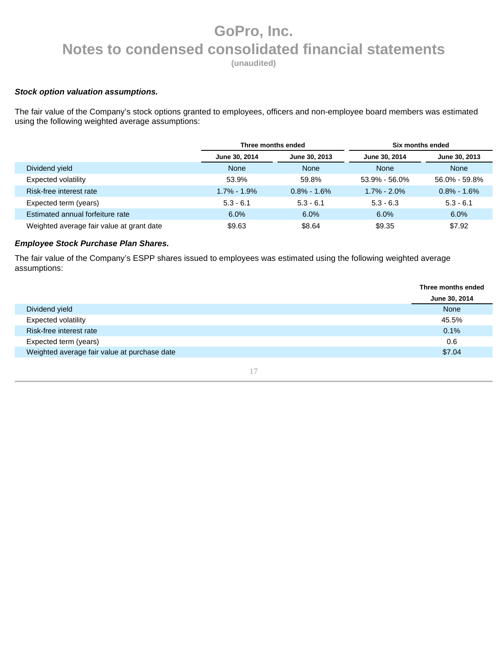**(unaudited)** 

#### **Stock option valuation assumptions.**

The fair value of the Company's stock options granted to employees, officers and non-employee board members was estimated using the following weighted average assumptions:

|                                           | Three months ended |                | Six months ended  |                 |  |  |
|-------------------------------------------|--------------------|----------------|-------------------|-----------------|--|--|
|                                           | June 30, 2014      | June 30, 2013  | June 30, 2014     | June 30, 2013   |  |  |
| Dividend yield                            | <b>None</b>        | <b>None</b>    | None              | <b>None</b>     |  |  |
| Expected volatility                       | 53.9%              | 59.8%          | $53.9\% - 56.0\%$ | 56.0% - 59.8%   |  |  |
| Risk-free interest rate                   | $1.7\% - 1.9\%$    | $0.8\%$ - 1.6% | $1.7\% - 2.0\%$   | $0.8\% - 1.6\%$ |  |  |
| Expected term (years)                     | $5.3 - 6.1$        | $5.3 - 6.1$    | $5.3 - 6.3$       | $5.3 - 6.1$     |  |  |
| Estimated annual forfeiture rate          | 6.0%               | 6.0%           | 6.0%              | 6.0%            |  |  |
| Weighted average fair value at grant date | \$9.63             | \$8.64         | \$9.35            | \$7.92          |  |  |

### **Employee Stock Purchase Plan Shares.**

The fair value of the Company's ESPP shares issued to employees was estimated using the following weighted average assumptions:

|                                              | Three months ended |
|----------------------------------------------|--------------------|
|                                              | June 30, 2014      |
| Dividend yield                               | None               |
| <b>Expected volatility</b>                   | 45.5%              |
| Risk-free interest rate                      | 0.1%               |
| Expected term (years)                        | 0.6                |
| Weighted average fair value at purchase date | \$7.04             |
|                                              |                    |

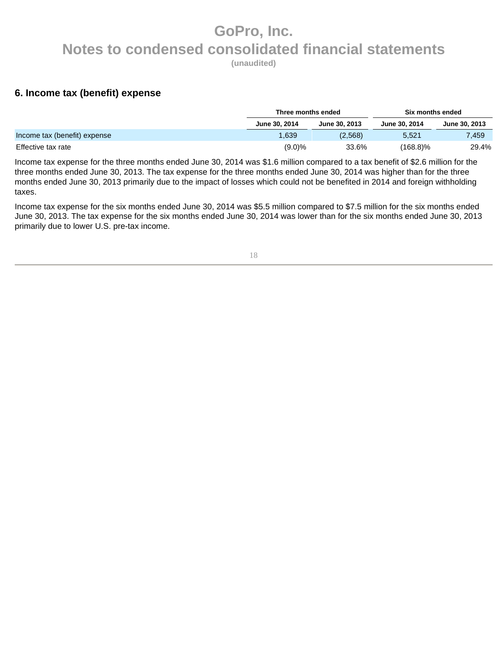**(unaudited)** 

### **6. Income tax (benefit) expense**

|                              | Three months ended |               | Six months ended |               |  |
|------------------------------|--------------------|---------------|------------------|---------------|--|
|                              | June 30, 2014      | June 30, 2013 | June 30, 2014    | June 30, 2013 |  |
| Income tax (benefit) expense | 839، ،             | (2,568)       | 5.521            | 7.459         |  |
| Effective tax rate           | (9.0)%             | 33.6%         | $(168.8)\%$      | 29.4%         |  |

Income tax expense for the three months ended June 30, 2014 was \$1.6 million compared to a tax benefit of \$2.6 million for the three months ended June 30, 2013. The tax expense for the three months ended June 30, 2014 was higher than for the three months ended June 30, 2013 primarily due to the impact of losses which could not be benefited in 2014 and foreign withholding taxes.

Income tax expense for the six months ended June 30, 2014 was \$5.5 million compared to \$7.5 million for the six months ended June 30, 2013. The tax expense for the six months ended June 30, 2014 was lower than for the six months ended June 30, 2013 primarily due to lower U.S. pre-tax income.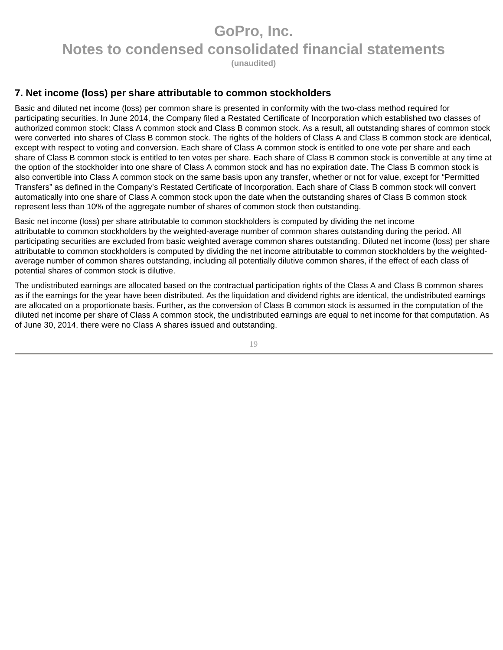**(unaudited)** 

### **7. Net income (loss) per share attributable to common stockholders**

Basic and diluted net income (loss) per common share is presented in conformity with the two-class method required for participating securities. In June 2014, the Company filed a Restated Certificate of Incorporation which established two classes of authorized common stock: Class A common stock and Class B common stock. As a result, all outstanding shares of common stock were converted into shares of Class B common stock. The rights of the holders of Class A and Class B common stock are identical, except with respect to voting and conversion. Each share of Class A common stock is entitled to one vote per share and each share of Class B common stock is entitled to ten votes per share. Each share of Class B common stock is convertible at any time at the option of the stockholder into one share of Class A common stock and has no expiration date. The Class B common stock is also convertible into Class A common stock on the same basis upon any transfer, whether or not for value, except for "Permitted Transfers" as defined in the Company's Restated Certificate of Incorporation. Each share of Class B common stock will convert automatically into one share of Class A common stock upon the date when the outstanding shares of Class B common stock represent less than 10% of the aggregate number of shares of common stock then outstanding.

Basic net income (loss) per share attributable to common stockholders is computed by dividing the net income attributable to common stockholders by the weighted-average number of common shares outstanding during the period. All participating securities are excluded from basic weighted average common shares outstanding. Diluted net income (loss) per share attributable to common stockholders is computed by dividing the net income attributable to common stockholders by the weightedaverage number of common shares outstanding, including all potentially dilutive common shares, if the effect of each class of potential shares of common stock is dilutive.

The undistributed earnings are allocated based on the contractual participation rights of the Class A and Class B common shares as if the earnings for the year have been distributed. As the liquidation and dividend rights are identical, the undistributed earnings are allocated on a proportionate basis. Further, as the conversion of Class B common stock is assumed in the computation of the diluted net income per share of Class A common stock, the undistributed earnings are equal to net income for that computation. As of June 30, 2014, there were no Class A shares issued and outstanding.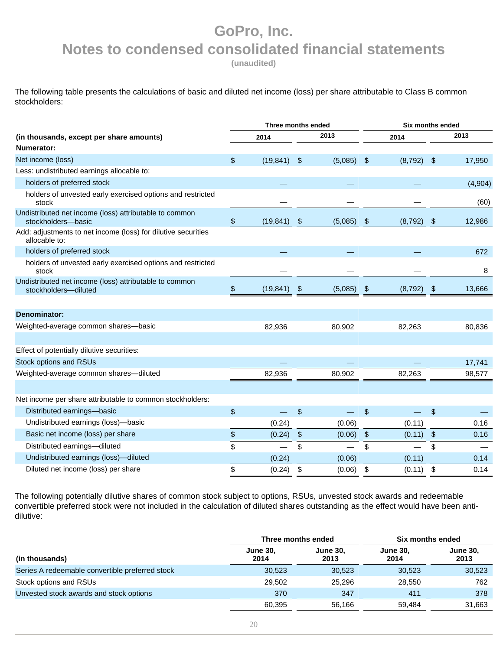**(unaudited)** 

The following table presents the calculations of basic and diluted net income (loss) per share attributable to Class B common stockholders:

|                                                                                |      | Three months ended |               | Six months ended |    |         |  |  |
|--------------------------------------------------------------------------------|------|--------------------|---------------|------------------|----|---------|--|--|
| (in thousands, except per share amounts)<br>Numerator:                         |      | 2014               | 2013          | 2014             |    | 2013    |  |  |
| Net income (loss)                                                              | \$   | (19, 841)          | \$<br>(5,085) | \$<br>(8,792)    | \$ | 17,950  |  |  |
| Less: undistributed earnings allocable to:                                     |      |                    |               |                  |    |         |  |  |
| holders of preferred stock                                                     |      |                    |               |                  |    | (4,904) |  |  |
| holders of unvested early exercised options and restricted<br>stock            |      |                    |               |                  |    | (60)    |  |  |
| Undistributed net income (loss) attributable to common<br>stockholders-basic   | \$   | (19, 841)          | \$<br>(5,085) | \$<br>(8, 792)   | \$ | 12,986  |  |  |
| Add: adjustments to net income (loss) for dilutive securities<br>allocable to: |      |                    |               |                  |    |         |  |  |
| holders of preferred stock                                                     |      |                    |               |                  |    | 672     |  |  |
| holders of unvested early exercised options and restricted<br>stock            |      |                    |               |                  |    | 8       |  |  |
| Undistributed net income (loss) attributable to common<br>stockholders-diluted | \$   | (19, 841)          | \$<br>(5,085) | \$<br>(8,792)    | \$ | 13,666  |  |  |
|                                                                                |      |                    |               |                  |    |         |  |  |
| Denominator:                                                                   |      |                    |               |                  |    |         |  |  |
| Weighted-average common shares-basic                                           |      | 82,936             | 80,902        | 82,263           |    | 80,836  |  |  |
|                                                                                |      |                    |               |                  |    |         |  |  |
| Effect of potentially dilutive securities:                                     |      |                    |               |                  |    |         |  |  |
| Stock options and RSUs                                                         |      |                    |               |                  |    | 17,741  |  |  |
| Weighted-average common shares-diluted                                         |      | 82,936             | 80,902        | 82,263           |    | 98,577  |  |  |
|                                                                                |      |                    |               |                  |    |         |  |  |
| Net income per share attributable to common stockholders:                      |      |                    |               |                  |    |         |  |  |
| Distributed earnings-basic                                                     | \$   |                    | \$            | \$               | \$ |         |  |  |
| Undistributed earnings (loss)-basic                                            |      | (0.24)             | (0.06)        | (0.11)           |    | 0.16    |  |  |
| Basic net income (loss) per share                                              | $\,$ | (0.24)             | \$<br>(0.06)  | \$<br>(0.11)     | \$ | 0.16    |  |  |
| Distributed earnings-diluted                                                   | \$   |                    | \$            | \$               | \$ |         |  |  |
| Undistributed earnings (loss)-diluted                                          |      | (0.24)             | (0.06)        | (0.11)           |    | 0.14    |  |  |
| Diluted net income (loss) per share                                            | \$   | (0.24)             | \$<br>(0.06)  | \$<br>(0.11)     | \$ | 0.14    |  |  |

The following potentially dilutive shares of common stock subject to options, RSUs, unvested stock awards and redeemable convertible preferred stock were not included in the calculation of diluted shares outstanding as the effect would have been antidilutive:

|                                                 | Three months ended      |                         | Six months ended        |                         |  |
|-------------------------------------------------|-------------------------|-------------------------|-------------------------|-------------------------|--|
| (in thousands)                                  | <b>June 30,</b><br>2014 | <b>June 30.</b><br>2013 | <b>June 30.</b><br>2014 | <b>June 30,</b><br>2013 |  |
| Series A redeemable convertible preferred stock | 30,523                  | 30,523                  | 30,523                  | 30,523                  |  |
| Stock options and RSUs                          | 29.502                  | 25.296                  | 28,550                  | 762                     |  |
| Unvested stock awards and stock options         | 370                     | 347                     | 411                     | 378                     |  |
|                                                 | 60.395                  | 56.166                  | 59.484                  | 31.663                  |  |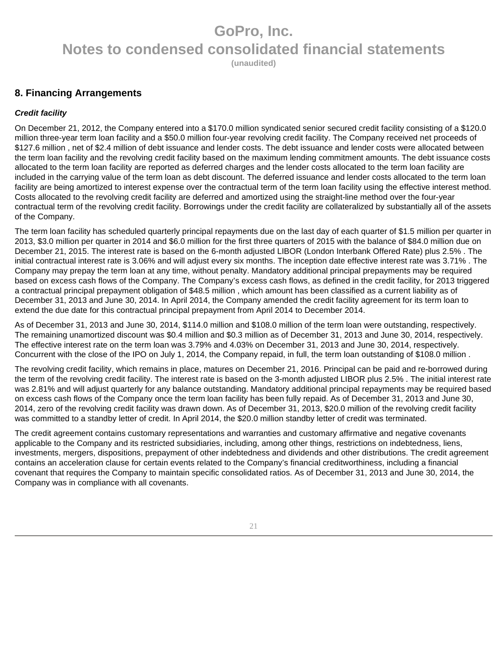**(unaudited)** 

### **8. Financing Arrangements**

### **Credit facility**

On December 21, 2012, the Company entered into a \$170.0 million syndicated senior secured credit facility consisting of a \$120.0 million three-year term loan facility and a \$50.0 million four-year revolving credit facility. The Company received net proceeds of \$127.6 million , net of \$2.4 million of debt issuance and lender costs. The debt issuance and lender costs were allocated between the term loan facility and the revolving credit facility based on the maximum lending commitment amounts. The debt issuance costs allocated to the term loan facility are reported as deferred charges and the lender costs allocated to the term loan facility are included in the carrying value of the term loan as debt discount. The deferred issuance and lender costs allocated to the term loan facility are being amortized to interest expense over the contractual term of the term loan facility using the effective interest method. Costs allocated to the revolving credit facility are deferred and amortized using the straight-line method over the four-year contractual term of the revolving credit facility. Borrowings under the credit facility are collateralized by substantially all of the assets of the Company.

The term loan facility has scheduled quarterly principal repayments due on the last day of each quarter of \$1.5 million per quarter in 2013, \$3.0 million per quarter in 2014 and \$6.0 million for the first three quarters of 2015 with the balance of \$84.0 million due on December 21, 2015. The interest rate is based on the 6-month adjusted LIBOR (London Interbank Offered Rate) plus 2.5% . The initial contractual interest rate is 3.06% and will adjust every six months. The inception date effective interest rate was 3.71% . The Company may prepay the term loan at any time, without penalty. Mandatory additional principal prepayments may be required based on excess cash flows of the Company. The Company's excess cash flows, as defined in the credit facility, for 2013 triggered a contractual principal prepayment obligation of \$48.5 million , which amount has been classified as a current liability as of December 31, 2013 and June 30, 2014. In April 2014, the Company amended the credit facility agreement for its term loan to extend the due date for this contractual principal prepayment from April 2014 to December 2014.

As of December 31, 2013 and June 30, 2014, \$114.0 million and \$108.0 million of the term loan were outstanding, respectively. The remaining unamortized discount was \$0.4 million and \$0.3 million as of December 31, 2013 and June 30, 2014, respectively. The effective interest rate on the term loan was 3.79% and 4.03% on December 31, 2013 and June 30, 2014, respectively. Concurrent with the close of the IPO on July 1, 2014, the Company repaid, in full, the term loan outstanding of \$108.0 million .

The revolving credit facility, which remains in place, matures on December 21, 2016. Principal can be paid and re-borrowed during the term of the revolving credit facility. The interest rate is based on the 3-month adjusted LIBOR plus 2.5% . The initial interest rate was 2.81% and will adjust quarterly for any balance outstanding. Mandatory additional principal repayments may be required based on excess cash flows of the Company once the term loan facility has been fully repaid. As of December 31, 2013 and June 30, 2014, zero of the revolving credit facility was drawn down. As of December 31, 2013, \$20.0 million of the revolving credit facility was committed to a standby letter of credit. In April 2014, the \$20.0 million standby letter of credit was terminated.

The credit agreement contains customary representations and warranties and customary affirmative and negative covenants applicable to the Company and its restricted subsidiaries, including, among other things, restrictions on indebtedness, liens, investments, mergers, dispositions, prepayment of other indebtedness and dividends and other distributions. The credit agreement contains an acceleration clause for certain events related to the Company's financial creditworthiness, including a financial covenant that requires the Company to maintain specific consolidated ratios. As of December 31, 2013 and June 30, 2014, the Company was in compliance with all covenants.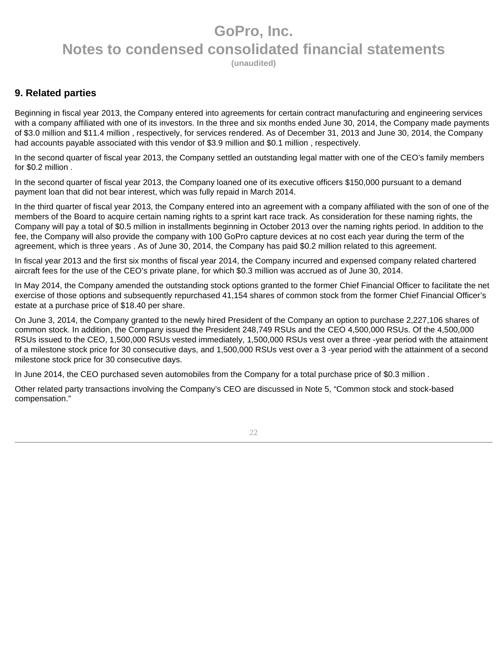**(unaudited)** 

### **9. Related parties**

Beginning in fiscal year 2013, the Company entered into agreements for certain contract manufacturing and engineering services with a company affiliated with one of its investors. In the three and six months ended June 30, 2014, the Company made payments of \$3.0 million and \$11.4 million , respectively, for services rendered. As of December 31, 2013 and June 30, 2014, the Company had accounts payable associated with this vendor of \$3.9 million and \$0.1 million, respectively.

In the second quarter of fiscal year 2013, the Company settled an outstanding legal matter with one of the CEO's family members for \$0.2 million .

In the second quarter of fiscal year 2013, the Company loaned one of its executive officers \$150,000 pursuant to a demand payment loan that did not bear interest, which was fully repaid in March 2014.

In the third quarter of fiscal year 2013, the Company entered into an agreement with a company affiliated with the son of one of the members of the Board to acquire certain naming rights to a sprint kart race track. As consideration for these naming rights, the Company will pay a total of \$0.5 million in installments beginning in October 2013 over the naming rights period. In addition to the fee, the Company will also provide the company with 100 GoPro capture devices at no cost each year during the term of the agreement, which is three years . As of June 30, 2014, the Company has paid \$0.2 million related to this agreement.

In fiscal year 2013 and the first six months of fiscal year 2014, the Company incurred and expensed company related chartered aircraft fees for the use of the CEO's private plane, for which \$0.3 million was accrued as of June 30, 2014.

In May 2014, the Company amended the outstanding stock options granted to the former Chief Financial Officer to facilitate the net exercise of those options and subsequently repurchased 41,154 shares of common stock from the former Chief Financial Officer's estate at a purchase price of \$18.40 per share.

On June 3, 2014, the Company granted to the newly hired President of the Company an option to purchase 2,227,106 shares of common stock. In addition, the Company issued the President 248,749 RSUs and the CEO 4,500,000 RSUs. Of the 4,500,000 RSUs issued to the CEO, 1,500,000 RSUs vested immediately, 1,500,000 RSUs vest over a three -year period with the attainment of a milestone stock price for 30 consecutive days, and 1,500,000 RSUs vest over a 3 -year period with the attainment of a second milestone stock price for 30 consecutive days.

In June 2014, the CEO purchased seven automobiles from the Company for a total purchase price of \$0.3 million .

Other related party transactions involving the Company's CEO are discussed in Note 5, "Common stock and stock-based compensation."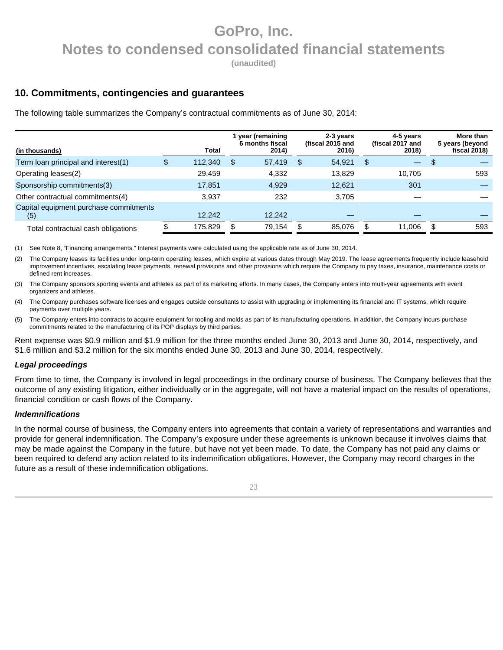**(unaudited)** 

### **10. Commitments, contingencies and guarantees**

The following table summarizes the Company's contractual commitments as of June 30, 2014:

|                                               |         |    | year (remaining          | 2-3 years                 | 4-5 years                 |   | More than                       |
|-----------------------------------------------|---------|----|--------------------------|---------------------------|---------------------------|---|---------------------------------|
| (in thousands)                                | Total   |    | 6 months fiscal<br>2014) | (fiscal 2015 and<br>2016) | (fiscal 2017 and<br>2018) |   | 5 years (beyond<br>fiscal 2018) |
| Term loan principal and interest(1)           | 112,340 | \$ | 57,419                   | \$<br>54,921              | \$                        |   |                                 |
| Operating leases(2)                           | 29,459  |    | 4,332                    | 13.829                    | 10,705                    |   | 593                             |
| Sponsorship commitments(3)                    | 17,851  |    | 4,929                    | 12,621                    | 301                       |   |                                 |
| Other contractual commitments(4)              | 3.937   |    | 232                      | 3.705                     |                           |   |                                 |
| Capital equipment purchase commitments<br>(5) | 12,242  |    | 12,242                   |                           |                           |   |                                 |
| Total contractual cash obligations            | 175.829 | S. | 79.154                   | 85,076                    | 11.006                    | S | 593                             |

(1) See Note 8, "Financing arrangements." Interest payments were calculated using the applicable rate as of June 30, 2014.

(2) The Company leases its facilities under long-term operating leases, which expire at various dates through May 2019. The lease agreements frequently include leasehold improvement incentives, escalating lease payments, renewal provisions and other provisions which require the Company to pay taxes, insurance, maintenance costs or defined rent increases.

(3) The Company sponsors sporting events and athletes as part of its marketing efforts. In many cases, the Company enters into multi-year agreements with event organizers and athletes.

(4) The Company purchases software licenses and engages outside consultants to assist with upgrading or implementing its financial and IT systems, which require payments over multiple years.

(5) The Company enters into contracts to acquire equipment for tooling and molds as part of its manufacturing operations. In addition, the Company incurs purchase commitments related to the manufacturing of its POP displays by third parties.

Rent expense was \$0.9 million and \$1.9 million for the three months ended June 30, 2013 and June 30, 2014, respectively, and \$1.6 million and \$3.2 million for the six months ended June 30, 2013 and June 30, 2014, respectively.

#### **Legal proceedings**

From time to time, the Company is involved in legal proceedings in the ordinary course of business. The Company believes that the outcome of any existing litigation, either individually or in the aggregate, will not have a material impact on the results of operations, financial condition or cash flows of the Company.

#### **Indemnifications**

In the normal course of business, the Company enters into agreements that contain a variety of representations and warranties and provide for general indemnification. The Company's exposure under these agreements is unknown because it involves claims that may be made against the Company in the future, but have not yet been made. To date, the Company has not paid any claims or been required to defend any action related to its indemnification obligations. However, the Company may record charges in the future as a result of these indemnification obligations.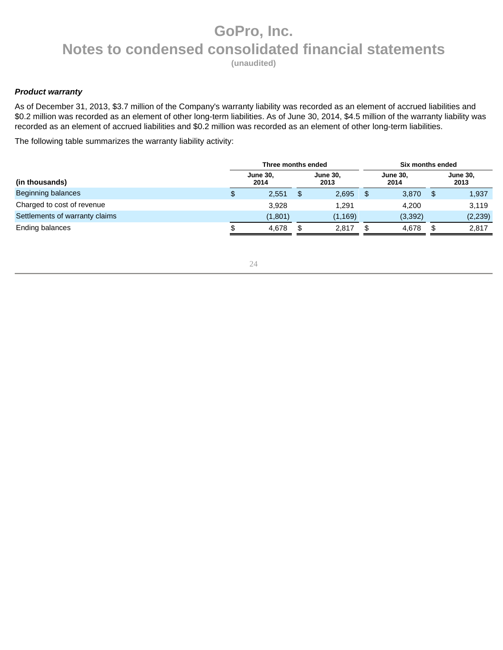**(unaudited)** 

#### **Product warranty**

As of December 31, 2013, \$3.7 million of the Company's warranty liability was recorded as an element of accrued liabilities and \$0.2 million was recorded as an element of other long-term liabilities. As of June 30, 2014, \$4.5 million of the warranty liability was recorded as an element of accrued liabilities and \$0.2 million was recorded as an element of other long-term liabilities.

The following table summarizes the warranty liability activity:

|                                |       | Three months ended      |  |                         | Six months ended |                         |  |                         |  |
|--------------------------------|-------|-------------------------|--|-------------------------|------------------|-------------------------|--|-------------------------|--|
| (in thousands)                 |       | <b>June 30,</b><br>2014 |  | <b>June 30.</b><br>2013 |                  | <b>June 30.</b><br>2014 |  | <b>June 30,</b><br>2013 |  |
| <b>Beginning balances</b>      | \$    | 2,551                   |  | 2,695                   |                  | 3,870                   |  | 1,937                   |  |
| Charged to cost of revenue     |       | 3,928                   |  | 1.291                   |                  | 4.200                   |  | 3,119                   |  |
| Settlements of warranty claims |       | (1,801)                 |  | (1, 169)                |                  | (3, 392)                |  | (2, 239)                |  |
| Ending balances                | 4.678 |                         |  | 2.817                   |                  | 4.678                   |  | 2.817                   |  |

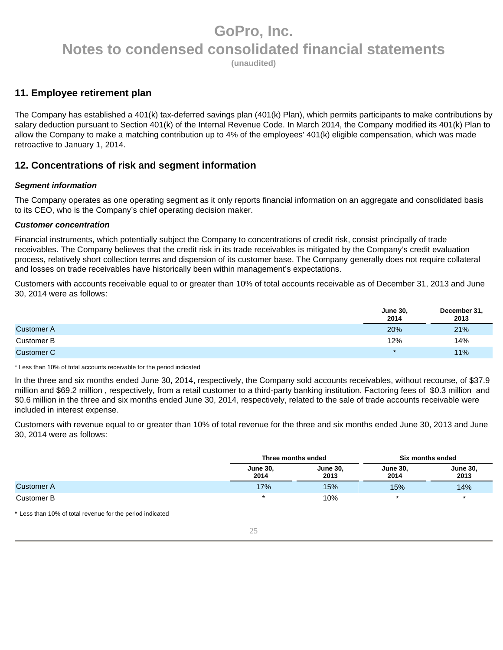**(unaudited)** 

### **11. Employee retirement plan**

The Company has established a 401(k) tax-deferred savings plan (401(k) Plan), which permits participants to make contributions by salary deduction pursuant to Section 401(k) of the Internal Revenue Code. In March 2014, the Company modified its 401(k) Plan to allow the Company to make a matching contribution up to 4% of the employees' 401(k) eligible compensation, which was made retroactive to January 1, 2014.

### **12. Concentrations of risk and segment information**

### **Segment information**

The Company operates as one operating segment as it only reports financial information on an aggregate and consolidated basis to its CEO, who is the Company's chief operating decision maker.

#### **Customer concentration**

Financial instruments, which potentially subject the Company to concentrations of credit risk, consist principally of trade receivables. The Company believes that the credit risk in its trade receivables is mitigated by the Company's credit evaluation process, relatively short collection terms and dispersion of its customer base. The Company generally does not require collateral and losses on trade receivables have historically been within management's expectations.

Customers with accounts receivable equal to or greater than 10% of total accounts receivable as of December 31, 2013 and June 30, 2014 were as follows:

|                   | <b>June 30,</b><br>2014 | December 31,<br>2013 |
|-------------------|-------------------------|----------------------|
| <b>Customer A</b> | 20%                     | 21%                  |
| Customer B        | 12%                     | 14%                  |
| <b>Customer C</b> | $\star$                 | 11%                  |

\* Less than 10% of total accounts receivable for the period indicated

In the three and six months ended June 30, 2014, respectively, the Company sold accounts receivables, without recourse, of \$37.9 million and \$69.2 million , respectively, from a retail customer to a third-party banking institution. Factoring fees of \$0.3 million and \$0.6 million in the three and six months ended June 30, 2014, respectively, related to the sale of trade accounts receivable were included in interest expense.

Customers with revenue equal to or greater than 10% of total revenue for the three and six months ended June 30, 2013 and June 30, 2014 were as follows:

|                   | Three months ended      |                         |                         | Six months ended        |  |
|-------------------|-------------------------|-------------------------|-------------------------|-------------------------|--|
|                   | <b>June 30,</b><br>2014 | <b>June 30.</b><br>2013 | <b>June 30,</b><br>2014 | <b>June 30,</b><br>2013 |  |
| <b>Customer A</b> | 17%                     | 15%                     | 15%                     | 14%                     |  |
| Customer B        |                         | 10%                     |                         |                         |  |

\* Less than 10% of total revenue for the period indicated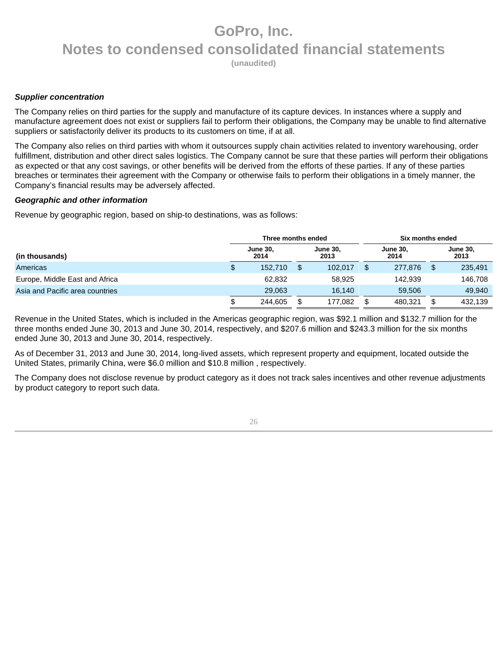**(unaudited)** 

#### **Supplier concentration**

The Company relies on third parties for the supply and manufacture of its capture devices. In instances where a supply and manufacture agreement does not exist or suppliers fail to perform their obligations, the Company may be unable to find alternative suppliers or satisfactorily deliver its products to its customers on time, if at all.

The Company also relies on third parties with whom it outsources supply chain activities related to inventory warehousing, order fulfillment, distribution and other direct sales logistics. The Company cannot be sure that these parties will perform their obligations as expected or that any cost savings, or other benefits will be derived from the efforts of these parties. If any of these parties breaches or terminates their agreement with the Company or otherwise fails to perform their obligations in a timely manner, the Company's financial results may be adversely affected.

#### **Geographic and other information**

Revenue by geographic region, based on ship-to destinations, was as follows:

|                                 |                         | Three months ended | Six months ended        |         |                         |         |                         |         |
|---------------------------------|-------------------------|--------------------|-------------------------|---------|-------------------------|---------|-------------------------|---------|
| (in thousands)                  | <b>June 30,</b><br>2014 |                    | <b>June 30.</b><br>2013 |         | <b>June 30.</b><br>2014 |         | <b>June 30,</b><br>2013 |         |
| Americas                        | \$                      | 152,710            |                         | 102,017 |                         | 277,876 |                         | 235,491 |
| Europe, Middle East and Africa  |                         | 62.832             |                         | 58.925  |                         | 142.939 |                         | 146.708 |
| Asia and Pacific area countries |                         | 29,063             |                         | 16.140  |                         | 59.506  |                         | 49.940  |
|                                 | \$<br>244.605           |                    |                         | 177,082 | 480.321                 |         |                         | 432.139 |

Revenue in the United States, which is included in the Americas geographic region, was \$92.1 million and \$132.7 million for the three months ended June 30, 2013 and June 30, 2014, respectively, and \$207.6 million and \$243.3 million for the six months ended June 30, 2013 and June 30, 2014, respectively.

As of December 31, 2013 and June 30, 2014, long-lived assets, which represent property and equipment, located outside the United States, primarily China, were \$6.0 million and \$10.8 million , respectively.

The Company does not disclose revenue by product category as it does not track sales incentives and other revenue adjustments by product category to report such data.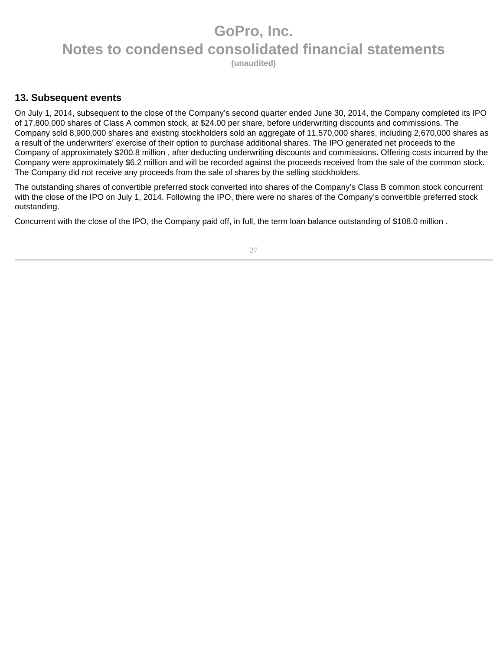**(unaudited)** 

### **13. Subsequent events**

On July 1, 2014, subsequent to the close of the Company's second quarter ended June 30, 2014, the Company completed its IPO of 17,800,000 shares of Class A common stock, at \$24.00 per share, before underwriting discounts and commissions. The Company sold 8,900,000 shares and existing stockholders sold an aggregate of 11,570,000 shares, including 2,670,000 shares as a result of the underwriters' exercise of their option to purchase additional shares. The IPO generated net proceeds to the Company of approximately \$200.8 million , after deducting underwriting discounts and commissions. Offering costs incurred by the Company were approximately \$6.2 million and will be recorded against the proceeds received from the sale of the common stock. The Company did not receive any proceeds from the sale of shares by the selling stockholders.

The outstanding shares of convertible preferred stock converted into shares of the Company's Class B common stock concurrent with the close of the IPO on July 1, 2014. Following the IPO, there were no shares of the Company's convertible preferred stock outstanding.

Concurrent with the close of the IPO, the Company paid off, in full, the term loan balance outstanding of \$108.0 million .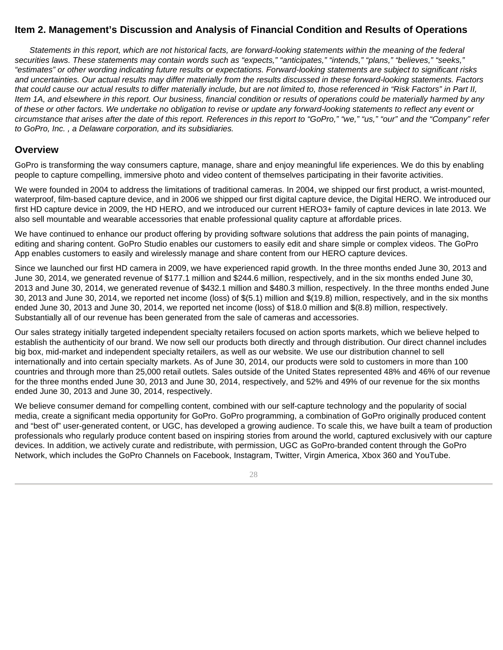### **Item 2. Management's Discussion and Analysis of Financial Condition and Results of Operations**

Statements in this report, which are not historical facts, are forward-looking statements within the meaning of the federal securities laws. These statements may contain words such as "expects," "anticipates," "intends," "plans," "believes," "seeks," "estimates" or other wording indicating future results or expectations. Forward-looking statements are subject to significant risks and uncertainties. Our actual results may differ materially from the results discussed in these forward-looking statements. Factors that could cause our actual results to differ materially include, but are not limited to, those referenced in "Risk Factors" in Part II, Item 1A, and elsewhere in this report. Our business, financial condition or results of operations could be materially harmed by any of these or other factors. We undertake no obligation to revise or update any forward-looking statements to reflect any event or circumstance that arises after the date of this report. References in this report to "GoPro," "we," "us," "our" and the "Company" refer to GoPro, Inc. , a Delaware corporation, and its subsidiaries.

### **Overview**

GoPro is transforming the way consumers capture, manage, share and enjoy meaningful life experiences. We do this by enabling people to capture compelling, immersive photo and video content of themselves participating in their favorite activities.

We were founded in 2004 to address the limitations of traditional cameras. In 2004, we shipped our first product, a wrist-mounted, waterproof, film-based capture device, and in 2006 we shipped our first digital capture device, the Digital HERO. We introduced our first HD capture device in 2009, the HD HERO, and we introduced our current HERO3+ family of capture devices in late 2013. We also sell mountable and wearable accessories that enable professional quality capture at affordable prices.

We have continued to enhance our product offering by providing software solutions that address the pain points of managing, editing and sharing content. GoPro Studio enables our customers to easily edit and share simple or complex videos. The GoPro App enables customers to easily and wirelessly manage and share content from our HERO capture devices.

Since we launched our first HD camera in 2009, we have experienced rapid growth. In the three months ended June 30, 2013 and June 30, 2014, we generated revenue of \$177.1 million and \$244.6 million, respectively, and in the six months ended June 30, 2013 and June 30, 2014, we generated revenue of \$432.1 million and \$480.3 million, respectively. In the three months ended June 30, 2013 and June 30, 2014, we reported net income (loss) of \$(5.1) million and \$(19.8) million, respectively, and in the six months ended June 30, 2013 and June 30, 2014, we reported net income (loss) of \$18.0 million and \$(8.8) million, respectively. Substantially all of our revenue has been generated from the sale of cameras and accessories.

Our sales strategy initially targeted independent specialty retailers focused on action sports markets, which we believe helped to establish the authenticity of our brand. We now sell our products both directly and through distribution. Our direct channel includes big box, mid-market and independent specialty retailers, as well as our website. We use our distribution channel to sell internationally and into certain specialty markets. As of June 30, 2014, our products were sold to customers in more than 100 countries and through more than 25,000 retail outlets. Sales outside of the United States represented 48% and 46% of our revenue for the three months ended June 30, 2013 and June 30, 2014, respectively, and 52% and 49% of our revenue for the six months ended June 30, 2013 and June 30, 2014, respectively.

We believe consumer demand for compelling content, combined with our self-capture technology and the popularity of social media, create a significant media opportunity for GoPro. GoPro programming, a combination of GoPro originally produced content and "best of" user-generated content, or UGC, has developed a growing audience. To scale this, we have built a team of production professionals who regularly produce content based on inspiring stories from around the world, captured exclusively with our capture devices. In addition, we actively curate and redistribute, with permission, UGC as GoPro-branded content through the GoPro Network, which includes the GoPro Channels on Facebook, Instagram, Twitter, Virgin America, Xbox 360 and YouTube.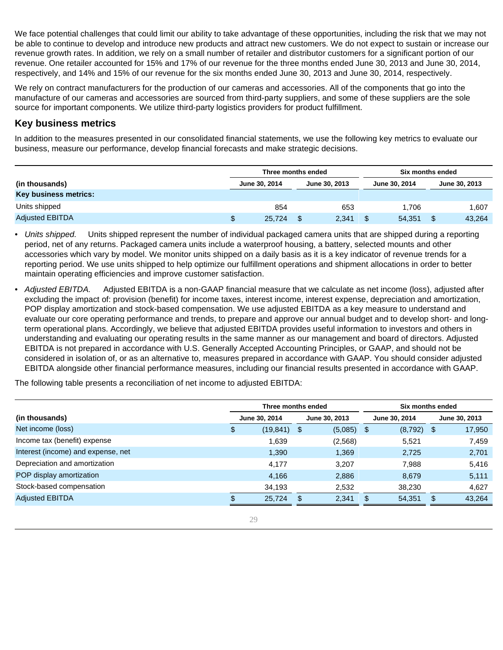We face potential challenges that could limit our ability to take advantage of these opportunities, including the risk that we may not be able to continue to develop and introduce new products and attract new customers. We do not expect to sustain or increase our revenue growth rates. In addition, we rely on a small number of retailer and distributor customers for a significant portion of our revenue. One retailer accounted for 15% and 17% of our revenue for the three months ended June 30, 2013 and June 30, 2014, respectively, and 14% and 15% of our revenue for the six months ended June 30, 2013 and June 30, 2014, respectively.

We rely on contract manufacturers for the production of our cameras and accessories. All of the components that go into the manufacture of our cameras and accessories are sourced from third-party suppliers, and some of these suppliers are the sole source for important components. We utilize third-party logistics providers for product fulfillment.

### **Key business metrics**

In addition to the measures presented in our consolidated financial statements, we use the following key metrics to evaluate our business, measure our performance, develop financial forecasts and make strategic decisions.

|                              | Three months ended             |  |       | Six months ended |               |               |        |
|------------------------------|--------------------------------|--|-------|------------------|---------------|---------------|--------|
| (in thousands)               | June 30, 2014<br>June 30, 2013 |  |       |                  | June 30, 2014 | June 30, 2013 |        |
| <b>Key business metrics:</b> |                                |  |       |                  |               |               |        |
| Units shipped                | 854                            |  | 653   |                  | 1.706         |               | 1,607  |
| <b>Adjusted EBITDA</b>       | \$<br>25,724                   |  | 2,341 |                  | 54,351        | \$            | 43,264 |

- Units shipped. Units shipped represent the number of individual packaged camera units that are shipped during a reporting period, net of any returns. Packaged camera units include a waterproof housing, a battery, selected mounts and other accessories which vary by model. We monitor units shipped on a daily basis as it is a key indicator of revenue trends for a reporting period. We use units shipped to help optimize our fulfillment operations and shipment allocations in order to better maintain operating efficiencies and improve customer satisfaction.
- Adjusted EBITDA. Adjusted EBITDA is a non-GAAP financial measure that we calculate as net income (loss), adjusted after excluding the impact of: provision (benefit) for income taxes, interest income, interest expense, depreciation and amortization, POP display amortization and stock-based compensation. We use adjusted EBITDA as a key measure to understand and evaluate our core operating performance and trends, to prepare and approve our annual budget and to develop short- and longterm operational plans. Accordingly, we believe that adjusted EBITDA provides useful information to investors and others in understanding and evaluating our operating results in the same manner as our management and board of directors. Adjusted EBITDA is not prepared in accordance with U.S. Generally Accepted Accounting Principles, or GAAP, and should not be considered in isolation of, or as an alternative to, measures prepared in accordance with GAAP. You should consider adjusted EBITDA alongside other financial performance measures, including our financial results presented in accordance with GAAP.

The following table presents a reconciliation of net income to adjusted EBITDA:

|                                    | Three months ended |                |     |               |               | Six months ended |      |               |  |
|------------------------------------|--------------------|----------------|-----|---------------|---------------|------------------|------|---------------|--|
| (in thousands)                     | June 30, 2014      |                |     | June 30, 2013 | June 30, 2014 |                  |      | June 30, 2013 |  |
| Net income (loss)                  | \$                 | $(19, 841)$ \$ |     | (5,085)       | \$            | (8,792)          | - \$ | 17,950        |  |
| Income tax (benefit) expense       |                    | 1,639          |     | (2,568)       |               | 5,521            |      | 7,459         |  |
| Interest (income) and expense, net |                    | 1.390          |     | 1.369         |               | 2.725            |      | 2,701         |  |
| Depreciation and amortization      |                    | 4,177          |     | 3.207         |               | 7,988            |      | 5,416         |  |
| POP display amortization           |                    | 4.166          |     | 2.886         |               | 8.679            |      | 5,111         |  |
| Stock-based compensation           |                    | 34,193         |     | 2,532         |               | 38,230           |      | 4,627         |  |
| <b>Adjusted EBITDA</b>             | 25,724             |                | -\$ | 2,341         |               | 54,351           | \$.  | 43,264        |  |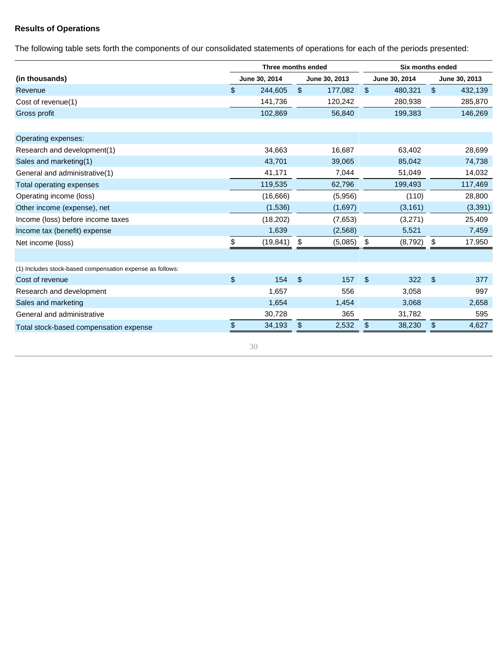### **Results of Operations**

The following table sets forth the components of our consolidated statements of operations for each of the periods presented:

|               |                | Three months ended | Six months ended |               |               |          |  |
|---------------|----------------|--------------------|------------------|---------------|---------------|----------|--|
| June 30, 2014 | June 30, 2013  |                    | June 30, 2014    |               | June 30, 2013 |          |  |
| 244,605       | $\mathfrak{L}$ | 177,082            | \$               | 480,321       | $\$\$         | 432,139  |  |
| 141,736       |                | 120,242            |                  | 280,938       |               | 285,870  |  |
| 102,869       |                | 56,840             |                  | 199,383       |               | 146,269  |  |
|               |                |                    |                  |               |               |          |  |
| 34,663        |                | 16,687             |                  | 63,402        |               | 28,699   |  |
| 43,701        |                | 39,065             |                  | 85,042        |               | 74,738   |  |
| 41,171        |                | 7,044              |                  | 51,049        |               | 14,032   |  |
| 119,535       |                | 62,796             |                  | 199,493       |               | 117,469  |  |
| (16, 666)     |                | (5,956)            |                  | (110)         |               | 28,800   |  |
| (1,536)       |                | (1,697)            |                  | (3, 161)      |               | (3, 391) |  |
| (18, 202)     |                | (7,653)            |                  | (3,271)       |               | 25,409   |  |
| 1,639         |                | (2,568)            |                  | 5,521         |               | 7,459    |  |
| (19, 841)     | \$             | (5,085)            | \$               | (8,792)       | \$            | 17,950   |  |
|               |                |                    |                  |               |               |          |  |
|               |                |                    |                  |               |               |          |  |
|               |                |                    |                  |               |               | 377      |  |
|               |                | 556                |                  | 3,058         |               | 997      |  |
| 1,654         |                | 1,454              |                  | 3,068         |               | 2,658    |  |
| 30,728        |                | 365                |                  | 31,782        |               | 595      |  |
| 34,193        | \$             | 2,532              | \$               | 38,230        | \$            | 4,627    |  |
|               | 154<br>1,657   | \$                 | 157              | $\frac{1}{2}$ | 322           | \$       |  |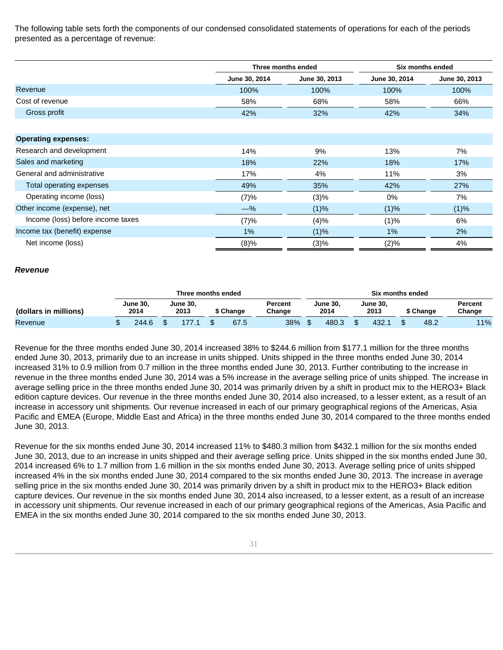The following table sets forth the components of our condensed consolidated statements of operations for each of the periods presented as a percentage of revenue:

|                                   |               | Three months ended | Six months ended |               |
|-----------------------------------|---------------|--------------------|------------------|---------------|
|                                   | June 30, 2014 | June 30, 2013      | June 30, 2014    | June 30, 2013 |
| Revenue                           | 100%          | 100%               | 100%             | 100%          |
| Cost of revenue                   | 58%           | 68%                | 58%              | 66%           |
| Gross profit                      | 42%           | 32%                | 42%              | 34%           |
|                                   |               |                    |                  |               |
| <b>Operating expenses:</b>        |               |                    |                  |               |
| Research and development          | 14%           | 9%                 | 13%              | 7%            |
| Sales and marketing               | 18%           | 22%                | 18%              | 17%           |
| General and administrative        | 17%           | 4%                 | 11%              | 3%            |
| Total operating expenses          | 49%           | 35%                | 42%              | 27%           |
| Operating income (loss)           | (7)%          | (3)%               | 0%               | 7%            |
| Other income (expense), net       | $-\%$         | (1)%               | (1)%             | (1)%          |
| Income (loss) before income taxes | (7)%          | (4)%               | (1)%             | 6%            |
| Income tax (benefit) expense      | $1\%$         | (1)%               | 1%               | 2%            |
| Net income (loss)                 | (8)%          | (3)%               | (2)%             | 4%            |

#### **Revenue**

|                       | Three months ended      |  |                         |  |               |  |                   |  | Six months ended |  |                  |  |          |                   |     |  |  |
|-----------------------|-------------------------|--|-------------------------|--|---------------|--|-------------------|--|------------------|--|------------------|--|----------|-------------------|-----|--|--|
| (dollars in millions) | <b>June 30.</b><br>2014 |  | <b>June 30.</b><br>2013 |  | <b>Change</b> |  | Percent<br>Change |  | June 30,<br>2014 |  | June 30.<br>2013 |  | ` Change | Percent<br>Change |     |  |  |
| Revenue               | 244.6                   |  |                         |  | 67.5          |  | 38%               |  | 480.3            |  | 432.             |  | 48.2     |                   | 11% |  |  |

Revenue for the three months ended June 30, 2014 increased 38% to \$244.6 million from \$177.1 million for the three months ended June 30, 2013, primarily due to an increase in units shipped. Units shipped in the three months ended June 30, 2014 increased 31% to 0.9 million from 0.7 million in the three months ended June 30, 2013. Further contributing to the increase in revenue in the three months ended June 30, 2014 was a 5% increase in the average selling price of units shipped. The increase in average selling price in the three months ended June 30, 2014 was primarily driven by a shift in product mix to the HERO3+ Black edition capture devices. Our revenue in the three months ended June 30, 2014 also increased, to a lesser extent, as a result of an increase in accessory unit shipments. Our revenue increased in each of our primary geographical regions of the Americas, Asia Pacific and EMEA (Europe, Middle East and Africa) in the three months ended June 30, 2014 compared to the three months ended June 30, 2013.

Revenue for the six months ended June 30, 2014 increased 11% to \$480.3 million from \$432.1 million for the six months ended June 30, 2013, due to an increase in units shipped and their average selling price. Units shipped in the six months ended June 30, 2014 increased 6% to 1.7 million from 1.6 million in the six months ended June 30, 2013. Average selling price of units shipped increased 4% in the six months ended June 30, 2014 compared to the six months ended June 30, 2013. The increase in average selling price in the six months ended June 30, 2014 was primarily driven by a shift in product mix to the HERO3+ Black edition capture devices. Our revenue in the six months ended June 30, 2014 also increased, to a lesser extent, as a result of an increase in accessory unit shipments. Our revenue increased in each of our primary geographical regions of the Americas, Asia Pacific and EMEA in the six months ended June 30, 2014 compared to the six months ended June 30, 2013.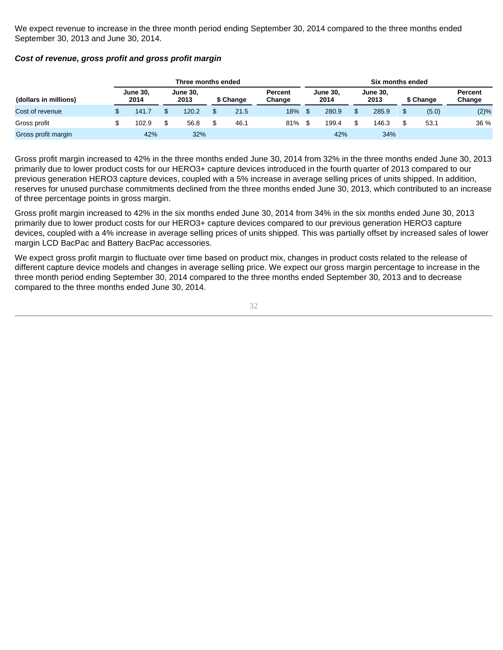We expect revenue to increase in the three month period ending September 30, 2014 compared to the three months ended September 30, 2013 and June 30, 2014.

| (dollars in millions)<br>Cost of revenue |                         |  | Three months ended      |  |           |                   | Six months ended        |       |                         |       |           |       |                   |  |  |
|------------------------------------------|-------------------------|--|-------------------------|--|-----------|-------------------|-------------------------|-------|-------------------------|-------|-----------|-------|-------------------|--|--|
|                                          | <b>June 30,</b><br>2014 |  | <b>June 30,</b><br>2013 |  | \$ Change | Percent<br>Change | <b>June 30.</b><br>2014 |       | <b>June 30,</b><br>2013 |       | \$ Change |       | Percent<br>Change |  |  |
|                                          | 141.7                   |  | 120.2                   |  | 21.5      | 18%               |                         | 280.9 |                         | 285.9 |           | (5.0) | (2)%              |  |  |
| Gross profit                             | 102.9                   |  | 56.8                    |  | 46.1      | 81%               |                         | 199.4 |                         | 146.3 |           | 53.1  | 36 %              |  |  |
| Gross profit margin                      | 42%                     |  | 32%                     |  |           |                   |                         | 42%   |                         | 34%   |           |       |                   |  |  |

#### **Cost of revenue, gross profit and gross profit margin**

Gross profit margin increased to 42% in the three months ended June 30, 2014 from 32% in the three months ended June 30, 2013 primarily due to lower product costs for our HERO3+ capture devices introduced in the fourth quarter of 2013 compared to our previous generation HERO3 capture devices, coupled with a 5% increase in average selling prices of units shipped. In addition, reserves for unused purchase commitments declined from the three months ended June 30, 2013, which contributed to an increase of three percentage points in gross margin.

Gross profit margin increased to 42% in the six months ended June 30, 2014 from 34% in the six months ended June 30, 2013 primarily due to lower product costs for our HERO3+ capture devices compared to our previous generation HERO3 capture devices, coupled with a 4% increase in average selling prices of units shipped. This was partially offset by increased sales of lower margin LCD BacPac and Battery BacPac accessories.

We expect gross profit margin to fluctuate over time based on product mix, changes in product costs related to the release of different capture device models and changes in average selling price. We expect our gross margin percentage to increase in the three month period ending September 30, 2014 compared to the three months ended September 30, 2013 and to decrease compared to the three months ended June 30, 2014.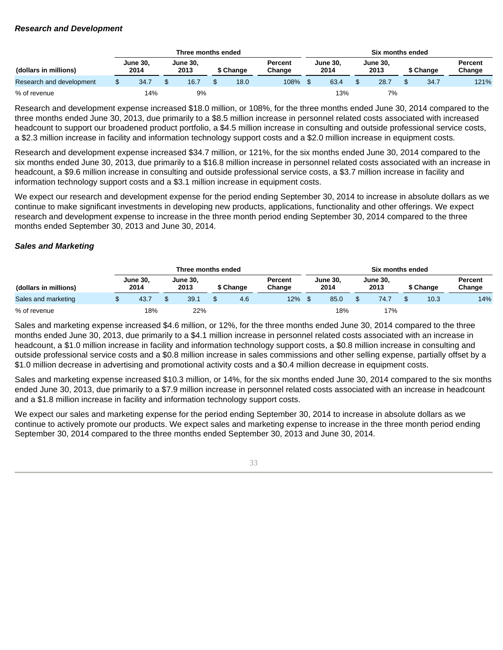#### **Research and Development**

|                          |                         |      |                         | Three months ended |           |      |                   | Six months ended        |      |                         |      |           |      |                   |  |  |
|--------------------------|-------------------------|------|-------------------------|--------------------|-----------|------|-------------------|-------------------------|------|-------------------------|------|-----------|------|-------------------|--|--|
| (dollars in millions)    | <b>June 30,</b><br>2014 |      | <b>June 30,</b><br>2013 |                    | \$ Change |      | Percent<br>Change | <b>June 30.</b><br>2014 |      | <b>June 30,</b><br>2013 |      | \$ Change |      | Percent<br>Change |  |  |
| Research and development |                         | 34.7 |                         | 16.7               |           | 18.0 | 108%              |                         | 63.4 |                         | 28.7 |           | 34.7 | 121%              |  |  |
| % of revenue             |                         | 14%  |                         | 9%                 |           |      |                   |                         | 13%  |                         | 7%   |           |      |                   |  |  |

Research and development expense increased \$18.0 million, or 108%, for the three months ended June 30, 2014 compared to the three months ended June 30, 2013, due primarily to a \$8.5 million increase in personnel related costs associated with increased headcount to support our broadened product portfolio, a \$4.5 million increase in consulting and outside professional service costs, a \$2.3 million increase in facility and information technology support costs and a \$2.0 million increase in equipment costs.

Research and development expense increased \$34.7 million, or 121%, for the six months ended June 30, 2014 compared to the six months ended June 30, 2013, due primarily to a \$16.8 million increase in personnel related costs associated with an increase in headcount, a \$9.6 million increase in consulting and outside professional service costs, a \$3.7 million increase in facility and information technology support costs and a \$3.1 million increase in equipment costs.

We expect our research and development expense for the period ending September 30, 2014 to increase in absolute dollars as we continue to make significant investments in developing new products, applications, functionality and other offerings. We expect research and development expense to increase in the three month period ending September 30, 2014 compared to the three months ended September 30, 2013 and June 30, 2014.

### **Sales and Marketing**

|                       |                         |  | Three months ended      |  |           |                   | Six months ended        |      |                         |      |           |      |                   |  |
|-----------------------|-------------------------|--|-------------------------|--|-----------|-------------------|-------------------------|------|-------------------------|------|-----------|------|-------------------|--|
| (dollars in millions) | <b>June 30,</b><br>2014 |  | <b>June 30.</b><br>2013 |  | \$ Change | Percent<br>Change | <b>June 30.</b><br>2014 |      | <b>June 30,</b><br>2013 |      | \$ Change |      | Percent<br>Change |  |
| Sales and marketing   | 43.7                    |  | 39.1                    |  | 4.6       | 12%               |                         | 85.0 |                         | 74.7 |           | 10.3 | 14%               |  |
| % of revenue          | 18%                     |  | 22%                     |  |           |                   |                         | 18%  |                         | 17%  |           |      |                   |  |

Sales and marketing expense increased \$4.6 million, or 12%, for the three months ended June 30, 2014 compared to the three months ended June 30, 2013, due primarily to a \$4.1 million increase in personnel related costs associated with an increase in headcount, a \$1.0 million increase in facility and information technology support costs, a \$0.8 million increase in consulting and outside professional service costs and a \$0.8 million increase in sales commissions and other selling expense, partially offset by a \$1.0 million decrease in advertising and promotional activity costs and a \$0.4 million decrease in equipment costs.

Sales and marketing expense increased \$10.3 million, or 14%, for the six months ended June 30, 2014 compared to the six months ended June 30, 2013, due primarily to a \$7.9 million increase in personnel related costs associated with an increase in headcount and a \$1.8 million increase in facility and information technology support costs.

We expect our sales and marketing expense for the period ending September 30, 2014 to increase in absolute dollars as we continue to actively promote our products. We expect sales and marketing expense to increase in the three month period ending September 30, 2014 compared to the three months ended September 30, 2013 and June 30, 2014.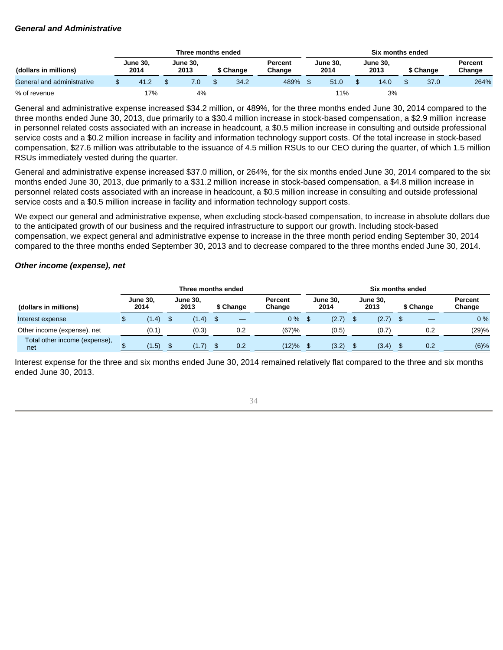#### **General and Administrative**

|                                                  |  |      |                         | Three months ended |           |      |                          | Six months ended        |      |                         |      |           |      |                   |  |
|--------------------------------------------------|--|------|-------------------------|--------------------|-----------|------|--------------------------|-------------------------|------|-------------------------|------|-----------|------|-------------------|--|
| <b>June 30,</b><br>2014<br>(dollars in millions) |  |      | <b>June 30,</b><br>2013 |                    | \$ Change |      | <b>Percent</b><br>Chanɑe | <b>June 30.</b><br>2014 |      | <b>June 30,</b><br>2013 |      | \$ Change |      | Percent<br>Change |  |
| General and administrative                       |  | 41.2 |                         |                    |           | 34.2 | 489%                     |                         | 51.0 |                         | 14.0 |           | 37.0 | 264%              |  |
| % of revenue                                     |  | 17%  |                         | 4%                 |           |      |                          |                         | 11%  |                         | 3%   |           |      |                   |  |

General and administrative expense increased \$34.2 million, or 489%, for the three months ended June 30, 2014 compared to the three months ended June 30, 2013, due primarily to a \$30.4 million increase in stock-based compensation, a \$2.9 million increase in personnel related costs associated with an increase in headcount, a \$0.5 million increase in consulting and outside professional service costs and a \$0.2 million increase in facility and information technology support costs. Of the total increase in stock-based compensation, \$27.6 million was attributable to the issuance of 4.5 million RSUs to our CEO during the quarter, of which 1.5 million RSUs immediately vested during the quarter.

General and administrative expense increased \$37.0 million, or 264%, for the six months ended June 30, 2014 compared to the six months ended June 30, 2013, due primarily to a \$31.2 million increase in stock-based compensation, a \$4.8 million increase in personnel related costs associated with an increase in headcount, a \$0.5 million increase in consulting and outside professional service costs and a \$0.5 million increase in facility and information technology support costs.

We expect our general and administrative expense, when excluding stock-based compensation, to increase in absolute dollars due to the anticipated growth of our business and the required infrastructure to support our growth. Including stock-based compensation, we expect general and administrative expense to increase in the three month period ending September 30, 2014 compared to the three months ended September 30, 2013 and to decrease compared to the three months ended June 30, 2014.

### **Other income (expense), net**

|                                      |                         |       |                         | Three months ended |           |     |                          | Six months ended        |       |                         |       |           |     |                          |  |
|--------------------------------------|-------------------------|-------|-------------------------|--------------------|-----------|-----|--------------------------|-------------------------|-------|-------------------------|-------|-----------|-----|--------------------------|--|
| (dollars in millions)                | <b>June 30.</b><br>2014 |       | <b>June 30.</b><br>2013 |                    | \$ Change |     | <b>Percent</b><br>Change | <b>June 30.</b><br>2014 |       | <b>June 30,</b><br>2013 |       | \$ Change |     | <b>Percent</b><br>Change |  |
| Interest expense                     |                         | (1.4) | -\$                     | (1.4)              |           |     | $0\%$                    |                         | (2.7) |                         | (2.7) |           |     | $0\%$                    |  |
| Other income (expense), net          |                         | (0.1) |                         | (0.3)              |           | 0.2 | (67)%                    |                         | (0.5) |                         | (0.7) |           | 0.2 | (29)%                    |  |
| Total other income (expense),<br>net |                         | (1.5) | \$.                     | (1.7)              |           | 0.2 | (12)%                    |                         | (3.2) | <sup>8</sup>            | (3.4) |           | 0.2 | $(6)\%$                  |  |

Interest expense for the three and six months ended June 30, 2014 remained relatively flat compared to the three and six months ended June 30, 2013.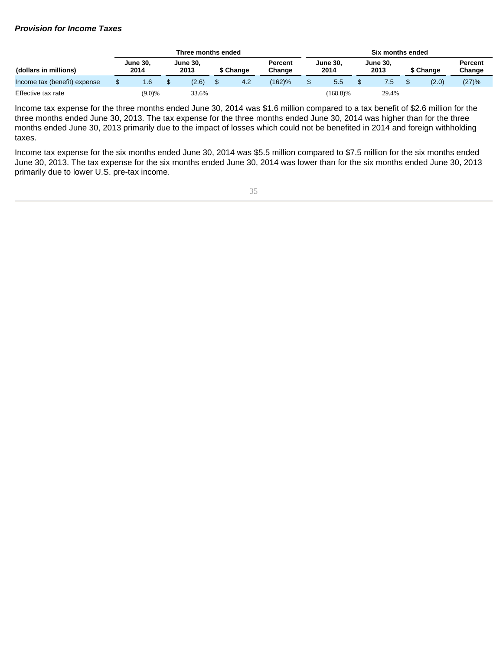#### **Provision for Income Taxes**

|                              |                         |           |                         | Three months ended |           |     |                   |                         | Six months ended |                         |       |           |       |                   |  |  |  |
|------------------------------|-------------------------|-----------|-------------------------|--------------------|-----------|-----|-------------------|-------------------------|------------------|-------------------------|-------|-----------|-------|-------------------|--|--|--|
| (dollars in millions)        | <b>June 30.</b><br>2014 |           | <b>June 30.</b><br>2013 |                    | \$ Change |     | Percent<br>Change | <b>June 30.</b><br>2014 |                  | <b>June 30.</b><br>2013 |       | \$ Change |       | Percent<br>Change |  |  |  |
| Income tax (benefit) expense |                         | 1.6       |                         | (2.6)              |           | 4.2 | (162)%            |                         | 5.5              |                         | ۵. /  |           | (2.0) | (27)%             |  |  |  |
| Effective tax rate           |                         | $(9.0)\%$ |                         | 33.6%              |           |     |                   |                         | $(168.8)\%$      |                         | 29.4% |           |       |                   |  |  |  |

Income tax expense for the three months ended June 30, 2014 was \$1.6 million compared to a tax benefit of \$2.6 million for the three months ended June 30, 2013. The tax expense for the three months ended June 30, 2014 was higher than for the three months ended June 30, 2013 primarily due to the impact of losses which could not be benefited in 2014 and foreign withholding taxes.

Income tax expense for the six months ended June 30, 2014 was \$5.5 million compared to \$7.5 million for the six months ended June 30, 2013. The tax expense for the six months ended June 30, 2014 was lower than for the six months ended June 30, 2013 primarily due to lower U.S. pre-tax income.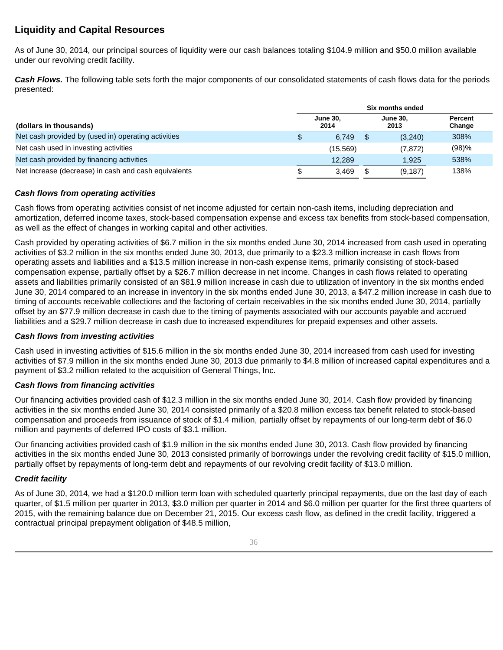# **Liquidity and Capital Resources**

As of June 30, 2014, our principal sources of liquidity were our cash balances totaling \$104.9 million and \$50.0 million available under our revolving credit facility.

**Cash Flows.** The following table sets forth the major components of our consolidated statements of cash flows data for the periods presented:

|                                                      | Six months ended |                         |  |                         |                   |  |
|------------------------------------------------------|------------------|-------------------------|--|-------------------------|-------------------|--|
| (dollars in thousands)                               |                  | <b>June 30.</b><br>2014 |  | <b>June 30.</b><br>2013 | Percent<br>Change |  |
| Net cash provided by (used in) operating activities  | P.               | 6.749                   |  | (3,240)                 | 308%              |  |
| Net cash used in investing activities                |                  | (15.569)                |  | (7, 872)                | (98)%             |  |
| Net cash provided by financing activities            |                  | 12.289                  |  | 1.925                   | 538%              |  |
| Net increase (decrease) in cash and cash equivalents |                  | 3.469                   |  | (9, 187)                | 138%              |  |

# **Cash flows from operating activities**

Cash flows from operating activities consist of net income adjusted for certain non-cash items, including depreciation and amortization, deferred income taxes, stock-based compensation expense and excess tax benefits from stock-based compensation, as well as the effect of changes in working capital and other activities.

Cash provided by operating activities of \$6.7 million in the six months ended June 30, 2014 increased from cash used in operating activities of \$3.2 million in the six months ended June 30, 2013, due primarily to a \$23.3 million increase in cash flows from operating assets and liabilities and a \$13.5 million increase in non-cash expense items, primarily consisting of stock-based compensation expense, partially offset by a \$26.7 million decrease in net income. Changes in cash flows related to operating assets and liabilities primarily consisted of an \$81.9 million increase in cash due to utilization of inventory in the six months ended June 30, 2014 compared to an increase in inventory in the six months ended June 30, 2013, a \$47.2 million increase in cash due to timing of accounts receivable collections and the factoring of certain receivables in the six months ended June 30, 2014, partially offset by an \$77.9 million decrease in cash due to the timing of payments associated with our accounts payable and accrued liabilities and a \$29.7 million decrease in cash due to increased expenditures for prepaid expenses and other assets.

# **Cash flows from investing activities**

Cash used in investing activities of \$15.6 million in the six months ended June 30, 2014 increased from cash used for investing activities of \$7.9 million in the six months ended June 30, 2013 due primarily to \$4.8 million of increased capital expenditures and a payment of \$3.2 million related to the acquisition of General Things, Inc.

# **Cash flows from financing activities**

Our financing activities provided cash of \$12.3 million in the six months ended June 30, 2014. Cash flow provided by financing activities in the six months ended June 30, 2014 consisted primarily of a \$20.8 million excess tax benefit related to stock-based compensation and proceeds from issuance of stock of \$1.4 million, partially offset by repayments of our long-term debt of \$6.0 million and payments of deferred IPO costs of \$3.1 million.

Our financing activities provided cash of \$1.9 million in the six months ended June 30, 2013. Cash flow provided by financing activities in the six months ended June 30, 2013 consisted primarily of borrowings under the revolving credit facility of \$15.0 million, partially offset by repayments of long-term debt and repayments of our revolving credit facility of \$13.0 million.

# **Credit facility**

As of June 30, 2014, we had a \$120.0 million term loan with scheduled quarterly principal repayments, due on the last day of each quarter, of \$1.5 million per quarter in 2013, \$3.0 million per quarter in 2014 and \$6.0 million per quarter for the first three quarters of 2015, with the remaining balance due on December 21, 2015. Our excess cash flow, as defined in the credit facility, triggered a contractual principal prepayment obligation of \$48.5 million,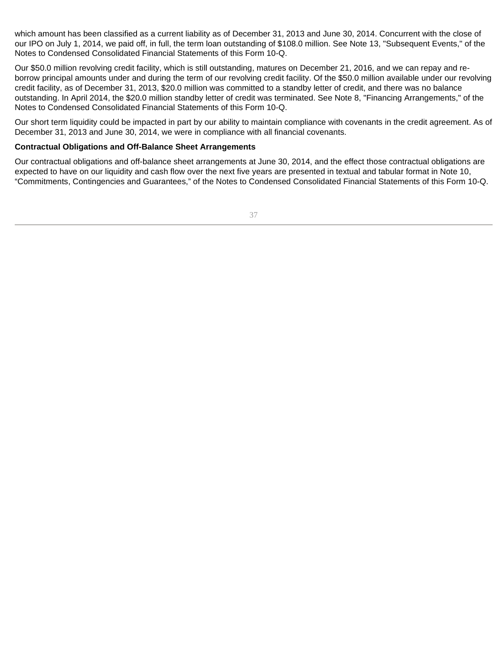which amount has been classified as a current liability as of December 31, 2013 and June 30, 2014. Concurrent with the close of our IPO on July 1, 2014, we paid off, in full, the term loan outstanding of \$108.0 million. See Note 13, "Subsequent Events," of the Notes to Condensed Consolidated Financial Statements of this Form 10-Q.

Our \$50.0 million revolving credit facility, which is still outstanding, matures on December 21, 2016, and we can repay and reborrow principal amounts under and during the term of our revolving credit facility. Of the \$50.0 million available under our revolving credit facility, as of December 31, 2013, \$20.0 million was committed to a standby letter of credit, and there was no balance outstanding. In April 2014, the \$20.0 million standby letter of credit was terminated. See Note 8, "Financing Arrangements," of the Notes to Condensed Consolidated Financial Statements of this Form 10-Q.

Our short term liquidity could be impacted in part by our ability to maintain compliance with covenants in the credit agreement. As of December 31, 2013 and June 30, 2014, we were in compliance with all financial covenants.

# **Contractual Obligations and Off-Balance Sheet Arrangements**

Our contractual obligations and off-balance sheet arrangements at June 30, 2014, and the effect those contractual obligations are expected to have on our liquidity and cash flow over the next five years are presented in textual and tabular format in Note 10, "Commitments, Contingencies and Guarantees," of the Notes to Condensed Consolidated Financial Statements of this Form 10-Q.

37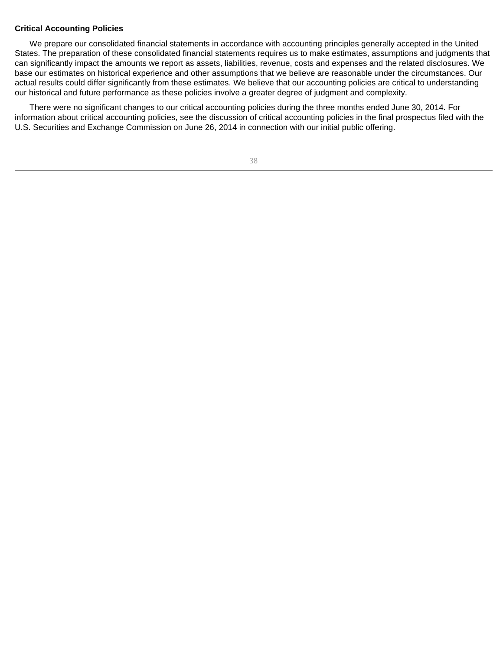## **Critical Accounting Policies**

We prepare our consolidated financial statements in accordance with accounting principles generally accepted in the United States. The preparation of these consolidated financial statements requires us to make estimates, assumptions and judgments that can significantly impact the amounts we report as assets, liabilities, revenue, costs and expenses and the related disclosures. We base our estimates on historical experience and other assumptions that we believe are reasonable under the circumstances. Our actual results could differ significantly from these estimates. We believe that our accounting policies are critical to understanding our historical and future performance as these policies involve a greater degree of judgment and complexity.

There were no significant changes to our critical accounting policies during the three months ended June 30, 2014. For information about critical accounting policies, see the discussion of critical accounting policies in the final prospectus filed with the U.S. Securities and Exchange Commission on June 26, 2014 in connection with our initial public offering.

38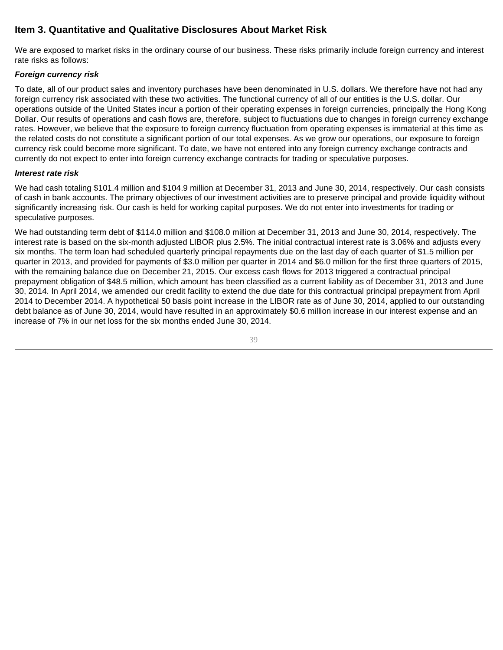# **Item 3. Quantitative and Qualitative Disclosures About Market Risk**

We are exposed to market risks in the ordinary course of our business. These risks primarily include foreign currency and interest rate risks as follows:

# **Foreign currency risk**

To date, all of our product sales and inventory purchases have been denominated in U.S. dollars. We therefore have not had any foreign currency risk associated with these two activities. The functional currency of all of our entities is the U.S. dollar. Our operations outside of the United States incur a portion of their operating expenses in foreign currencies, principally the Hong Kong Dollar. Our results of operations and cash flows are, therefore, subject to fluctuations due to changes in foreign currency exchange rates. However, we believe that the exposure to foreign currency fluctuation from operating expenses is immaterial at this time as the related costs do not constitute a significant portion of our total expenses. As we grow our operations, our exposure to foreign currency risk could become more significant. To date, we have not entered into any foreign currency exchange contracts and currently do not expect to enter into foreign currency exchange contracts for trading or speculative purposes.

# **Interest rate risk**

We had cash totaling \$101.4 million and \$104.9 million at December 31, 2013 and June 30, 2014, respectively. Our cash consists of cash in bank accounts. The primary objectives of our investment activities are to preserve principal and provide liquidity without significantly increasing risk. Our cash is held for working capital purposes. We do not enter into investments for trading or speculative purposes.

We had outstanding term debt of \$114.0 million and \$108.0 million at December 31, 2013 and June 30, 2014, respectively. The interest rate is based on the six-month adjusted LIBOR plus 2.5%. The initial contractual interest rate is 3.06% and adjusts every six months. The term loan had scheduled quarterly principal repayments due on the last day of each quarter of \$1.5 million per quarter in 2013, and provided for payments of \$3.0 million per quarter in 2014 and \$6.0 million for the first three quarters of 2015, with the remaining balance due on December 21, 2015. Our excess cash flows for 2013 triggered a contractual principal prepayment obligation of \$48.5 million, which amount has been classified as a current liability as of December 31, 2013 and June 30, 2014. In April 2014, we amended our credit facility to extend the due date for this contractual principal prepayment from April 2014 to December 2014. A hypothetical 50 basis point increase in the LIBOR rate as of June 30, 2014, applied to our outstanding debt balance as of June 30, 2014, would have resulted in an approximately \$0.6 million increase in our interest expense and an increase of 7% in our net loss for the six months ended June 30, 2014.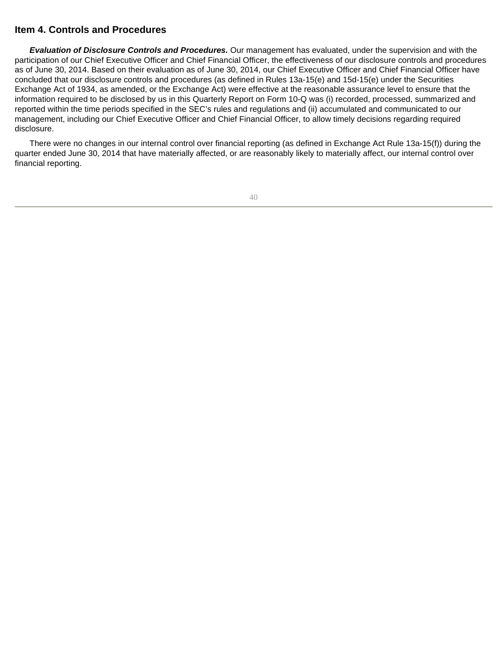# **Item 4. Controls and Procedures**

**Evaluation of Disclosure Controls and Procedures.** Our management has evaluated, under the supervision and with the participation of our Chief Executive Officer and Chief Financial Officer, the effectiveness of our disclosure controls and procedures as of June 30, 2014. Based on their evaluation as of June 30, 2014, our Chief Executive Officer and Chief Financial Officer have concluded that our disclosure controls and procedures (as defined in Rules 13a-15(e) and 15d-15(e) under the Securities Exchange Act of 1934, as amended, or the Exchange Act) were effective at the reasonable assurance level to ensure that the information required to be disclosed by us in this Quarterly Report on Form 10-Q was (i) recorded, processed, summarized and reported within the time periods specified in the SEC's rules and regulations and (ii) accumulated and communicated to our management, including our Chief Executive Officer and Chief Financial Officer, to allow timely decisions regarding required disclosure.

There were no changes in our internal control over financial reporting (as defined in Exchange Act Rule 13a-15(f)) during the quarter ended June 30, 2014 that have materially affected, or are reasonably likely to materially affect, our internal control over financial reporting.

40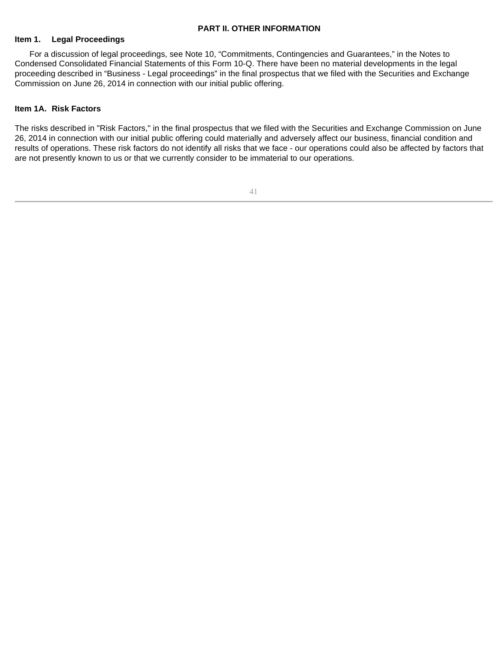## **PART II. OTHER INFORMATION**

## **Item 1. Legal Proceedings**

For a discussion of legal proceedings, see Note 10, "Commitments, Contingencies and Guarantees," in the Notes to Condensed Consolidated Financial Statements of this Form 10-Q. There have been no material developments in the legal proceeding described in "Business - Legal proceedings" in the final prospectus that we filed with the Securities and Exchange Commission on June 26, 2014 in connection with our initial public offering.

# **Item 1A. Risk Factors**

The risks described in "Risk Factors," in the final prospectus that we filed with the Securities and Exchange Commission on June 26, 2014 in connection with our initial public offering could materially and adversely affect our business, financial condition and results of operations. These risk factors do not identify all risks that we face - our operations could also be affected by factors that are not presently known to us or that we currently consider to be immaterial to our operations.

41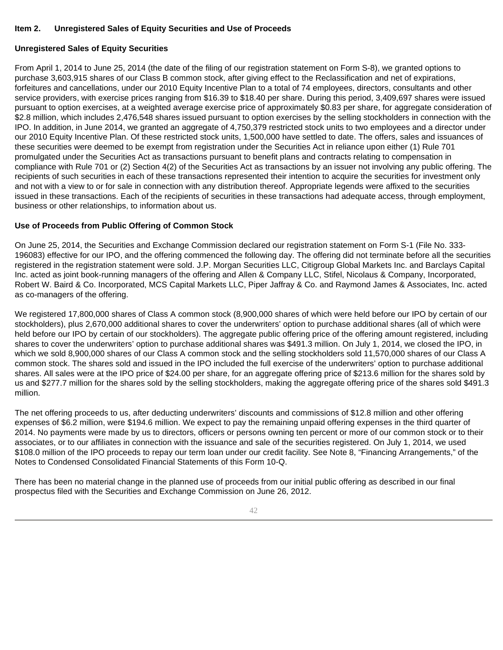# **Item 2. Unregistered Sales of Equity Securities and Use of Proceeds**

# **Unregistered Sales of Equity Securities**

From April 1, 2014 to June 25, 2014 (the date of the filing of our registration statement on Form S-8), we granted options to purchase 3,603,915 shares of our Class B common stock, after giving effect to the Reclassification and net of expirations, forfeitures and cancellations, under our 2010 Equity Incentive Plan to a total of 74 employees, directors, consultants and other service providers, with exercise prices ranging from \$16.39 to \$18.40 per share. During this period, 3,409,697 shares were issued pursuant to option exercises, at a weighted average exercise price of approximately \$0.83 per share, for aggregate consideration of \$2.8 million, which includes 2,476,548 shares issued pursuant to option exercises by the selling stockholders in connection with the IPO. In addition, in June 2014, we granted an aggregate of 4,750,379 restricted stock units to two employees and a director under our 2010 Equity Incentive Plan. Of these restricted stock units, 1,500,000 have settled to date. The offers, sales and issuances of these securities were deemed to be exempt from registration under the Securities Act in reliance upon either (1) Rule 701 promulgated under the Securities Act as transactions pursuant to benefit plans and contracts relating to compensation in compliance with Rule 701 or (2) Section 4(2) of the Securities Act as transactions by an issuer not involving any public offering. The recipients of such securities in each of these transactions represented their intention to acquire the securities for investment only and not with a view to or for sale in connection with any distribution thereof. Appropriate legends were affixed to the securities issued in these transactions. Each of the recipients of securities in these transactions had adequate access, through employment, business or other relationships, to information about us.

# **Use of Proceeds from Public Offering of Common Stock**

On June 25, 2014, the Securities and Exchange Commission declared our registration statement on Form S-1 (File No. 333- 196083) effective for our IPO, and the offering commenced the following day. The offering did not terminate before all the securities registered in the registration statement were sold. J.P. Morgan Securities LLC, Citigroup Global Markets Inc. and Barclays Capital Inc. acted as joint book-running managers of the offering and Allen & Company LLC, Stifel, Nicolaus & Company, Incorporated, Robert W. Baird & Co. Incorporated, MCS Capital Markets LLC, Piper Jaffray & Co. and Raymond James & Associates, Inc. acted as co-managers of the offering.

We registered 17,800,000 shares of Class A common stock (8,900,000 shares of which were held before our IPO by certain of our stockholders), plus 2,670,000 additional shares to cover the underwriters' option to purchase additional shares (all of which were held before our IPO by certain of our stockholders). The aggregate public offering price of the offering amount registered, including shares to cover the underwriters' option to purchase additional shares was \$491.3 million. On July 1, 2014, we closed the IPO, in which we sold 8,900,000 shares of our Class A common stock and the selling stockholders sold 11,570,000 shares of our Class A common stock. The shares sold and issued in the IPO included the full exercise of the underwriters' option to purchase additional shares. All sales were at the IPO price of \$24.00 per share, for an aggregate offering price of \$213.6 million for the shares sold by us and \$277.7 million for the shares sold by the selling stockholders, making the aggregate offering price of the shares sold \$491.3 million.

The net offering proceeds to us, after deducting underwriters' discounts and commissions of \$12.8 million and other offering expenses of \$6.2 million, were \$194.6 million. We expect to pay the remaining unpaid offering expenses in the third quarter of 2014. No payments were made by us to directors, officers or persons owning ten percent or more of our common stock or to their associates, or to our affiliates in connection with the issuance and sale of the securities registered. On July 1, 2014, we used \$108.0 million of the IPO proceeds to repay our term loan under our credit facility. See Note 8, "Financing Arrangements," of the Notes to Condensed Consolidated Financial Statements of this Form 10-Q.

There has been no material change in the planned use of proceeds from our initial public offering as described in our final prospectus filed with the Securities and Exchange Commission on June 26, 2012.

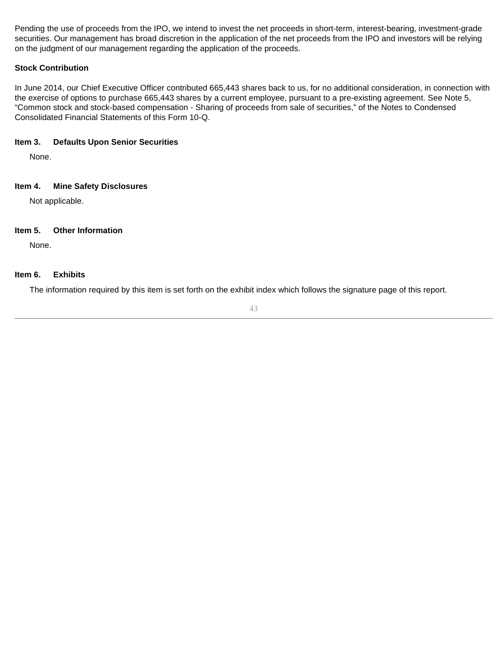Pending the use of proceeds from the IPO, we intend to invest the net proceeds in short-term, interest-bearing, investment-grade securities. Our management has broad discretion in the application of the net proceeds from the IPO and investors will be relying on the judgment of our management regarding the application of the proceeds.

# **Stock Contribution**

In June 2014, our Chief Executive Officer contributed 665,443 shares back to us, for no additional consideration, in connection with the exercise of options to purchase 665,443 shares by a current employee, pursuant to a pre-existing agreement. See Note 5, "Common stock and stock-based compensation - Sharing of proceeds from sale of securities," of the Notes to Condensed Consolidated Financial Statements of this Form 10-Q.

# **Item 3. Defaults Upon Senior Securities**

None.

# **Item 4. Mine Safety Disclosures**

Not applicable.

# **Item 5. Other Information**

None.

# **Item 6. Exhibits**

The information required by this item is set forth on the exhibit index which follows the signature page of this report.

43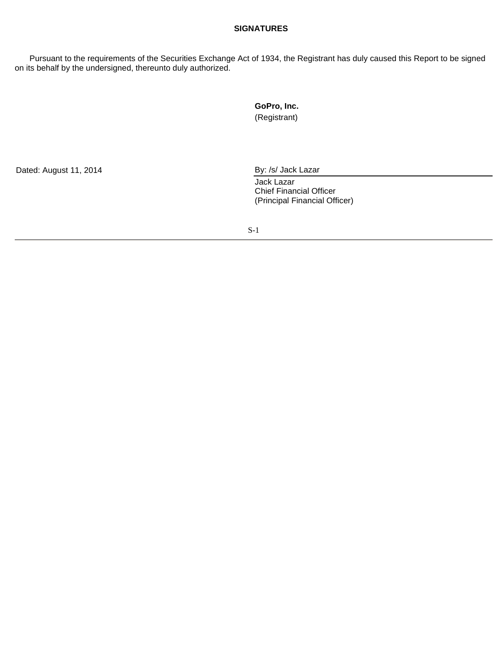# **SIGNATURES**

Pursuant to the requirements of the Securities Exchange Act of 1934, the Registrant has duly caused this Report to be signed on its behalf by the undersigned, thereunto duly authorized.

> **GoPro, Inc.**  (Registrant)

Dated: August 11, 2014 By: /s/ Jack Lazar

Jack Lazar Chief Financial Officer (Principal Financial Officer)

S-1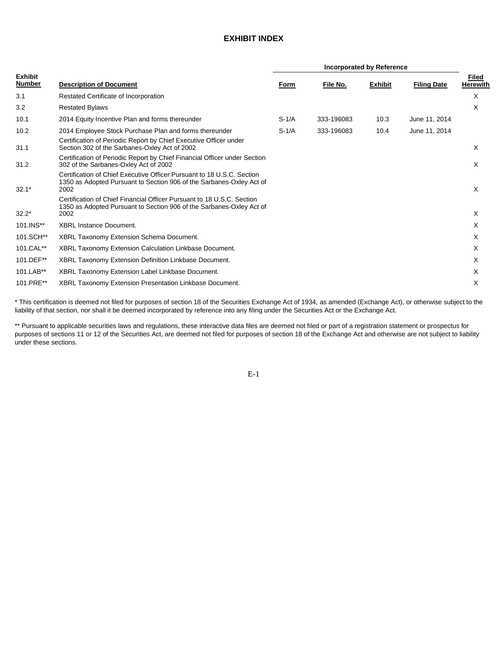# **EXHIBIT INDEX**

| <b>Exhibit</b><br><b>Number</b> | <b>Description of Document</b>                                                                                                                                               | Form    | File No.   | <b>Exhibit</b> | <b>Filing Date</b> | Filed<br><b>Herewith</b> |
|---------------------------------|------------------------------------------------------------------------------------------------------------------------------------------------------------------------------|---------|------------|----------------|--------------------|--------------------------|
| 3.1                             | Restated Certificate of Incorporation                                                                                                                                        |         |            |                |                    | X                        |
| 3.2                             | <b>Restated Bylaws</b>                                                                                                                                                       |         |            |                |                    | X                        |
| 10.1                            | 2014 Equity Incentive Plan and forms thereunder                                                                                                                              | $S-1/A$ | 333-196083 | 10.3           | June 11, 2014      |                          |
| 10.2<br>31.1                    | 2014 Employee Stock Purchase Plan and forms thereunder<br>Certification of Periodic Report by Chief Executive Officer under<br>Section 302 of the Sarbanes-Oxley Act of 2002 | $S-1/A$ | 333-196083 | 10.4           | June 11, 2014      | X                        |
| 31.2                            | Certification of Periodic Report by Chief Financial Officer under Section<br>302 of the Sarbanes-Oxley Act of 2002                                                           |         |            |                |                    | X                        |
| $32.1*$                         | Certification of Chief Executive Officer Pursuant to 18 U.S.C. Section<br>1350 as Adopted Pursuant to Section 906 of the Sarbanes-Oxley Act of<br>2002                       |         |            |                |                    | X                        |
| $32.2*$                         | Certification of Chief Financial Officer Pursuant to 18 U.S.C. Section<br>1350 as Adopted Pursuant to Section 906 of the Sarbanes-Oxley Act of<br>2002                       |         |            |                |                    | X                        |
| 101.INS**                       | <b>XBRL Instance Document.</b>                                                                                                                                               |         |            |                |                    | X                        |
| 101.SCH**                       | XBRL Taxonomy Extension Schema Document.                                                                                                                                     |         |            |                |                    | X                        |
| 101.CAL**                       | XBRL Taxonomy Extension Calculation Linkbase Document.                                                                                                                       |         |            |                |                    | X                        |
| 101.DEF**                       | XBRL Taxonomy Extension Definition Linkbase Document.                                                                                                                        |         |            |                |                    | X                        |
| 101.LAB**                       | XBRL Taxonomy Extension Label Linkbase Document.                                                                                                                             |         |            |                |                    | X                        |
| 101.PRE**                       | XBRL Taxonomy Extension Presentation Linkbase Document.                                                                                                                      |         |            |                |                    | X                        |

\* This certification is deemed not filed for purposes of section 18 of the Securities Exchange Act of 1934, as amended (Exchange Act), or otherwise subject to the liability of that section, nor shall it be deemed incorporated by reference into any filing under the Securities Act or the Exchange Act.

\*\* Pursuant to applicable securities laws and regulations, these interactive data files are deemed not filed or part of a registration statement or prospectus for purposes of sections 11 or 12 of the Securities Act, are deemed not filed for purposes of section 18 of the Exchange Act and otherwise are not subject to liability under these sections.

E-1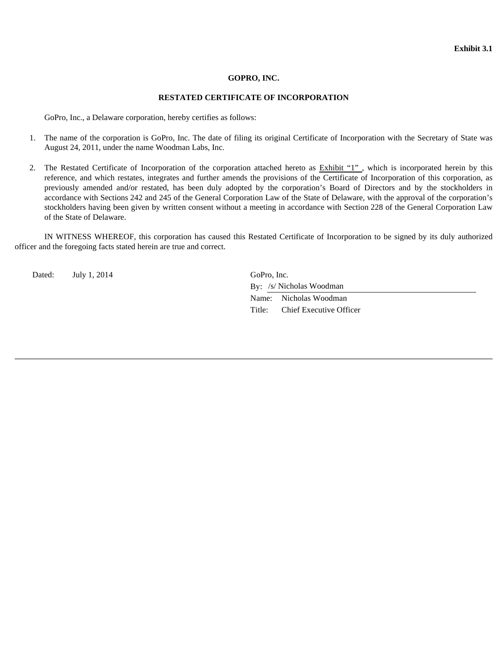#### **GOPRO, INC.**

#### **RESTATED CERTIFICATE OF INCORPORATION**

GoPro, Inc., a Delaware corporation, hereby certifies as follows:

- 1. The name of the corporation is GoPro, Inc. The date of filing its original Certificate of Incorporation with the Secretary of State was August 24, 2011, under the name Woodman Labs, Inc.
- 2. The Restated Certificate of Incorporation of the corporation attached hereto as Exhibit "1" , which is incorporated herein by this reference, and which restates, integrates and further amends the provisions of the Certificate of Incorporation of this corporation, as previously amended and/or restated, has been duly adopted by the corporation's Board of Directors and by the stockholders in accordance with Sections 242 and 245 of the General Corporation Law of the State of Delaware, with the approval of the corporation's stockholders having been given by written consent without a meeting in accordance with Section 228 of the General Corporation Law of the State of Delaware.

IN WITNESS WHEREOF, this corporation has caused this Restated Certificate of Incorporation to be signed by its duly authorized officer and the foregoing facts stated herein are true and correct.

Dated: July 1, 2014 GoPro, Inc.

 By: /s/ Nicholas Woodman Name: Nicholas Woodman Title: Chief Executive Officer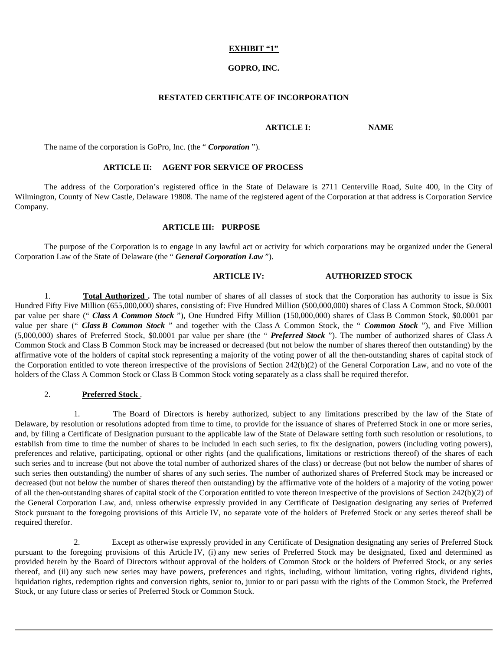### **EXHIBIT "1"**

# **GOPRO, INC.**

#### **RESTATED CERTIFICATE OF INCORPORATION**

#### **ARTICLE I: NAME**

The name of the corporation is GoPro, Inc. (the " *Corporation* ").

### **ARTICLE II: AGENT FOR SERVICE OF PROCESS**

The address of the Corporation's registered office in the State of Delaware is 2711 Centerville Road, Suite 400, in the City of Wilmington, County of New Castle, Delaware 19808. The name of the registered agent of the Corporation at that address is Corporation Service Company.

#### **ARTICLE III: PURPOSE**

The purpose of the Corporation is to engage in any lawful act or activity for which corporations may be organized under the General Corporation Law of the State of Delaware (the " *General Corporation Law* ").

## **ARTICLE IV: AUTHORIZED STOCK**

1. **Total Authorized .** The total number of shares of all classes of stock that the Corporation has authority to issue is Six Hundred Fifty Five Million (655,000,000) shares, consisting of: Five Hundred Million (500,000,000) shares of Class A Common Stock, \$0.0001 par value per share (" *Class A Common Stock* "), One Hundred Fifty Million (150,000,000) shares of Class B Common Stock, \$0.0001 par value per share (" *Class B Common Stock* " and together with the Class A Common Stock, the " *Common Stock* "), and Five Million (5,000,000) shares of Preferred Stock, \$0.0001 par value per share (the " *Preferred Stock* "). The number of authorized shares of Class A Common Stock and Class B Common Stock may be increased or decreased (but not below the number of shares thereof then outstanding) by the affirmative vote of the holders of capital stock representing a majority of the voting power of all the then-outstanding shares of capital stock of the Corporation entitled to vote thereon irrespective of the provisions of Section 242(b)(2) of the General Corporation Law, and no vote of the holders of the Class A Common Stock or Class B Common Stock voting separately as a class shall be required therefor.

## 2. **Preferred Stock** .

1. The Board of Directors is hereby authorized, subject to any limitations prescribed by the law of the State of Delaware, by resolution or resolutions adopted from time to time, to provide for the issuance of shares of Preferred Stock in one or more series, and, by filing a Certificate of Designation pursuant to the applicable law of the State of Delaware setting forth such resolution or resolutions, to establish from time to time the number of shares to be included in each such series, to fix the designation, powers (including voting powers), preferences and relative, participating, optional or other rights (and the qualifications, limitations or restrictions thereof) of the shares of each such series and to increase (but not above the total number of authorized shares of the class) or decrease (but not below the number of shares of such series then outstanding) the number of shares of any such series. The number of authorized shares of Preferred Stock may be increased or decreased (but not below the number of shares thereof then outstanding) by the affirmative vote of the holders of a majority of the voting power of all the then-outstanding shares of capital stock of the Corporation entitled to vote thereon irrespective of the provisions of Section 242(b)(2) of the General Corporation Law, and, unless otherwise expressly provided in any Certificate of Designation designating any series of Preferred Stock pursuant to the foregoing provisions of this Article IV, no separate vote of the holders of Preferred Stock or any series thereof shall be required therefor.

2. Except as otherwise expressly provided in any Certificate of Designation designating any series of Preferred Stock pursuant to the foregoing provisions of this Article IV, (i) any new series of Preferred Stock may be designated, fixed and determined as provided herein by the Board of Directors without approval of the holders of Common Stock or the holders of Preferred Stock, or any series thereof, and (ii) any such new series may have powers, preferences and rights, including, without limitation, voting rights, dividend rights, liquidation rights, redemption rights and conversion rights, senior to, junior to or pari passu with the rights of the Common Stock, the Preferred Stock, or any future class or series of Preferred Stock or Common Stock.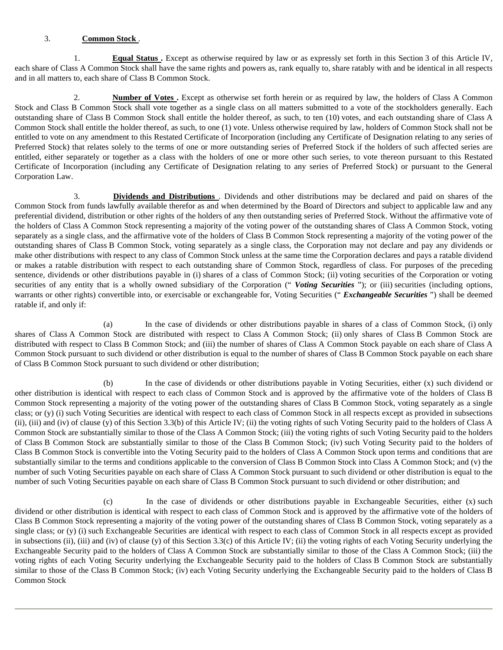# 3. **Common Stock** .

1. **Equal Status .** Except as otherwise required by law or as expressly set forth in this Section 3 of this Article IV, each share of Class A Common Stock shall have the same rights and powers as, rank equally to, share ratably with and be identical in all respects and in all matters to, each share of Class B Common Stock.

2. **Number of Votes .** Except as otherwise set forth herein or as required by law, the holders of Class A Common Stock and Class B Common Stock shall vote together as a single class on all matters submitted to a vote of the stockholders generally. Each outstanding share of Class B Common Stock shall entitle the holder thereof, as such, to ten (10) votes, and each outstanding share of Class A Common Stock shall entitle the holder thereof, as such, to one (1) vote. Unless otherwise required by law, holders of Common Stock shall not be entitled to vote on any amendment to this Restated Certificate of Incorporation (including any Certificate of Designation relating to any series of Preferred Stock) that relates solely to the terms of one or more outstanding series of Preferred Stock if the holders of such affected series are entitled, either separately or together as a class with the holders of one or more other such series, to vote thereon pursuant to this Restated Certificate of Incorporation (including any Certificate of Designation relating to any series of Preferred Stock) or pursuant to the General Corporation Law.

3. **Dividends and Distributions** . Dividends and other distributions may be declared and paid on shares of the Common Stock from funds lawfully available therefor as and when determined by the Board of Directors and subject to applicable law and any preferential dividend, distribution or other rights of the holders of any then outstanding series of Preferred Stock. Without the affirmative vote of the holders of Class A Common Stock representing a majority of the voting power of the outstanding shares of Class A Common Stock, voting separately as a single class, and the affirmative vote of the holders of Class B Common Stock representing a majority of the voting power of the outstanding shares of Class B Common Stock, voting separately as a single class, the Corporation may not declare and pay any dividends or make other distributions with respect to any class of Common Stock unless at the same time the Corporation declares and pays a ratable dividend or makes a ratable distribution with respect to each outstanding share of Common Stock, regardless of class. For purposes of the preceding sentence, dividends or other distributions payable in (i) shares of a class of Common Stock; (ii) voting securities of the Corporation or voting securities of any entity that is a wholly owned subsidiary of the Corporation ("Voting Securities"); or (iii) securities (including options, warrants or other rights) convertible into, or exercisable or exchangeable for, Voting Securities ("*Exchangeable Securities*") shall be deemed ratable if, and only if:

(a) In the case of dividends or other distributions payable in shares of a class of Common Stock, (i) only shares of Class A Common Stock are distributed with respect to Class A Common Stock; (ii) only shares of Class B Common Stock are distributed with respect to Class B Common Stock; and (iii) the number of shares of Class A Common Stock payable on each share of Class A Common Stock pursuant to such dividend or other distribution is equal to the number of shares of Class B Common Stock payable on each share of Class B Common Stock pursuant to such dividend or other distribution;

(b) In the case of dividends or other distributions payable in Voting Securities, either (x) such dividend or other distribution is identical with respect to each class of Common Stock and is approved by the affirmative vote of the holders of Class B Common Stock representing a majority of the voting power of the outstanding shares of Class B Common Stock, voting separately as a single class; or (y) (i) such Voting Securities are identical with respect to each class of Common Stock in all respects except as provided in subsections (ii), (iii) and (iv) of clause (y) of this Section 3.3(b) of this Article IV; (ii) the voting rights of such Voting Security paid to the holders of Class A Common Stock are substantially similar to those of the Class A Common Stock; (iii) the voting rights of such Voting Security paid to the holders of Class B Common Stock are substantially similar to those of the Class B Common Stock; (iv) such Voting Security paid to the holders of Class B Common Stock is convertible into the Voting Security paid to the holders of Class A Common Stock upon terms and conditions that are substantially similar to the terms and conditions applicable to the conversion of Class B Common Stock into Class A Common Stock; and (v) the number of such Voting Securities payable on each share of Class A Common Stock pursuant to such dividend or other distribution is equal to the number of such Voting Securities payable on each share of Class B Common Stock pursuant to such dividend or other distribution; and

(c) In the case of dividends or other distributions payable in Exchangeable Securities, either (x) such dividend or other distribution is identical with respect to each class of Common Stock and is approved by the affirmative vote of the holders of Class B Common Stock representing a majority of the voting power of the outstanding shares of Class B Common Stock, voting separately as a single class; or (y) (i) such Exchangeable Securities are identical with respect to each class of Common Stock in all respects except as provided in subsections (ii), (iii) and (iv) of clause (y) of this Section 3.3(c) of this Article IV; (ii) the voting rights of each Voting Security underlying the Exchangeable Security paid to the holders of Class A Common Stock are substantially similar to those of the Class A Common Stock; (iii) the voting rights of each Voting Security underlying the Exchangeable Security paid to the holders of Class B Common Stock are substantially similar to those of the Class B Common Stock; (iv) each Voting Security underlying the Exchangeable Security paid to the holders of Class B Common Stock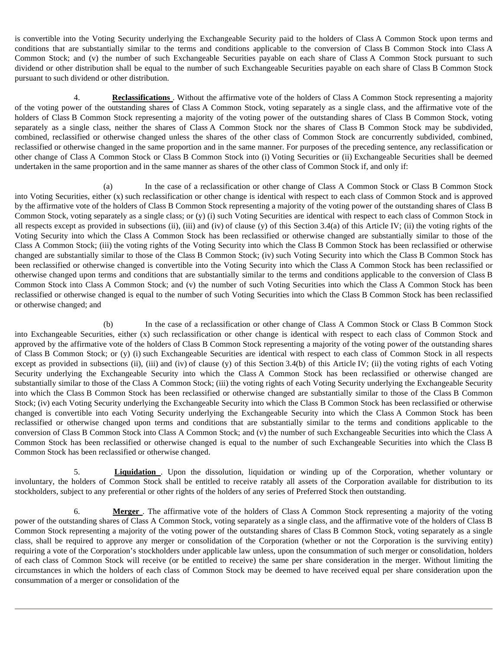is convertible into the Voting Security underlying the Exchangeable Security paid to the holders of Class A Common Stock upon terms and conditions that are substantially similar to the terms and conditions applicable to the conversion of Class B Common Stock into Class A Common Stock; and (v) the number of such Exchangeable Securities payable on each share of Class A Common Stock pursuant to such dividend or other distribution shall be equal to the number of such Exchangeable Securities payable on each share of Class B Common Stock pursuant to such dividend or other distribution.

4. **Reclassifications** . Without the affirmative vote of the holders of Class A Common Stock representing a majority of the voting power of the outstanding shares of Class A Common Stock, voting separately as a single class, and the affirmative vote of the holders of Class B Common Stock representing a majority of the voting power of the outstanding shares of Class B Common Stock, voting separately as a single class, neither the shares of Class A Common Stock nor the shares of Class B Common Stock may be subdivided, combined, reclassified or otherwise changed unless the shares of the other class of Common Stock are concurrently subdivided, combined, reclassified or otherwise changed in the same proportion and in the same manner. For purposes of the preceding sentence, any reclassification or other change of Class A Common Stock or Class B Common Stock into (i) Voting Securities or (ii) Exchangeable Securities shall be deemed undertaken in the same proportion and in the same manner as shares of the other class of Common Stock if, and only if:

(a) In the case of a reclassification or other change of Class A Common Stock or Class B Common Stock into Voting Securities, either (x) such reclassification or other change is identical with respect to each class of Common Stock and is approved by the affirmative vote of the holders of Class B Common Stock representing a majority of the voting power of the outstanding shares of Class B Common Stock, voting separately as a single class; or (y) (i) such Voting Securities are identical with respect to each class of Common Stock in all respects except as provided in subsections (ii), (iii) and (iv) of clause (y) of this Section 3.4(a) of this Article IV; (ii) the voting rights of the Voting Security into which the Class A Common Stock has been reclassified or otherwise changed are substantially similar to those of the Class A Common Stock; (iii) the voting rights of the Voting Security into which the Class B Common Stock has been reclassified or otherwise changed are substantially similar to those of the Class B Common Stock; (iv) such Voting Security into which the Class B Common Stock has been reclassified or otherwise changed is convertible into the Voting Security into which the Class A Common Stock has been reclassified or otherwise changed upon terms and conditions that are substantially similar to the terms and conditions applicable to the conversion of Class B Common Stock into Class A Common Stock; and (v) the number of such Voting Securities into which the Class A Common Stock has been reclassified or otherwise changed is equal to the number of such Voting Securities into which the Class B Common Stock has been reclassified or otherwise changed; and

(b) In the case of a reclassification or other change of Class A Common Stock or Class B Common Stock into Exchangeable Securities, either (x) such reclassification or other change is identical with respect to each class of Common Stock and approved by the affirmative vote of the holders of Class B Common Stock representing a majority of the voting power of the outstanding shares of Class B Common Stock; or (y) (i) such Exchangeable Securities are identical with respect to each class of Common Stock in all respects except as provided in subsections (ii), (iii) and (iv) of clause (y) of this Section 3.4(b) of this Article IV; (ii) the voting rights of each Voting Security underlying the Exchangeable Security into which the Class A Common Stock has been reclassified or otherwise changed are substantially similar to those of the Class A Common Stock; (iii) the voting rights of each Voting Security underlying the Exchangeable Security into which the Class B Common Stock has been reclassified or otherwise changed are substantially similar to those of the Class B Common Stock; (iv) each Voting Security underlying the Exchangeable Security into which the Class B Common Stock has been reclassified or otherwise changed is convertible into each Voting Security underlying the Exchangeable Security into which the Class A Common Stock has been reclassified or otherwise changed upon terms and conditions that are substantially similar to the terms and conditions applicable to the conversion of Class B Common Stock into Class A Common Stock; and (v) the number of such Exchangeable Securities into which the Class A Common Stock has been reclassified or otherwise changed is equal to the number of such Exchangeable Securities into which the Class B Common Stock has been reclassified or otherwise changed.

5. **Liquidation** . Upon the dissolution, liquidation or winding up of the Corporation, whether voluntary or involuntary, the holders of Common Stock shall be entitled to receive ratably all assets of the Corporation available for distribution to its stockholders, subject to any preferential or other rights of the holders of any series of Preferred Stock then outstanding.

6. **Merger** . The affirmative vote of the holders of Class A Common Stock representing a majority of the voting power of the outstanding shares of Class A Common Stock, voting separately as a single class, and the affirmative vote of the holders of Class B Common Stock representing a majority of the voting power of the outstanding shares of Class B Common Stock, voting separately as a single class, shall be required to approve any merger or consolidation of the Corporation (whether or not the Corporation is the surviving entity) requiring a vote of the Corporation's stockholders under applicable law unless, upon the consummation of such merger or consolidation, holders of each class of Common Stock will receive (or be entitled to receive) the same per share consideration in the merger. Without limiting the circumstances in which the holders of each class of Common Stock may be deemed to have received equal per share consideration upon the consummation of a merger or consolidation of the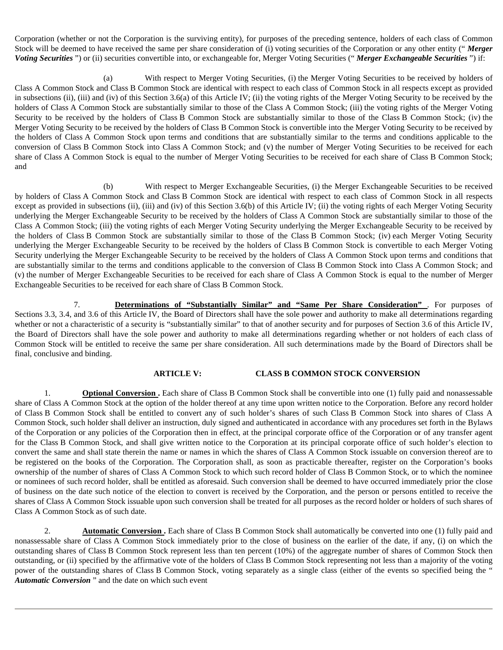Corporation (whether or not the Corporation is the surviving entity), for purposes of the preceding sentence, holders of each class of Common Stock will be deemed to have received the same per share consideration of (i) voting securities of the Corporation or any other entity (" *Merger Voting Securities* ") or (ii) securities convertible into, or exchangeable for, Merger Voting Securities (" *Merger Exchangeable Securities* ") if:

(a) With respect to Merger Voting Securities, (i) the Merger Voting Securities to be received by holders of Class A Common Stock and Class B Common Stock are identical with respect to each class of Common Stock in all respects except as provided in subsections (ii), (iii) and (iv) of this Section 3.6(a) of this Article IV; (ii) the voting rights of the Merger Voting Security to be received by the holders of Class A Common Stock are substantially similar to those of the Class A Common Stock; (iii) the voting rights of the Merger Voting Security to be received by the holders of Class B Common Stock are substantially similar to those of the Class B Common Stock; (iv) the Merger Voting Security to be received by the holders of Class B Common Stock is convertible into the Merger Voting Security to be received by the holders of Class A Common Stock upon terms and conditions that are substantially similar to the terms and conditions applicable to the conversion of Class B Common Stock into Class A Common Stock; and (v) the number of Merger Voting Securities to be received for each share of Class A Common Stock is equal to the number of Merger Voting Securities to be received for each share of Class B Common Stock; and

(b) With respect to Merger Exchangeable Securities, (i) the Merger Exchangeable Securities to be received by holders of Class A Common Stock and Class B Common Stock are identical with respect to each class of Common Stock in all respects except as provided in subsections (ii), (iii) and (iv) of this Section 3.6(b) of this Article IV; (ii) the voting rights of each Merger Voting Security underlying the Merger Exchangeable Security to be received by the holders of Class A Common Stock are substantially similar to those of the Class A Common Stock; (iii) the voting rights of each Merger Voting Security underlying the Merger Exchangeable Security to be received by the holders of Class B Common Stock are substantially similar to those of the Class B Common Stock; (iv) each Merger Voting Security underlying the Merger Exchangeable Security to be received by the holders of Class B Common Stock is convertible to each Merger Voting Security underlying the Merger Exchangeable Security to be received by the holders of Class A Common Stock upon terms and conditions that are substantially similar to the terms and conditions applicable to the conversion of Class B Common Stock into Class A Common Stock; and (v) the number of Merger Exchangeable Securities to be received for each share of Class A Common Stock is equal to the number of Merger Exchangeable Securities to be received for each share of Class B Common Stock.

7. **Determinations of "Substantially Similar" and "Same Per Share Consideration"** . For purposes of Sections 3.3, 3.4, and 3.6 of this Article IV, the Board of Directors shall have the sole power and authority to make all determinations regarding whether or not a characteristic of a security is "substantially similar" to that of another security and for purposes of Section 3.6 of this Article IV, the Board of Directors shall have the sole power and authority to make all determinations regarding whether or not holders of each class of Common Stock will be entitled to receive the same per share consideration. All such determinations made by the Board of Directors shall be final, conclusive and binding.

#### **ARTICLE V: CLASS B COMMON STOCK CONVERSION**

1. **Optional Conversion** . Each share of Class B Common Stock shall be convertible into one (1) fully paid and nonassessable share of Class A Common Stock at the option of the holder thereof at any time upon written notice to the Corporation. Before any record holder of Class B Common Stock shall be entitled to convert any of such holder's shares of such Class B Common Stock into shares of Class A Common Stock, such holder shall deliver an instruction, duly signed and authenticated in accordance with any procedures set forth in the Bylaws of the Corporation or any policies of the Corporation then in effect, at the principal corporate office of the Corporation or of any transfer agent for the Class B Common Stock, and shall give written notice to the Corporation at its principal corporate office of such holder's election to convert the same and shall state therein the name or names in which the shares of Class A Common Stock issuable on conversion thereof are to be registered on the books of the Corporation. The Corporation shall, as soon as practicable thereafter, register on the Corporation's books ownership of the number of shares of Class A Common Stock to which such record holder of Class B Common Stock, or to which the nominee or nominees of such record holder, shall be entitled as aforesaid. Such conversion shall be deemed to have occurred immediately prior the close of business on the date such notice of the election to convert is received by the Corporation, and the person or persons entitled to receive the shares of Class A Common Stock issuable upon such conversion shall be treated for all purposes as the record holder or holders of such shares of Class A Common Stock as of such date.

2. **Automatic Conversion .** Each share of Class B Common Stock shall automatically be converted into one (1) fully paid and nonassessable share of Class A Common Stock immediately prior to the close of business on the earlier of the date, if any, (i) on which the outstanding shares of Class B Common Stock represent less than ten percent (10%) of the aggregate number of shares of Common Stock then outstanding, or (ii) specified by the affirmative vote of the holders of Class B Common Stock representing not less than a majority of the voting power of the outstanding shares of Class B Common Stock, voting separately as a single class (either of the events so specified being the " *Automatic Conversion* " and the date on which such event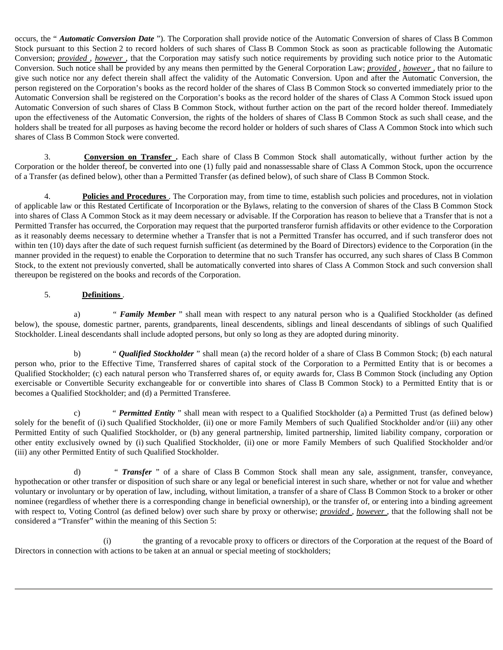occurs, the " *Automatic Conversion Date* "). The Corporation shall provide notice of the Automatic Conversion of shares of Class B Common Stock pursuant to this Section 2 to record holders of such shares of Class B Common Stock as soon as practicable following the Automatic Conversion; *provided* , *however* , that the Corporation may satisfy such notice requirements by providing such notice prior to the Automatic Conversion. Such notice shall be provided by any means then permitted by the General Corporation Law; *provided* , *however* , that no failure to give such notice nor any defect therein shall affect the validity of the Automatic Conversion. Upon and after the Automatic Conversion, the person registered on the Corporation's books as the record holder of the shares of Class B Common Stock so converted immediately prior to the Automatic Conversion shall be registered on the Corporation's books as the record holder of the shares of Class A Common Stock issued upon Automatic Conversion of such shares of Class B Common Stock, without further action on the part of the record holder thereof. Immediately upon the effectiveness of the Automatic Conversion, the rights of the holders of shares of Class B Common Stock as such shall cease, and the holders shall be treated for all purposes as having become the record holder or holders of such shares of Class A Common Stock into which such shares of Class B Common Stock were converted.

3. **Conversion on Transfer .** Each share of Class B Common Stock shall automatically, without further action by the Corporation or the holder thereof, be converted into one (1) fully paid and nonassessable share of Class A Common Stock, upon the occurrence of a Transfer (as defined below), other than a Permitted Transfer (as defined below), of such share of Class B Common Stock.

4. **Policies and Procedures** . The Corporation may, from time to time, establish such policies and procedures, not in violation of applicable law or this Restated Certificate of Incorporation or the Bylaws, relating to the conversion of shares of the Class B Common Stock into shares of Class A Common Stock as it may deem necessary or advisable. If the Corporation has reason to believe that a Transfer that is not a Permitted Transfer has occurred, the Corporation may request that the purported transferor furnish affidavits or other evidence to the Corporation as it reasonably deems necessary to determine whether a Transfer that is not a Permitted Transfer has occurred, and if such transferor does not within ten (10) days after the date of such request furnish sufficient (as determined by the Board of Directors) evidence to the Corporation (in the manner provided in the request) to enable the Corporation to determine that no such Transfer has occurred, any such shares of Class B Common Stock, to the extent not previously converted, shall be automatically converted into shares of Class A Common Stock and such conversion shall thereupon be registered on the books and records of the Corporation.

# 5. **Definitions** .

a) " *Family Member* " shall mean with respect to any natural person who is a Qualified Stockholder (as defined below), the spouse, domestic partner, parents, grandparents, lineal descendents, siblings and lineal descendants of siblings of such Qualified Stockholder. Lineal descendants shall include adopted persons, but only so long as they are adopted during minority.

b) " *Qualified Stockholder* " shall mean (a) the record holder of a share of Class B Common Stock; (b) each natural person who, prior to the Effective Time, Transferred shares of capital stock of the Corporation to a Permitted Entity that is or becomes a Qualified Stockholder; (c) each natural person who Transferred shares of, or equity awards for, Class B Common Stock (including any Option exercisable or Convertible Security exchangeable for or convertible into shares of Class B Common Stock) to a Permitted Entity that is or becomes a Qualified Stockholder; and (d) a Permitted Transferee.

c) " *Permitted Entity* " shall mean with respect to a Qualified Stockholder (a) a Permitted Trust (as defined below) solely for the benefit of (i) such Qualified Stockholder, (ii) one or more Family Members of such Qualified Stockholder and/or (iii) any other Permitted Entity of such Qualified Stockholder, or (b) any general partnership, limited partnership, limited liability company, corporation or other entity exclusively owned by (i) such Qualified Stockholder, (ii) one or more Family Members of such Qualified Stockholder and/or (iii) any other Permitted Entity of such Qualified Stockholder.

d) " *Transfer* " of a share of Class B Common Stock shall mean any sale, assignment, transfer, conveyance, hypothecation or other transfer or disposition of such share or any legal or beneficial interest in such share, whether or not for value and whether voluntary or involuntary or by operation of law, including, without limitation, a transfer of a share of Class B Common Stock to a broker or other nominee (regardless of whether there is a corresponding change in beneficial ownership), or the transfer of, or entering into a binding agreement with respect to, Voting Control (as defined below) over such share by proxy or otherwise; *provided* , *however* , that the following shall not be considered a "Transfer" within the meaning of this Section 5:

(i) the granting of a revocable proxy to officers or directors of the Corporation at the request of the Board of Directors in connection with actions to be taken at an annual or special meeting of stockholders;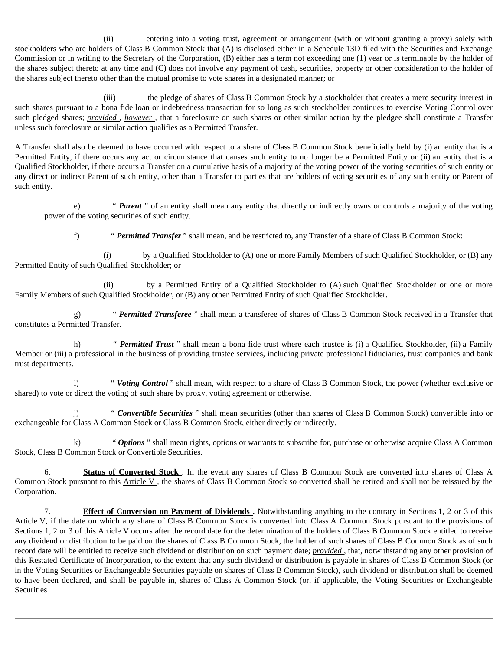(ii) entering into a voting trust, agreement or arrangement (with or without granting a proxy) solely with stockholders who are holders of Class B Common Stock that (A) is disclosed either in a Schedule 13D filed with the Securities and Exchange Commission or in writing to the Secretary of the Corporation, (B) either has a term not exceeding one (1) year or is terminable by the holder of the shares subject thereto at any time and (C) does not involve any payment of cash, securities, property or other consideration to the holder of the shares subject thereto other than the mutual promise to vote shares in a designated manner; or

(iii) the pledge of shares of Class B Common Stock by a stockholder that creates a mere security interest in such shares pursuant to a bona fide loan or indebtedness transaction for so long as such stockholder continues to exercise Voting Control over such pledged shares; *provided* , *however* , that a foreclosure on such shares or other similar action by the pledgee shall constitute a Transfer unless such foreclosure or similar action qualifies as a Permitted Transfer.

A Transfer shall also be deemed to have occurred with respect to a share of Class B Common Stock beneficially held by (i) an entity that is a Permitted Entity, if there occurs any act or circumstance that causes such entity to no longer be a Permitted Entity or (ii) an entity that is a Qualified Stockholder, if there occurs a Transfer on a cumulative basis of a majority of the voting power of the voting securities of such entity or any direct or indirect Parent of such entity, other than a Transfer to parties that are holders of voting securities of any such entity or Parent of such entity.

e) " *Parent* " of an entity shall mean any entity that directly or indirectly owns or controls a majority of the voting power of the voting securities of such entity.

f) " *Permitted Transfer* " shall mean, and be restricted to, any Transfer of a share of Class B Common Stock:

(i) by a Qualified Stockholder to (A) one or more Family Members of such Qualified Stockholder, or (B) any Permitted Entity of such Qualified Stockholder; or

(ii) by a Permitted Entity of a Qualified Stockholder to (A) such Qualified Stockholder or one or more Family Members of such Qualified Stockholder, or (B) any other Permitted Entity of such Qualified Stockholder.

g) " *Permitted Transferee* " shall mean a transferee of shares of Class B Common Stock received in a Transfer that constitutes a Permitted Transfer.

h) " *Permitted Trust* " shall mean a bona fide trust where each trustee is (i) a Qualified Stockholder, (ii) a Family Member or (iii) a professional in the business of providing trustee services, including private professional fiduciaries, trust companies and bank trust departments.

i) " *Voting Control* " shall mean, with respect to a share of Class B Common Stock, the power (whether exclusive or shared) to vote or direct the voting of such share by proxy, voting agreement or otherwise.

j) " *Convertible Securities* " shall mean securities (other than shares of Class B Common Stock) convertible into or exchangeable for Class A Common Stock or Class B Common Stock, either directly or indirectly.

k) " *Options* " shall mean rights, options or warrants to subscribe for, purchase or otherwise acquire Class A Common Stock, Class B Common Stock or Convertible Securities.

6. **Status of Converted Stock** . In the event any shares of Class B Common Stock are converted into shares of Class A Common Stock pursuant to this Article V, the shares of Class B Common Stock so converted shall be retired and shall not be reissued by the Corporation.

7. **Effect of Conversion on Payment of Dividends .** Notwithstanding anything to the contrary in Sections 1, 2 or 3 of this Article V, if the date on which any share of Class B Common Stock is converted into Class A Common Stock pursuant to the provisions of Sections 1, 2 or 3 of this Article V occurs after the record date for the determination of the holders of Class B Common Stock entitled to receive any dividend or distribution to be paid on the shares of Class B Common Stock, the holder of such shares of Class B Common Stock as of such record date will be entitled to receive such dividend or distribution on such payment date; *provided* , that, notwithstanding any other provision of this Restated Certificate of Incorporation, to the extent that any such dividend or distribution is payable in shares of Class B Common Stock (or in the Voting Securities or Exchangeable Securities payable on shares of Class B Common Stock), such dividend or distribution shall be deemed to have been declared, and shall be payable in, shares of Class A Common Stock (or, if applicable, the Voting Securities or Exchangeable **Securities**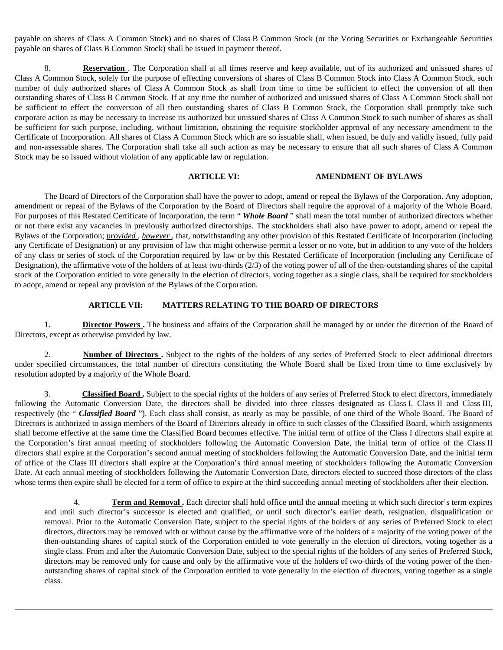payable on shares of Class A Common Stock) and no shares of Class B Common Stock (or the Voting Securities or Exchangeable Securities payable on shares of Class B Common Stock) shall be issued in payment thereof.

8. **Reservation** . The Corporation shall at all times reserve and keep available, out of its authorized and unissued shares of Class A Common Stock, solely for the purpose of effecting conversions of shares of Class B Common Stock into Class A Common Stock, such number of duly authorized shares of Class A Common Stock as shall from time to time be sufficient to effect the conversion of all then outstanding shares of Class B Common Stock. If at any time the number of authorized and unissued shares of Class A Common Stock shall not be sufficient to effect the conversion of all then outstanding shares of Class B Common Stock, the Corporation shall promptly take such corporate action as may be necessary to increase its authorized but unissued shares of Class A Common Stock to such number of shares as shall be sufficient for such purpose, including, without limitation, obtaining the requisite stockholder approval of any necessary amendment to the Certificate of Incorporation. All shares of Class A Common Stock which are so issuable shall, when issued, be duly and validly issued, fully paid and non-assessable shares. The Corporation shall take all such action as may be necessary to ensure that all such shares of Class A Common Stock may be so issued without violation of any applicable law or regulation.

# **ARTICLE VI: AMENDMENT OF BYLAWS**

The Board of Directors of the Corporation shall have the power to adopt, amend or repeal the Bylaws of the Corporation. Any adoption, amendment or repeal of the Bylaws of the Corporation by the Board of Directors shall require the approval of a majority of the Whole Board. For purposes of this Restated Certificate of Incorporation, the term " *Whole Board* " shall mean the total number of authorized directors whether or not there exist any vacancies in previously authorized directorships. The stockholders shall also have power to adopt, amend or repeal the Bylaws of the Corporation; *provided* , *however* , that, notwithstanding any other provision of this Restated Certificate of Incorporation (including any Certificate of Designation) or any provision of law that might otherwise permit a lesser or no vote, but in addition to any vote of the holders of any class or series of stock of the Corporation required by law or by this Restated Certificate of Incorporation (including any Certificate of Designation), the affirmative vote of the holders of at least two-thirds  $(2/3)$  of the voting power of all of the then-outstanding shares of the capital stock of the Corporation entitled to vote generally in the election of directors, voting together as a single class, shall be required for stockholders to adopt, amend or repeal any provision of the Bylaws of the Corporation.

#### **ARTICLE VII: MATTERS RELATING TO THE BOARD OF DIRECTORS**

1. **Director Powers**. The business and affairs of the Corporation shall be managed by or under the direction of the Board of Directors, except as otherwise provided by law.

2. **Number of Directors** . Subject to the rights of the holders of any series of Preferred Stock to elect additional directors under specified circumstances, the total number of directors constituting the Whole Board shall be fixed from time to time exclusively by resolution adopted by a majority of the Whole Board.

3. **Classified Board .** Subject to the special rights of the holders of any series of Preferred Stock to elect directors, immediately following the Automatic Conversion Date, the directors shall be divided into three classes designated as Class I, Class II and Class III, respectively (the " *Classified Board* "). Each class shall consist, as nearly as may be possible, of one third of the Whole Board. The Board of Directors is authorized to assign members of the Board of Directors already in office to such classes of the Classified Board, which assignments shall become effective at the same time the Classified Board becomes effective. The initial term of office of the Class I directors shall expire at the Corporation's first annual meeting of stockholders following the Automatic Conversion Date, the initial term of office of the Class II directors shall expire at the Corporation's second annual meeting of stockholders following the Automatic Conversion Date, and the initial term of office of the Class III directors shall expire at the Corporation's third annual meeting of stockholders following the Automatic Conversion Date. At each annual meeting of stockholders following the Automatic Conversion Date, directors elected to succeed those directors of the class whose terms then expire shall be elected for a term of office to expire at the third succeeding annual meeting of stockholders after their election.

4. **Term and Removal** . Each director shall hold office until the annual meeting at which such director's term expires and until such director's successor is elected and qualified, or until such director's earlier death, resignation, disqualification or removal. Prior to the Automatic Conversion Date, subject to the special rights of the holders of any series of Preferred Stock to elect directors, directors may be removed with or without cause by the affirmative vote of the holders of a majority of the voting power of the then-outstanding shares of capital stock of the Corporation entitled to vote generally in the election of directors, voting together as a single class. From and after the Automatic Conversion Date, subject to the special rights of the holders of any series of Preferred Stock, directors may be removed only for cause and only by the affirmative vote of the holders of two-thirds of the voting power of the thenoutstanding shares of capital stock of the Corporation entitled to vote generally in the election of directors, voting together as a single class.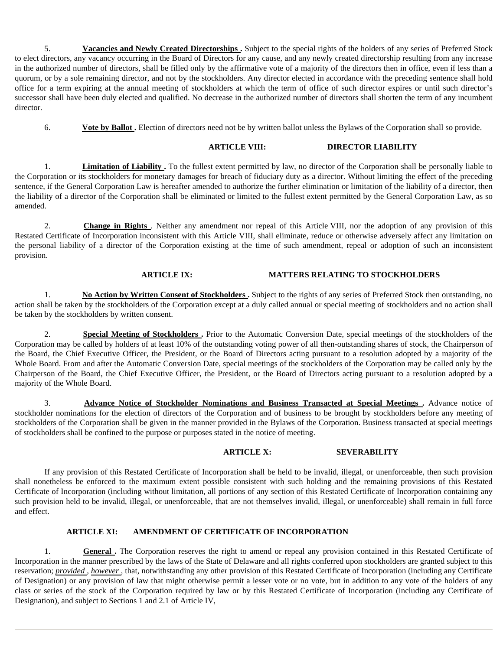5. **Vacancies and Newly Created Directorships .** Subject to the special rights of the holders of any series of Preferred Stock to elect directors, any vacancy occurring in the Board of Directors for any cause, and any newly created directorship resulting from any increase in the authorized number of directors, shall be filled only by the affirmative vote of a majority of the directors then in office, even if less than a quorum, or by a sole remaining director, and not by the stockholders. Any director elected in accordance with the preceding sentence shall hold office for a term expiring at the annual meeting of stockholders at which the term of office of such director expires or until such director's successor shall have been duly elected and qualified. No decrease in the authorized number of directors shall shorten the term of any incumbent director.

6. **Vote by Ballot .** Election of directors need not be by written ballot unless the Bylaws of the Corporation shall so provide.

# **ARTICLE VIII: DIRECTOR LIABILITY**

1. **Limitation of Liability .** To the fullest extent permitted by law, no director of the Corporation shall be personally liable to the Corporation or its stockholders for monetary damages for breach of fiduciary duty as a director. Without limiting the effect of the preceding sentence, if the General Corporation Law is hereafter amended to authorize the further elimination or limitation of the liability of a director, then the liability of a director of the Corporation shall be eliminated or limited to the fullest extent permitted by the General Corporation Law, as so amended.

2. **Change in Rights** . Neither any amendment nor repeal of this Article VIII, nor the adoption of any provision of this Restated Certificate of Incorporation inconsistent with this Article VIII, shall eliminate, reduce or otherwise adversely affect any limitation on the personal liability of a director of the Corporation existing at the time of such amendment, repeal or adoption of such an inconsistent provision.

## **ARTICLE IX: MATTERS RELATING TO STOCKHOLDERS**

1. **No Action by Written Consent of Stockholders .** Subject to the rights of any series of Preferred Stock then outstanding, no action shall be taken by the stockholders of the Corporation except at a duly called annual or special meeting of stockholders and no action shall be taken by the stockholders by written consent.

2. **Special Meeting of Stockholders .** Prior to the Automatic Conversion Date, special meetings of the stockholders of the Corporation may be called by holders of at least 10% of the outstanding voting power of all then-outstanding shares of stock, the Chairperson of the Board, the Chief Executive Officer, the President, or the Board of Directors acting pursuant to a resolution adopted by a majority of the Whole Board. From and after the Automatic Conversion Date, special meetings of the stockholders of the Corporation may be called only by the Chairperson of the Board, the Chief Executive Officer, the President, or the Board of Directors acting pursuant to a resolution adopted by a majority of the Whole Board.

3. **Advance Notice of Stockholder Nominations and Business Transacted at Special Meetings .** Advance notice of stockholder nominations for the election of directors of the Corporation and of business to be brought by stockholders before any meeting of stockholders of the Corporation shall be given in the manner provided in the Bylaws of the Corporation. Business transacted at special meetings of stockholders shall be confined to the purpose or purposes stated in the notice of meeting.

## **ARTICLE X: SEVERABILITY**

If any provision of this Restated Certificate of Incorporation shall be held to be invalid, illegal, or unenforceable, then such provision shall nonetheless be enforced to the maximum extent possible consistent with such holding and the remaining provisions of this Restated Certificate of Incorporation (including without limitation, all portions of any section of this Restated Certificate of Incorporation containing any such provision held to be invalid, illegal, or unenforceable, that are not themselves invalid, illegal, or unenforceable) shall remain in full force and effect.

# **ARTICLE XI: AMENDMENT OF CERTIFICATE OF INCORPORATION**

1. **General**. The Corporation reserves the right to amend or repeal any provision contained in this Restated Certificate of Incorporation in the manner prescribed by the laws of the State of Delaware and all rights conferred upon stockholders are granted subject to this reservation; *provided , however* , that, notwithstanding any other provision of this Restated Certificate of Incorporation (including any Certificate of Designation) or any provision of law that might otherwise permit a lesser vote or no vote, but in addition to any vote of the holders of any class or series of the stock of the Corporation required by law or by this Restated Certificate of Incorporation (including any Certificate of Designation), and subject to Sections 1 and 2.1 of Article IV,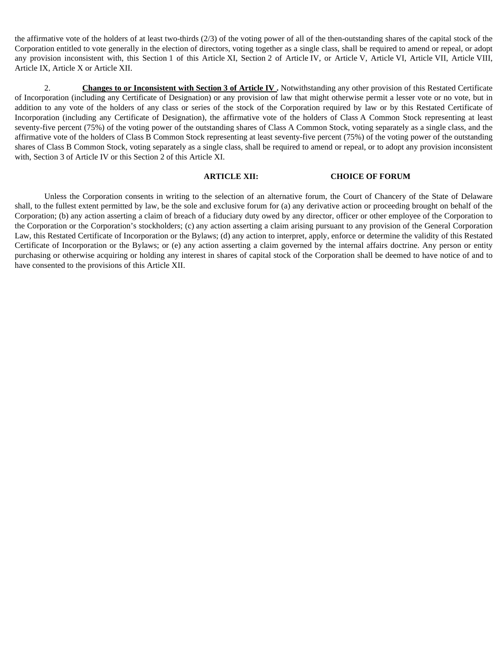the affirmative vote of the holders of at least two-thirds (2/3) of the voting power of all of the then-outstanding shares of the capital stock of the Corporation entitled to vote generally in the election of directors, voting together as a single class, shall be required to amend or repeal, or adopt any provision inconsistent with, this Section 1 of this Article XI, Section 2 of Article IV, or Article V, Article VI, Article VII, Article VIII, Article IX, Article X or Article XII.

2. **Changes to or Inconsistent with Section 3 of Article IV**. Notwithstanding any other provision of this Restated Certificate of Incorporation (including any Certificate of Designation) or any provision of law that might otherwise permit a lesser vote or no vote, but in addition to any vote of the holders of any class or series of the stock of the Corporation required by law or by this Restated Certificate of Incorporation (including any Certificate of Designation), the affirmative vote of the holders of Class A Common Stock representing at least seventy-five percent (75%) of the voting power of the outstanding shares of Class A Common Stock, voting separately as a single class, and the affirmative vote of the holders of Class B Common Stock representing at least seventy-five percent (75%) of the voting power of the outstanding shares of Class B Common Stock, voting separately as a single class, shall be required to amend or repeal, or to adopt any provision inconsistent with, Section 3 of Article IV or this Section 2 of this Article XI.

#### **ARTICLE XII: CHOICE OF FORUM**

Unless the Corporation consents in writing to the selection of an alternative forum, the Court of Chancery of the State of Delaware shall, to the fullest extent permitted by law, be the sole and exclusive forum for (a) any derivative action or proceeding brought on behalf of the Corporation; (b) any action asserting a claim of breach of a fiduciary duty owed by any director, officer or other employee of the Corporation to the Corporation or the Corporation's stockholders; (c) any action asserting a claim arising pursuant to any provision of the General Corporation Law, this Restated Certificate of Incorporation or the Bylaws; (d) any action to interpret, apply, enforce or determine the validity of this Restated Certificate of Incorporation or the Bylaws; or (e) any action asserting a claim governed by the internal affairs doctrine. Any person or entity purchasing or otherwise acquiring or holding any interest in shares of capital stock of the Corporation shall be deemed to have notice of and to have consented to the provisions of this Article XII.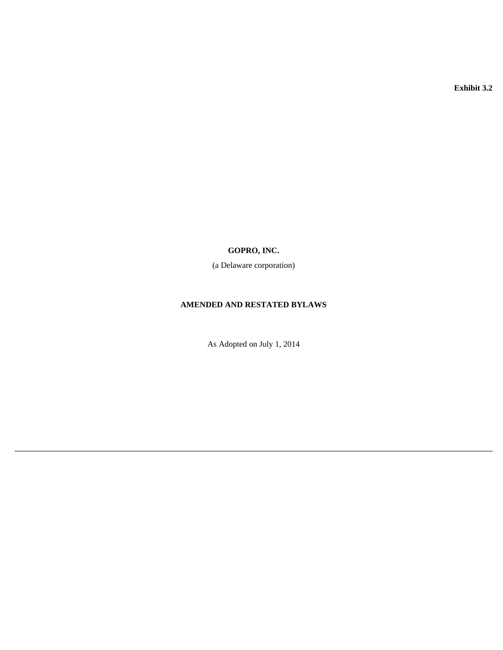**Exhibit 3.2** 

# **GOPRO, INC.**

(a Delaware corporation)

# **AMENDED AND RESTATED BYLAWS**

As Adopted on July 1, 2014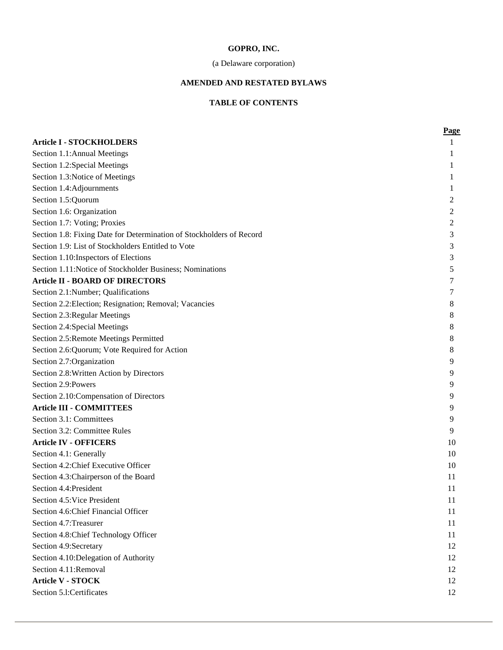# **GOPRO, INC.**

# (a Delaware corporation)

# **AMENDED AND RESTATED BYLAWS**

# **TABLE OF CONTENTS**

|                                                                      | <b>Page</b> |
|----------------------------------------------------------------------|-------------|
| <b>Article I - STOCKHOLDERS</b>                                      |             |
| Section 1.1: Annual Meetings                                         | 1           |
| Section 1.2:Special Meetings                                         | 1           |
| Section 1.3: Notice of Meetings                                      | 1           |
| Section 1.4:Adjournments                                             | 1           |
| Section 1.5:Quorum                                                   | 2           |
| Section 1.6: Organization                                            | 2           |
| Section 1.7: Voting; Proxies                                         | 2           |
| Section 1.8: Fixing Date for Determination of Stockholders of Record | 3           |
| Section 1.9: List of Stockholders Entitled to Vote                   | 3           |
| Section 1.10: Inspectors of Elections                                | 3           |
| Section 1.11: Notice of Stockholder Business; Nominations            | 5           |
| <b>Article II - BOARD OF DIRECTORS</b>                               | 7           |
| Section 2.1:Number; Qualifications                                   | 7           |
| Section 2.2: Election; Resignation; Removal; Vacancies               | 8           |
| Section 2.3: Regular Meetings                                        | 8           |
| Section 2.4:Special Meetings                                         | 8           |
| Section 2.5: Remote Meetings Permitted                               | 8           |
| Section 2.6: Quorum; Vote Required for Action                        | 8           |
| Section 2.7: Organization                                            | 9           |
| Section 2.8: Written Action by Directors                             | 9           |
| Section 2.9:Powers                                                   | 9           |
| Section 2.10: Compensation of Directors                              | 9           |
| <b>Article III - COMMITTEES</b>                                      | 9           |
| Section 3.1: Committees                                              | 9           |
| Section 3.2: Committee Rules                                         | 9           |
| <b>Article IV - OFFICERS</b>                                         | 10          |
| Section 4.1: Generally                                               | 10          |
| Section 4.2: Chief Executive Officer                                 | 10          |
| Section 4.3: Chairperson of the Board                                | 11          |
| Section 4.4: President                                               | 11          |
| Section 4.5: Vice President                                          | 11          |
| Section 4.6: Chief Financial Officer                                 | 11          |
| Section 4.7: Treasurer                                               | 11          |
| Section 4.8: Chief Technology Officer                                | 11          |
| Section 4.9:Secretary                                                | 12          |
| Section 4.10: Delegation of Authority                                | 12          |
| Section 4.11:Removal                                                 | 12          |
| <b>Article V - STOCK</b>                                             | 12          |
| Section 5.1:Certificates                                             | 12          |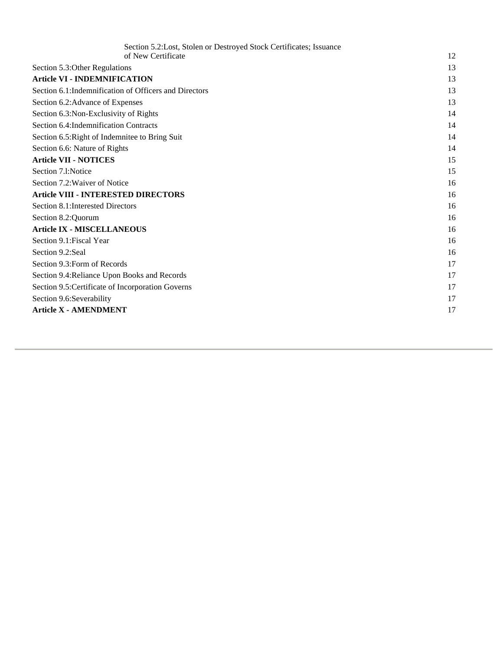| Section 5.2: Lost, Stolen or Destroyed Stock Certificates; Issuance |    |
|---------------------------------------------------------------------|----|
| of New Certificate                                                  | 12 |
| Section 5.3: Other Regulations                                      | 13 |
| <b>Article VI - INDEMNIFICATION</b>                                 | 13 |
| Section 6.1: Indemnification of Officers and Directors              | 13 |
| Section 6.2: Advance of Expenses                                    | 13 |
| Section 6.3: Non-Exclusivity of Rights                              | 14 |
| Section 6.4: Indemnification Contracts                              | 14 |
| Section 6.5: Right of Indemnitee to Bring Suit                      | 14 |
| Section 6.6: Nature of Rights                                       | 14 |
| <b>Article VII - NOTICES</b>                                        | 15 |
| Section 7.1:Notice                                                  | 15 |
| Section 7.2: Waiver of Notice                                       | 16 |
| <b>Article VIII - INTERESTED DIRECTORS</b>                          | 16 |
| Section 8.1: Interested Directors                                   | 16 |
| Section 8.2: Quorum                                                 | 16 |
| <b>Article IX - MISCELLANEOUS</b>                                   | 16 |
| Section 9.1: Fiscal Year                                            | 16 |
| Section 9.2:Seal                                                    | 16 |
| Section 9.3: Form of Records                                        | 17 |
| Section 9.4: Reliance Upon Books and Records                        | 17 |
| Section 9.5: Certificate of Incorporation Governs                   | 17 |
| Section 9.6:Severability                                            | 17 |
| <b>Article X - AMENDMENT</b>                                        | 17 |
|                                                                     |    |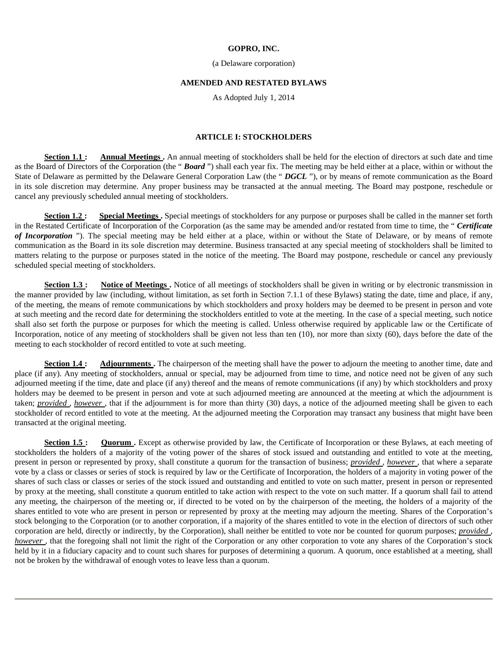#### **GOPRO, INC.**

#### (a Delaware corporation)

#### **AMENDED AND RESTATED BYLAWS**

As Adopted July 1, 2014

# **ARTICLE I: STOCKHOLDERS**

**Section 1.1 :** Annual Meetings . An annual meeting of stockholders shall be held for the election of directors at such date and time as the Board of Directors of the Corporation (the " *Board* ") shall each year fix. The meeting may be held either at a place, within or without the State of Delaware as permitted by the Delaware General Corporation Law (the " *DGCL* "), or by means of remote communication as the Board in its sole discretion may determine. Any proper business may be transacted at the annual meeting. The Board may postpone, reschedule or cancel any previously scheduled annual meeting of stockholders.

Section 1.2: Special Meetings. Special meetings of stockholders for any purpose or purposes shall be called in the manner set forth in the Restated Certificate of Incorporation of the Corporation (as the same may be amended and/or restated from time to time, the " *Certificate of Incorporation* "). The special meeting may be held either at a place, within or without the State of Delaware, or by means of remote communication as the Board in its sole discretion may determine. Business transacted at any special meeting of stockholders shall be limited to matters relating to the purpose or purposes stated in the notice of the meeting. The Board may postpone, reschedule or cancel any previously scheduled special meeting of stockholders.

**Section 1.3 :** Notice of Meetings . Notice of all meetings of stockholders shall be given in writing or by electronic transmission in the manner provided by law (including, without limitation, as set forth in Section 7.1.1 of these Bylaws) stating the date, time and place, if any, of the meeting, the means of remote communications by which stockholders and proxy holders may be deemed to be present in person and vote at such meeting and the record date for determining the stockholders entitled to vote at the meeting. In the case of a special meeting, such notice shall also set forth the purpose or purposes for which the meeting is called. Unless otherwise required by applicable law or the Certificate of Incorporation, notice of any meeting of stockholders shall be given not less than ten (10), nor more than sixty (60), days before the date of the meeting to each stockholder of record entitled to vote at such meeting.

**Section 1.4 :** Adjournments . The chairperson of the meeting shall have the power to adjourn the meeting to another time, date and place (if any). Any meeting of stockholders, annual or special, may be adjourned from time to time, and notice need not be given of any such adjourned meeting if the time, date and place (if any) thereof and the means of remote communications (if any) by which stockholders and proxy holders may be deemed to be present in person and vote at such adjourned meeting are announced at the meeting at which the adjournment is taken; *provided* , *however* , that if the adjournment is for more than thirty (30) days, a notice of the adjourned meeting shall be given to each stockholder of record entitled to vote at the meeting. At the adjourned meeting the Corporation may transact any business that might have been transacted at the original meeting.

**Section 1.5 :** Quorum . Except as otherwise provided by law, the Certificate of Incorporation or these Bylaws, at each meeting of stockholders the holders of a majority of the voting power of the shares of stock issued and outstanding and entitled to vote at the meeting, present in person or represented by proxy, shall constitute a quorum for the transaction of business; *provided* , *however* , that where a separate vote by a class or classes or series of stock is required by law or the Certificate of Incorporation, the holders of a majority in voting power of the shares of such class or classes or series of the stock issued and outstanding and entitled to vote on such matter, present in person or represented by proxy at the meeting, shall constitute a quorum entitled to take action with respect to the vote on such matter. If a quorum shall fail to attend any meeting, the chairperson of the meeting or, if directed to be voted on by the chairperson of the meeting, the holders of a majority of the shares entitled to vote who are present in person or represented by proxy at the meeting may adjourn the meeting. Shares of the Corporation's stock belonging to the Corporation (or to another corporation, if a majority of the shares entitled to vote in the election of directors of such other corporation are held, directly or indirectly, by the Corporation), shall neither be entitled to vote nor be counted for quorum purposes; *provided* , *however*, that the foregoing shall not limit the right of the Corporation or any other corporation to vote any shares of the Corporation's stock held by it in a fiduciary capacity and to count such shares for purposes of determining a quorum. A quorum, once established at a meeting, shall not be broken by the withdrawal of enough votes to leave less than a quorum.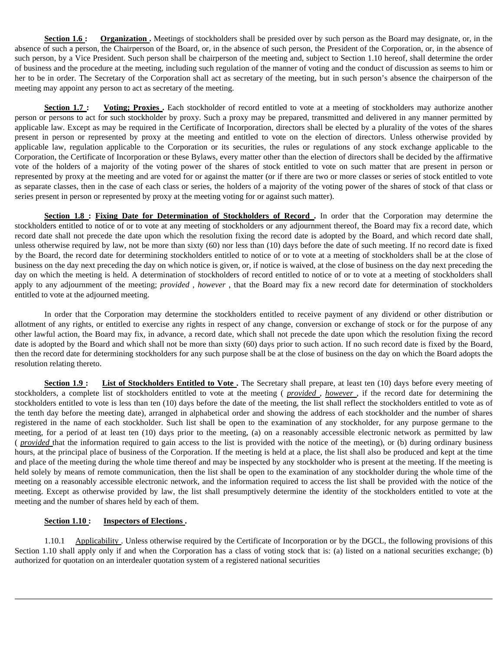**Section 1.6 : Organization**. Meetings of stockholders shall be presided over by such person as the Board may designate, or, in the absence of such a person, the Chairperson of the Board, or, in the absence of such person, the President of the Corporation, or, in the absence of such person, by a Vice President. Such person shall be chairperson of the meeting and, subject to Section 1.10 hereof, shall determine the order of business and the procedure at the meeting, including such regulation of the manner of voting and the conduct of discussion as seems to him or her to be in order. The Secretary of the Corporation shall act as secretary of the meeting, but in such person's absence the chairperson of the meeting may appoint any person to act as secretary of the meeting.

**Section 1.7 :** Voting; Proxies . Each stockholder of record entitled to vote at a meeting of stockholders may authorize another person or persons to act for such stockholder by proxy. Such a proxy may be prepared, transmitted and delivered in any manner permitted by applicable law. Except as may be required in the Certificate of Incorporation, directors shall be elected by a plurality of the votes of the shares present in person or represented by proxy at the meeting and entitled to vote on the election of directors. Unless otherwise provided by applicable law, regulation applicable to the Corporation or its securities, the rules or regulations of any stock exchange applicable to the Corporation, the Certificate of Incorporation or these Bylaws, every matter other than the election of directors shall be decided by the affirmative vote of the holders of a majority of the voting power of the shares of stock entitled to vote on such matter that are present in person or represented by proxy at the meeting and are voted for or against the matter (or if there are two or more classes or series of stock entitled to vote as separate classes, then in the case of each class or series, the holders of a majority of the voting power of the shares of stock of that class or series present in person or represented by proxy at the meeting voting for or against such matter).

**Section 1.8 : Fixing Date for Determination of Stockholders of Record.** In order that the Corporation may determine the stockholders entitled to notice of or to vote at any meeting of stockholders or any adjournment thereof, the Board may fix a record date, which record date shall not precede the date upon which the resolution fixing the record date is adopted by the Board, and which record date shall, unless otherwise required by law, not be more than sixty (60) nor less than (10) days before the date of such meeting. If no record date is fixed by the Board, the record date for determining stockholders entitled to notice of or to vote at a meeting of stockholders shall be at the close of business on the day next preceding the day on which notice is given, or, if notice is waived, at the close of business on the day next preceding the day on which the meeting is held. A determination of stockholders of record entitled to notice of or to vote at a meeting of stockholders shall apply to any adjournment of the meeting; *provided* , *however* , that the Board may fix a new record date for determination of stockholders entitled to vote at the adjourned meeting.

In order that the Corporation may determine the stockholders entitled to receive payment of any dividend or other distribution or allotment of any rights, or entitled to exercise any rights in respect of any change, conversion or exchange of stock or for the purpose of any other lawful action, the Board may fix, in advance, a record date, which shall not precede the date upon which the resolution fixing the record date is adopted by the Board and which shall not be more than sixty (60) days prior to such action. If no such record date is fixed by the Board, then the record date for determining stockholders for any such purpose shall be at the close of business on the day on which the Board adopts the resolution relating thereto.

**Section 1.9 :** List of Stockholders Entitled to Vote . The Secretary shall prepare, at least ten (10) days before every meeting of stockholders, a complete list of stockholders entitled to vote at the meeting ( *provided* , *however* , if the record date for determining the stockholders entitled to vote is less than ten (10) days before the date of the meeting, the list shall reflect the stockholders entitled to vote as of the tenth day before the meeting date), arranged in alphabetical order and showing the address of each stockholder and the number of shares registered in the name of each stockholder. Such list shall be open to the examination of any stockholder, for any purpose germane to the meeting, for a period of at least ten (10) days prior to the meeting, (a) on a reasonably accessible electronic network as permitted by law ( *provided* that the information required to gain access to the list is provided with the notice of the meeting), or (b) during ordinary business hours, at the principal place of business of the Corporation. If the meeting is held at a place, the list shall also be produced and kept at the time and place of the meeting during the whole time thereof and may be inspected by any stockholder who is present at the meeting. If the meeting is held solely by means of remote communication, then the list shall be open to the examination of any stockholder during the whole time of the meeting on a reasonably accessible electronic network, and the information required to access the list shall be provided with the notice of the meeting. Except as otherwise provided by law, the list shall presumptively determine the identity of the stockholders entitled to vote at the meeting and the number of shares held by each of them.

# **Section 1.10 : Inspectors of Elections .**

1.10.1 Applicability . Unless otherwise required by the Certificate of Incorporation or by the DGCL, the following provisions of this Section 1.10 shall apply only if and when the Corporation has a class of voting stock that is: (a) listed on a national securities exchange; (b) authorized for quotation on an interdealer quotation system of a registered national securities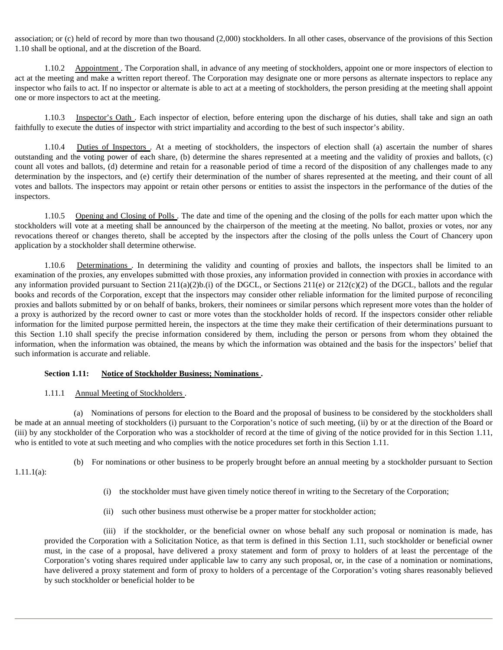association; or (c) held of record by more than two thousand (2,000) stockholders. In all other cases, observance of the provisions of this Section 1.10 shall be optional, and at the discretion of the Board.

1.10.2 Appointment. The Corporation shall, in advance of any meeting of stockholders, appoint one or more inspectors of election to act at the meeting and make a written report thereof. The Corporation may designate one or more persons as alternate inspectors to replace any inspector who fails to act. If no inspector or alternate is able to act at a meeting of stockholders, the person presiding at the meeting shall appoint one or more inspectors to act at the meeting.

1.10.3 Inspector's Oath . Each inspector of election, before entering upon the discharge of his duties, shall take and sign an oath faithfully to execute the duties of inspector with strict impartiality and according to the best of such inspector's ability.

1.10.4 Duties of Inspectors . At a meeting of stockholders, the inspectors of election shall (a) ascertain the number of shares outstanding and the voting power of each share, (b) determine the shares represented at a meeting and the validity of proxies and ballots, (c) count all votes and ballots, (d) determine and retain for a reasonable period of time a record of the disposition of any challenges made to any determination by the inspectors, and (e) certify their determination of the number of shares represented at the meeting, and their count of all votes and ballots. The inspectors may appoint or retain other persons or entities to assist the inspectors in the performance of the duties of the inspectors.

1.10.5 Opening and Closing of Polls . The date and time of the opening and the closing of the polls for each matter upon which the stockholders will vote at a meeting shall be announced by the chairperson of the meeting at the meeting. No ballot, proxies or votes, nor any revocations thereof or changes thereto, shall be accepted by the inspectors after the closing of the polls unless the Court of Chancery upon application by a stockholder shall determine otherwise.

1.10.6 Determinations . In determining the validity and counting of proxies and ballots, the inspectors shall be limited to an examination of the proxies, any envelopes submitted with those proxies, any information provided in connection with proxies in accordance with any information provided pursuant to Section 211(a)(2)b.(i) of the DGCL, or Sections 211(e) or 212(c)(2) of the DGCL, ballots and the regular books and records of the Corporation, except that the inspectors may consider other reliable information for the limited purpose of reconciling proxies and ballots submitted by or on behalf of banks, brokers, their nominees or similar persons which represent more votes than the holder of a proxy is authorized by the record owner to cast or more votes than the stockholder holds of record. If the inspectors consider other reliable information for the limited purpose permitted herein, the inspectors at the time they make their certification of their determinations pursuant to this Section 1.10 shall specify the precise information considered by them, including the person or persons from whom they obtained the information, when the information was obtained, the means by which the information was obtained and the basis for the inspectors' belief that such information is accurate and reliable.

#### **Section 1.11: Notice of Stockholder Business; Nominations .**

## 1.11.1 Annual Meeting of Stockholders.

(a) Nominations of persons for election to the Board and the proposal of business to be considered by the stockholders shall be made at an annual meeting of stockholders (i) pursuant to the Corporation's notice of such meeting, (ii) by or at the direction of the Board or (iii) by any stockholder of the Corporation who was a stockholder of record at the time of giving of the notice provided for in this Section 1.11, who is entitled to vote at such meeting and who complies with the notice procedures set forth in this Section 1.11.

1.11.1(a):

(b) For nominations or other business to be properly brought before an annual meeting by a stockholder pursuant to Section

- (i) the stockholder must have given timely notice thereof in writing to the Secretary of the Corporation;
- (ii) such other business must otherwise be a proper matter for stockholder action;

(iii) if the stockholder, or the beneficial owner on whose behalf any such proposal or nomination is made, has provided the Corporation with a Solicitation Notice, as that term is defined in this Section 1.11, such stockholder or beneficial owner must, in the case of a proposal, have delivered a proxy statement and form of proxy to holders of at least the percentage of the Corporation's voting shares required under applicable law to carry any such proposal, or, in the case of a nomination or nominations, have delivered a proxy statement and form of proxy to holders of a percentage of the Corporation's voting shares reasonably believed by such stockholder or beneficial holder to be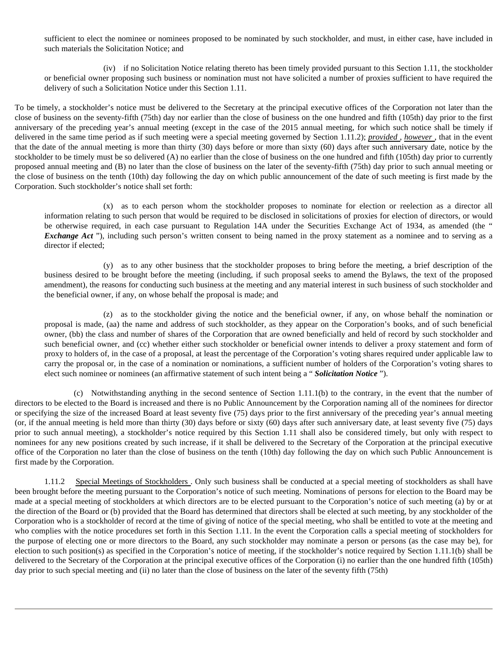sufficient to elect the nominee or nominees proposed to be nominated by such stockholder, and must, in either case, have included in such materials the Solicitation Notice; and

(iv) if no Solicitation Notice relating thereto has been timely provided pursuant to this Section 1.11, the stockholder or beneficial owner proposing such business or nomination must not have solicited a number of proxies sufficient to have required the delivery of such a Solicitation Notice under this Section 1.11.

To be timely, a stockholder's notice must be delivered to the Secretary at the principal executive offices of the Corporation not later than the close of business on the seventy-fifth (75th) day nor earlier than the close of business on the one hundred and fifth (105th) day prior to the first anniversary of the preceding year's annual meeting (except in the case of the 2015 annual meeting, for which such notice shall be timely if delivered in the same time period as if such meeting were a special meeting governed by Section 1.11.2); *provided* , *however* , that in the event that the date of the annual meeting is more than thirty (30) days before or more than sixty (60) days after such anniversary date, notice by the stockholder to be timely must be so delivered (A) no earlier than the close of business on the one hundred and fifth (105th) day prior to currently proposed annual meeting and (B) no later than the close of business on the later of the seventy-fifth (75th) day prior to such annual meeting or the close of business on the tenth (10th) day following the day on which public announcement of the date of such meeting is first made by the Corporation. Such stockholder's notice shall set forth:

(x) as to each person whom the stockholder proposes to nominate for election or reelection as a director all information relating to such person that would be required to be disclosed in solicitations of proxies for election of directors, or would be otherwise required, in each case pursuant to Regulation 14A under the Securities Exchange Act of 1934, as amended (the " *Exchange Act* "), including such person's written consent to being named in the proxy statement as a nominee and to serving as a director if elected;

(y) as to any other business that the stockholder proposes to bring before the meeting, a brief description of the business desired to be brought before the meeting (including, if such proposal seeks to amend the Bylaws, the text of the proposed amendment), the reasons for conducting such business at the meeting and any material interest in such business of such stockholder and the beneficial owner, if any, on whose behalf the proposal is made; and

(z) as to the stockholder giving the notice and the beneficial owner, if any, on whose behalf the nomination or proposal is made, (aa) the name and address of such stockholder, as they appear on the Corporation's books, and of such beneficial owner, (bb) the class and number of shares of the Corporation that are owned beneficially and held of record by such stockholder and such beneficial owner, and (cc) whether either such stockholder or beneficial owner intends to deliver a proxy statement and form of proxy to holders of, in the case of a proposal, at least the percentage of the Corporation's voting shares required under applicable law to carry the proposal or, in the case of a nomination or nominations, a sufficient number of holders of the Corporation's voting shares to elect such nominee or nominees (an affirmative statement of such intent being a " *Solicitation Notice* ").

(c) Notwithstanding anything in the second sentence of Section 1.11.1(b) to the contrary, in the event that the number of directors to be elected to the Board is increased and there is no Public Announcement by the Corporation naming all of the nominees for director or specifying the size of the increased Board at least seventy five (75) days prior to the first anniversary of the preceding year's annual meeting (or, if the annual meeting is held more than thirty (30) days before or sixty (60) days after such anniversary date, at least seventy five (75) days prior to such annual meeting), a stockholder's notice required by this Section 1.11 shall also be considered timely, but only with respect to nominees for any new positions created by such increase, if it shall be delivered to the Secretary of the Corporation at the principal executive office of the Corporation no later than the close of business on the tenth (10th) day following the day on which such Public Announcement is first made by the Corporation.

1.11.2 Special Meetings of Stockholders . Only such business shall be conducted at a special meeting of stockholders as shall have been brought before the meeting pursuant to the Corporation's notice of such meeting. Nominations of persons for election to the Board may be made at a special meeting of stockholders at which directors are to be elected pursuant to the Corporation's notice of such meeting (a) by or at the direction of the Board or (b) provided that the Board has determined that directors shall be elected at such meeting, by any stockholder of the Corporation who is a stockholder of record at the time of giving of notice of the special meeting, who shall be entitled to vote at the meeting and who complies with the notice procedures set forth in this Section 1.11. In the event the Corporation calls a special meeting of stockholders for the purpose of electing one or more directors to the Board, any such stockholder may nominate a person or persons (as the case may be), for election to such position(s) as specified in the Corporation's notice of meeting, if the stockholder's notice required by Section 1.11.1(b) shall be delivered to the Secretary of the Corporation at the principal executive offices of the Corporation (i) no earlier than the one hundred fifth (105th) day prior to such special meeting and (ii) no later than the close of business on the later of the seventy fifth (75th)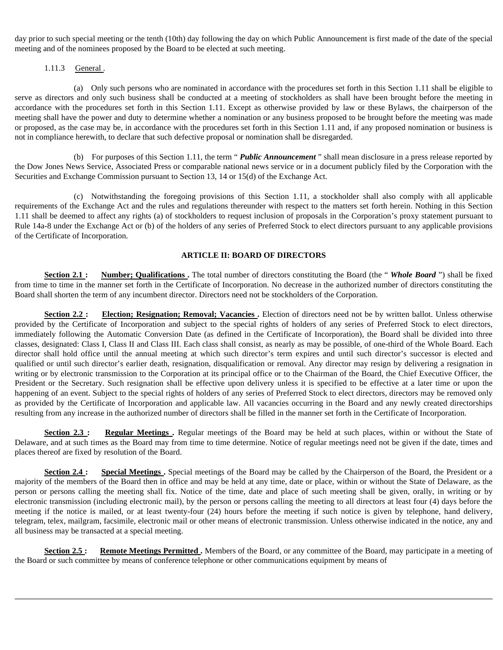day prior to such special meeting or the tenth (10th) day following the day on which Public Announcement is first made of the date of the special meeting and of the nominees proposed by the Board to be elected at such meeting.

# 1.11.3 General .

(a) Only such persons who are nominated in accordance with the procedures set forth in this Section 1.11 shall be eligible to serve as directors and only such business shall be conducted at a meeting of stockholders as shall have been brought before the meeting in accordance with the procedures set forth in this Section 1.11. Except as otherwise provided by law or these Bylaws, the chairperson of the meeting shall have the power and duty to determine whether a nomination or any business proposed to be brought before the meeting was made or proposed, as the case may be, in accordance with the procedures set forth in this Section 1.11 and, if any proposed nomination or business is not in compliance herewith, to declare that such defective proposal or nomination shall be disregarded.

(b) For purposes of this Section 1.11, the term " *Public Announcement* " shall mean disclosure in a press release reported by the Dow Jones News Service, Associated Press or comparable national news service or in a document publicly filed by the Corporation with the Securities and Exchange Commission pursuant to Section 13, 14 or 15(d) of the Exchange Act.

(c) Notwithstanding the foregoing provisions of this Section 1.11, a stockholder shall also comply with all applicable requirements of the Exchange Act and the rules and regulations thereunder with respect to the matters set forth herein. Nothing in this Section 1.11 shall be deemed to affect any rights (a) of stockholders to request inclusion of proposals in the Corporation's proxy statement pursuant to Rule 14a-8 under the Exchange Act or (b) of the holders of any series of Preferred Stock to elect directors pursuant to any applicable provisions of the Certificate of Incorporation.

## **ARTICLE II: BOARD OF DIRECTORS**

**Section 2.1 :** Number; Qualifications . The total number of directors constituting the Board (the "*Whole Board* ") shall be fixed from time to time in the manner set forth in the Certificate of Incorporation. No decrease in the authorized number of directors constituting the Board shall shorten the term of any incumbent director. Directors need not be stockholders of the Corporation.

**Section 2.2 :** Election; Resignation; Removal; Vacancies . Election of directors need not be by written ballot. Unless otherwise provided by the Certificate of Incorporation and subject to the special rights of holders of any series of Preferred Stock to elect directors, immediately following the Automatic Conversion Date (as defined in the Certificate of Incorporation), the Board shall be divided into three classes, designated: Class I, Class II and Class III. Each class shall consist, as nearly as may be possible, of one-third of the Whole Board. Each director shall hold office until the annual meeting at which such director's term expires and until such director's successor is elected and qualified or until such director's earlier death, resignation, disqualification or removal. Any director may resign by delivering a resignation in writing or by electronic transmission to the Corporation at its principal office or to the Chairman of the Board, the Chief Executive Officer, the President or the Secretary. Such resignation shall be effective upon delivery unless it is specified to be effective at a later time or upon the happening of an event. Subject to the special rights of holders of any series of Preferred Stock to elect directors, directors may be removed only as provided by the Certificate of Incorporation and applicable law. All vacancies occurring in the Board and any newly created directorships resulting from any increase in the authorized number of directors shall be filled in the manner set forth in the Certificate of Incorporation.

**Section 2.3 :** Regular Meetings . Regular meetings of the Board may be held at such places, within or without the State of Delaware, and at such times as the Board may from time to time determine. Notice of regular meetings need not be given if the date, times and places thereof are fixed by resolution of the Board.

**Section 2.4 :** Special Meetings . Special meetings of the Board may be called by the Chairperson of the Board, the President or a majority of the members of the Board then in office and may be held at any time, date or place, within or without the State of Delaware, as the person or persons calling the meeting shall fix. Notice of the time, date and place of such meeting shall be given, orally, in writing or by electronic transmission (including electronic mail), by the person or persons calling the meeting to all directors at least four (4) days before the meeting if the notice is mailed, or at least twenty-four (24) hours before the meeting if such notice is given by telephone, hand delivery, telegram, telex, mailgram, facsimile, electronic mail or other means of electronic transmission. Unless otherwise indicated in the notice, any and all business may be transacted at a special meeting.

**Section 2.5:** Remote Meetings Permitted. Members of the Board, or any committee of the Board, may participate in a meeting of the Board or such committee by means of conference telephone or other communications equipment by means of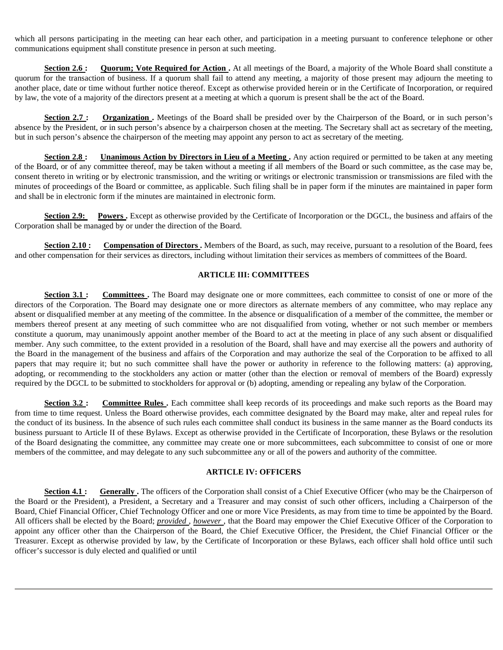which all persons participating in the meeting can hear each other, and participation in a meeting pursuant to conference telephone or other communications equipment shall constitute presence in person at such meeting.

**Section 2.6 :** Quorum; Vote Required for Action . At all meetings of the Board, a majority of the Whole Board shall constitute a quorum for the transaction of business. If a quorum shall fail to attend any meeting, a majority of those present may adjourn the meeting to another place, date or time without further notice thereof. Except as otherwise provided herein or in the Certificate of Incorporation, or required by law, the vote of a majority of the directors present at a meeting at which a quorum is present shall be the act of the Board.

**Section 2.7 :** Organization . Meetings of the Board shall be presided over by the Chairperson of the Board, or in such person's absence by the President, or in such person's absence by a chairperson chosen at the meeting. The Secretary shall act as secretary of the meeting, but in such person's absence the chairperson of the meeting may appoint any person to act as secretary of the meeting.

**Section 2.8 :** Unanimous Action by Directors in Lieu of a Meeting. Any action required or permitted to be taken at any meeting of the Board, or of any committee thereof, may be taken without a meeting if all members of the Board or such committee, as the case may be, consent thereto in writing or by electronic transmission, and the writing or writings or electronic transmission or transmissions are filed with the minutes of proceedings of the Board or committee, as applicable. Such filing shall be in paper form if the minutes are maintained in paper form and shall be in electronic form if the minutes are maintained in electronic form.

**Section 2.9:** Powers . Except as otherwise provided by the Certificate of Incorporation or the DGCL, the business and affairs of the Corporation shall be managed by or under the direction of the Board.

**Section 2.10 :** Compensation of Directors . Members of the Board, as such, may receive, pursuant to a resolution of the Board, fees and other compensation for their services as directors, including without limitation their services as members of committees of the Board.

### **ARTICLE III: COMMITTEES**

**Section 3.1 :** Committees. The Board may designate one or more committees, each committee to consist of one or more of the directors of the Corporation. The Board may designate one or more directors as alternate members of any committee, who may replace any absent or disqualified member at any meeting of the committee. In the absence or disqualification of a member of the committee, the member or members thereof present at any meeting of such committee who are not disqualified from voting, whether or not such member or members constitute a quorum, may unanimously appoint another member of the Board to act at the meeting in place of any such absent or disqualified member. Any such committee, to the extent provided in a resolution of the Board, shall have and may exercise all the powers and authority of the Board in the management of the business and affairs of the Corporation and may authorize the seal of the Corporation to be affixed to all papers that may require it; but no such committee shall have the power or authority in reference to the following matters: (a) approving, adopting, or recommending to the stockholders any action or matter (other than the election or removal of members of the Board) expressly required by the DGCL to be submitted to stockholders for approval or (b) adopting, amending or repealing any bylaw of the Corporation.

**Section 3.2 : Committee Rules.** Each committee shall keep records of its proceedings and make such reports as the Board may from time to time request. Unless the Board otherwise provides, each committee designated by the Board may make, alter and repeal rules for the conduct of its business. In the absence of such rules each committee shall conduct its business in the same manner as the Board conducts its business pursuant to Article II of these Bylaws. Except as otherwise provided in the Certificate of Incorporation, these Bylaws or the resolution of the Board designating the committee, any committee may create one or more subcommittees, each subcommittee to consist of one or more members of the committee, and may delegate to any such subcommittee any or all of the powers and authority of the committee.

#### **ARTICLE IV: OFFICERS**

**Section 4.1:** Generally . The officers of the Corporation shall consist of a Chief Executive Officer (who may be the Chairperson of the Board or the President), a President, a Secretary and a Treasurer and may consist of such other officers, including a Chairperson of the Board, Chief Financial Officer, Chief Technology Officer and one or more Vice Presidents, as may from time to time be appointed by the Board. All officers shall be elected by the Board; *provided* , *however* , that the Board may empower the Chief Executive Officer of the Corporation to appoint any officer other than the Chairperson of the Board, the Chief Executive Officer, the President, the Chief Financial Officer or the Treasurer. Except as otherwise provided by law, by the Certificate of Incorporation or these Bylaws, each officer shall hold office until such officer's successor is duly elected and qualified or until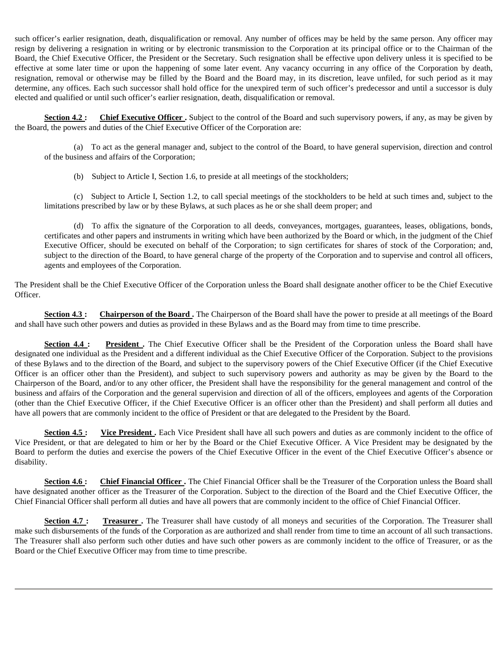such officer's earlier resignation, death, disqualification or removal. Any number of offices may be held by the same person. Any officer may resign by delivering a resignation in writing or by electronic transmission to the Corporation at its principal office or to the Chairman of the Board, the Chief Executive Officer, the President or the Secretary. Such resignation shall be effective upon delivery unless it is specified to be effective at some later time or upon the happening of some later event. Any vacancy occurring in any office of the Corporation by death, resignation, removal or otherwise may be filled by the Board and the Board may, in its discretion, leave unfiled, for such period as it may determine, any offices. Each such successor shall hold office for the unexpired term of such officer's predecessor and until a successor is duly elected and qualified or until such officer's earlier resignation, death, disqualification or removal.

**Section 4.2 :** Chief Executive Officer . Subject to the control of the Board and such supervisory powers, if any, as may be given by the Board, the powers and duties of the Chief Executive Officer of the Corporation are:

(a) To act as the general manager and, subject to the control of the Board, to have general supervision, direction and control of the business and affairs of the Corporation;

(b) Subject to Article I, Section 1.6, to preside at all meetings of the stockholders;

(c) Subject to Article I, Section 1.2, to call special meetings of the stockholders to be held at such times and, subject to the limitations prescribed by law or by these Bylaws, at such places as he or she shall deem proper; and

(d) To affix the signature of the Corporation to all deeds, conveyances, mortgages, guarantees, leases, obligations, bonds, certificates and other papers and instruments in writing which have been authorized by the Board or which, in the judgment of the Chief Executive Officer, should be executed on behalf of the Corporation; to sign certificates for shares of stock of the Corporation; and, subject to the direction of the Board, to have general charge of the property of the Corporation and to supervise and control all officers, agents and employees of the Corporation.

The President shall be the Chief Executive Officer of the Corporation unless the Board shall designate another officer to be the Chief Executive Officer.

**Section 4.3 :** Chairperson of the Board . The Chairperson of the Board shall have the power to preside at all meetings of the Board and shall have such other powers and duties as provided in these Bylaws and as the Board may from time to time prescribe.

**Section 4.4 : President.** The Chief Executive Officer shall be the President of the Corporation unless the Board shall have designated one individual as the President and a different individual as the Chief Executive Officer of the Corporation. Subject to the provisions of these Bylaws and to the direction of the Board, and subject to the supervisory powers of the Chief Executive Officer (if the Chief Executive Officer is an officer other than the President), and subject to such supervisory powers and authority as may be given by the Board to the Chairperson of the Board, and/or to any other officer, the President shall have the responsibility for the general management and control of the business and affairs of the Corporation and the general supervision and direction of all of the officers, employees and agents of the Corporation (other than the Chief Executive Officer, if the Chief Executive Officer is an officer other than the President) and shall perform all duties and have all powers that are commonly incident to the office of President or that are delegated to the President by the Board.

**Section 4.5 :** Vice President . Each Vice President shall have all such powers and duties as are commonly incident to the office of Vice President, or that are delegated to him or her by the Board or the Chief Executive Officer. A Vice President may be designated by the Board to perform the duties and exercise the powers of the Chief Executive Officer in the event of the Chief Executive Officer's absence or disability.

**Section 4.6:** Chief Financial Officer. The Chief Financial Officer shall be the Treasurer of the Corporation unless the Board shall have designated another officer as the Treasurer of the Corporation. Subject to the direction of the Board and the Chief Executive Officer, the Chief Financial Officer shall perform all duties and have all powers that are commonly incident to the office of Chief Financial Officer.

**Section 4.7 : Treasurer .** The Treasurer shall have custody of all moneys and securities of the Corporation. The Treasurer shall make such disbursements of the funds of the Corporation as are authorized and shall render from time to time an account of all such transactions. The Treasurer shall also perform such other duties and have such other powers as are commonly incident to the office of Treasurer, or as the Board or the Chief Executive Officer may from time to time prescribe.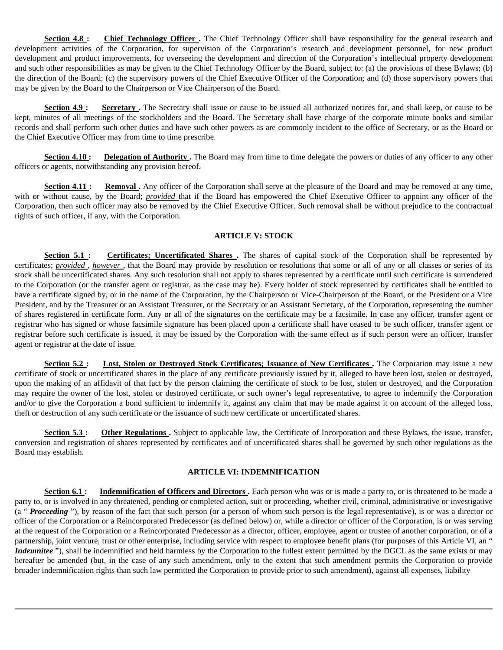**Section 4.8 :** Chief Technology Officer . The Chief Technology Officer shall have responsibility for the general research and development activities of the Corporation, for supervision of the Corporation's research and development personnel, for new product development and product improvements, for overseeing the development and direction of the Corporation's intellectual property development and such other responsibilities as may be given to the Chief Technology Officer by the Board, subject to: (a) the provisions of these Bylaws; (b) the direction of the Board; (c) the supervisory powers of the Chief Executive Officer of the Corporation; and (d) those supervisory powers that may be given by the Board to the Chairperson or Vice Chairperson of the Board.

**Section 4.9 :** Secretary . The Secretary shall issue or cause to be issued all authorized notices for, and shall keep, or cause to be kept, minutes of all meetings of the stockholders and the Board. The Secretary shall have charge of the corporate minute books and similar records and shall perform such other duties and have such other powers as are commonly incident to the office of Secretary, or as the Board or the Chief Executive Officer may from time to time prescribe.

**Section 4.10 :** Delegation of Authority. The Board may from time to time delegate the powers or duties of any officer to any other officers or agents, notwithstanding any provision hereof.

**Section 4.11 :** Removal . Any officer of the Corporation shall serve at the pleasure of the Board and may be removed at any time, with or without cause, by the Board; *provided* that if the Board has empowered the Chief Executive Officer to appoint any officer of the Corporation, then such officer may also be removed by the Chief Executive Officer. Such removal shall be without prejudice to the contractual rights of such officer, if any, with the Corporation.

## **ARTICLE V: STOCK**

**Section 5.1 :** Certificates; Uncertificated Shares . The shares of capital stock of the Corporation shall be represented by certificates; *provided* , *however* , that the Board may provide by resolution or resolutions that some or all of any or all classes or series of its stock shall be uncertificated shares. Any such resolution shall not apply to shares represented by a certificate until such certificate is surrendered to the Corporation (or the transfer agent or registrar, as the case may be). Every holder of stock represented by certificates shall be entitled to have a certificate signed by, or in the name of the Corporation, by the Chairperson or Vice-Chairperson of the Board, or the President or a Vice President, and by the Treasurer or an Assistant Treasurer, or the Secretary or an Assistant Secretary, of the Corporation, representing the number of shares registered in certificate form. Any or all of the signatures on the certificate may be a facsimile. In case any officer, transfer agent or registrar who has signed or whose facsimile signature has been placed upon a certificate shall have ceased to be such officer, transfer agent or registrar before such certificate is issued, it may be issued by the Corporation with the same effect as if such person were an officer, transfer agent or registrar at the date of issue.

**Section 5.2 :** Lost, Stolen or Destroyed Stock Certificates; Issuance of New Certificates . The Corporation may issue a new certificate of stock or uncertificated shares in the place of any certificate previously issued by it, alleged to have been lost, stolen or destroyed, upon the making of an affidavit of that fact by the person claiming the certificate of stock to be lost, stolen or destroyed, and the Corporation may require the owner of the lost, stolen or destroyed certificate, or such owner's legal representative, to agree to indemnify the Corporation and/or to give the Corporation a bond sufficient to indemnify it, against any claim that may be made against it on account of the alleged loss, theft or destruction of any such certificate or the issuance of such new certificate or uncertificated shares.

**Section 5.3 :** Other Regulations . Subject to applicable law, the Certificate of Incorporation and these Bylaws, the issue, transfer, conversion and registration of shares represented by certificates and of uncertificated shares shall be governed by such other regulations as the Board may establish.

# **ARTICLE VI: INDEMNIFICATION**

**Section 6.1 :** Indemnification of Officers and Directors . Each person who was or is made a party to, or is threatened to be made a party to, or is involved in any threatened, pending or completed action, suit or proceeding, whether civil, criminal, administrative or investigative (a "*Proceeding*"), by reason of the fact that such person (or a person of whom such person is the legal representative), is or was a director or officer of the Corporation or a Reincorporated Predecessor (as defined below) or, while a director or officer of the Corporation, is or was serving at the request of the Corporation or a Reincorporated Predecessor as a director, officer, employee, agent or trustee of another corporation, or of a partnership, joint venture, trust or other enterprise, including service with respect to employee benefit plans (for purposes of this Article VI, an " *Indemnitee* "), shall be indemnified and held harmless by the Corporation to the fullest extent permitted by the DGCL as the same exists or may hereafter be amended (but, in the case of any such amendment, only to the extent that such amendment permits the Corporation to provide broader indemnification rights than such law permitted the Corporation to provide prior to such amendment), against all expenses, liability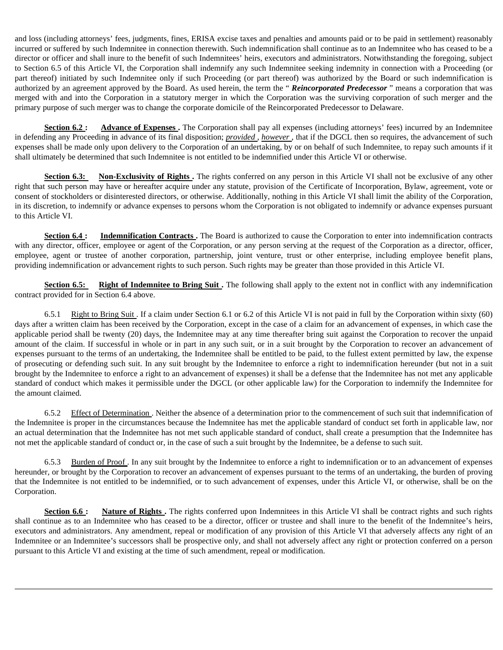and loss (including attorneys' fees, judgments, fines, ERISA excise taxes and penalties and amounts paid or to be paid in settlement) reasonably incurred or suffered by such Indemnitee in connection therewith. Such indemnification shall continue as to an Indemnitee who has ceased to be a director or officer and shall inure to the benefit of such Indemnitees' heirs, executors and administrators. Notwithstanding the foregoing, subject to Section 6.5 of this Article VI, the Corporation shall indemnify any such Indemnitee seeking indemnity in connection with a Proceeding (or part thereof) initiated by such Indemnitee only if such Proceeding (or part thereof) was authorized by the Board or such indemnification is authorized by an agreement approved by the Board. As used herein, the term the " *Reincorporated Predecessor* " means a corporation that was merged with and into the Corporation in a statutory merger in which the Corporation was the surviving corporation of such merger and the primary purpose of such merger was to change the corporate domicile of the Reincorporated Predecessor to Delaware.

**Section 6.2 :** Advance of Expenses. The Corporation shall pay all expenses (including attorneys' fees) incurred by an Indemnitee in defending any Proceeding in advance of its final disposition; *provided* , *however* , that if the DGCL then so requires, the advancement of such expenses shall be made only upon delivery to the Corporation of an undertaking, by or on behalf of such Indemnitee, to repay such amounts if it shall ultimately be determined that such Indemnitee is not entitled to be indemnified under this Article VI or otherwise.

**Section 6.3:** Non-Exclusivity of Rights. The rights conferred on any person in this Article VI shall not be exclusive of any other right that such person may have or hereafter acquire under any statute, provision of the Certificate of Incorporation, Bylaw, agreement, vote or consent of stockholders or disinterested directors, or otherwise. Additionally, nothing in this Article VI shall limit the ability of the Corporation, in its discretion, to indemnify or advance expenses to persons whom the Corporation is not obligated to indemnify or advance expenses pursuant to this Article VI.

**Section 6.4 :** Indemnification Contracts . The Board is authorized to cause the Corporation to enter into indemnification contracts with any director, officer, employee or agent of the Corporation, or any person serving at the request of the Corporation as a director, officer, employee, agent or trustee of another corporation, partnership, joint venture, trust or other enterprise, including employee benefit plans, providing indemnification or advancement rights to such person. Such rights may be greater than those provided in this Article VI.

**Section 6.5:** Right of Indemnitee to Bring Suit. The following shall apply to the extent not in conflict with any indemnification contract provided for in Section 6.4 above.

6.5.1 Right to Bring Suit . If a claim under Section 6.1 or 6.2 of this Article VI is not paid in full by the Corporation within sixty (60) days after a written claim has been received by the Corporation, except in the case of a claim for an advancement of expenses, in which case the applicable period shall be twenty (20) days, the Indemnitee may at any time thereafter bring suit against the Corporation to recover the unpaid amount of the claim. If successful in whole or in part in any such suit, or in a suit brought by the Corporation to recover an advancement of expenses pursuant to the terms of an undertaking, the Indemnitee shall be entitled to be paid, to the fullest extent permitted by law, the expense of prosecuting or defending such suit. In any suit brought by the Indemnitee to enforce a right to indemnification hereunder (but not in a suit brought by the Indemnitee to enforce a right to an advancement of expenses) it shall be a defense that the Indemnitee has not met any applicable standard of conduct which makes it permissible under the DGCL (or other applicable law) for the Corporation to indemnify the Indemnitee for the amount claimed.

6.5.2 Effect of Determination . Neither the absence of a determination prior to the commencement of such suit that indemnification of the Indemnitee is proper in the circumstances because the Indemnitee has met the applicable standard of conduct set forth in applicable law, nor an actual determination that the Indemnitee has not met such applicable standard of conduct, shall create a presumption that the Indemnitee has not met the applicable standard of conduct or, in the case of such a suit brought by the Indemnitee, be a defense to such suit.

6.5.3 Burden of Proof . In any suit brought by the Indemnitee to enforce a right to indemnification or to an advancement of expenses hereunder, or brought by the Corporation to recover an advancement of expenses pursuant to the terms of an undertaking, the burden of proving that the Indemnitee is not entitled to be indemnified, or to such advancement of expenses, under this Article VI, or otherwise, shall be on the Corporation.

**Section 6.6 :** Nature of Rights . The rights conferred upon Indemnitees in this Article VI shall be contract rights and such rights shall continue as to an Indemnitee who has ceased to be a director, officer or trustee and shall inure to the benefit of the Indemnitee's heirs, executors and administrators. Any amendment, repeal or modification of any provision of this Article VI that adversely affects any right of an Indemnitee or an Indemnitee's successors shall be prospective only, and shall not adversely affect any right or protection conferred on a person pursuant to this Article VI and existing at the time of such amendment, repeal or modification.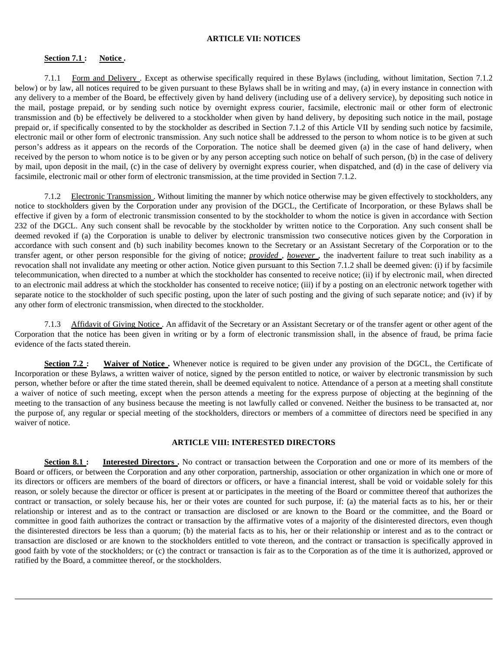#### **ARTICLE VII: NOTICES**

## Section 7.1 : Notice .

7.1.1 Form and Delivery . Except as otherwise specifically required in these Bylaws (including, without limitation, Section 7.1.2 below) or by law, all notices required to be given pursuant to these Bylaws shall be in writing and may, (a) in every instance in connection with any delivery to a member of the Board, be effectively given by hand delivery (including use of a delivery service), by depositing such notice in the mail, postage prepaid, or by sending such notice by overnight express courier, facsimile, electronic mail or other form of electronic transmission and (b) be effectively be delivered to a stockholder when given by hand delivery, by depositing such notice in the mail, postage prepaid or, if specifically consented to by the stockholder as described in Section 7.1.2 of this Article VII by sending such notice by facsimile, electronic mail or other form of electronic transmission. Any such notice shall be addressed to the person to whom notice is to be given at such person's address as it appears on the records of the Corporation. The notice shall be deemed given (a) in the case of hand delivery, when received by the person to whom notice is to be given or by any person accepting such notice on behalf of such person, (b) in the case of delivery by mail, upon deposit in the mail, (c) in the case of delivery by overnight express courier, when dispatched, and (d) in the case of delivery via facsimile, electronic mail or other form of electronic transmission, at the time provided in Section 7.1.2.

7.1.2 Electronic Transmission . Without limiting the manner by which notice otherwise may be given effectively to stockholders, any notice to stockholders given by the Corporation under any provision of the DGCL, the Certificate of Incorporation, or these Bylaws shall be effective if given by a form of electronic transmission consented to by the stockholder to whom the notice is given in accordance with Section 232 of the DGCL. Any such consent shall be revocable by the stockholder by written notice to the Corporation. Any such consent shall be deemed revoked if (a) the Corporation is unable to deliver by electronic transmission two consecutive notices given by the Corporation in accordance with such consent and (b) such inability becomes known to the Secretary or an Assistant Secretary of the Corporation or to the transfer agent, or other person responsible for the giving of notice; *provided* , *however* , the inadvertent failure to treat such inability as a revocation shall not invalidate any meeting or other action. Notice given pursuant to this Section 7.1.2 shall be deemed given: (i) if by facsimile telecommunication, when directed to a number at which the stockholder has consented to receive notice; (ii) if by electronic mail, when directed to an electronic mail address at which the stockholder has consented to receive notice; (iii) if by a posting on an electronic network together with separate notice to the stockholder of such specific posting, upon the later of such posting and the giving of such separate notice; and (iv) if by any other form of electronic transmission, when directed to the stockholder.

7.1.3 Affidavit of Giving Notice . An affidavit of the Secretary or an Assistant Secretary or of the transfer agent or other agent of the Corporation that the notice has been given in writing or by a form of electronic transmission shall, in the absence of fraud, be prima facie evidence of the facts stated therein.

**Section 7.2 :** Waiver of Notice. Whenever notice is required to be given under any provision of the DGCL, the Certificate of Incorporation or these Bylaws, a written waiver of notice, signed by the person entitled to notice, or waiver by electronic transmission by such person, whether before or after the time stated therein, shall be deemed equivalent to notice. Attendance of a person at a meeting shall constitute a waiver of notice of such meeting, except when the person attends a meeting for the express purpose of objecting at the beginning of the meeting to the transaction of any business because the meeting is not lawfully called or convened. Neither the business to be transacted at, nor the purpose of, any regular or special meeting of the stockholders, directors or members of a committee of directors need be specified in any waiver of notice.

#### **ARTICLE VIII: INTERESTED DIRECTORS**

**Section 8.1 : Interested Directors.** No contract or transaction between the Corporation and one or more of its members of the Board or officers, or between the Corporation and any other corporation, partnership, association or other organization in which one or more of its directors or officers are members of the board of directors or officers, or have a financial interest, shall be void or voidable solely for this reason, or solely because the director or officer is present at or participates in the meeting of the Board or committee thereof that authorizes the contract or transaction, or solely because his, her or their votes are counted for such purpose, if: (a) the material facts as to his, her or their relationship or interest and as to the contract or transaction are disclosed or are known to the Board or the committee, and the Board or committee in good faith authorizes the contract or transaction by the affirmative votes of a majority of the disinterested directors, even though the disinterested directors be less than a quorum; (b) the material facts as to his, her or their relationship or interest and as to the contract or transaction are disclosed or are known to the stockholders entitled to vote thereon, and the contract or transaction is specifically approved in good faith by vote of the stockholders; or (c) the contract or transaction is fair as to the Corporation as of the time it is authorized, approved or ratified by the Board, a committee thereof, or the stockholders.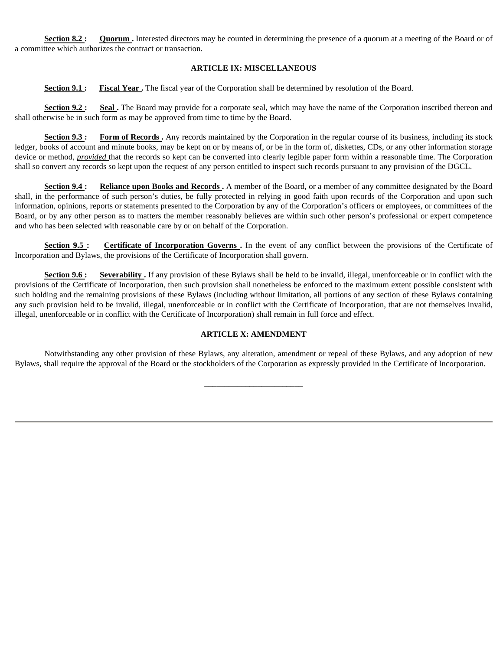**Section 8.2 : Quorum .** Interested directors may be counted in determining the presence of a quorum at a meeting of the Board or of a committee which authorizes the contract or transaction.

# **ARTICLE IX: MISCELLANEOUS**

**Section 9.1 : Fiscal Year.** The fiscal year of the Corporation shall be determined by resolution of the Board.

**Section 9.2 :** Seal. The Board may provide for a corporate seal, which may have the name of the Corporation inscribed thereon and shall otherwise be in such form as may be approved from time to time by the Board.

**Section 9.3 :** Form of Records . Any records maintained by the Corporation in the regular course of its business, including its stock ledger, books of account and minute books, may be kept on or by means of, or be in the form of, diskettes, CDs, or any other information storage device or method, *provided* that the records so kept can be converted into clearly legible paper form within a reasonable time. The Corporation shall so convert any records so kept upon the request of any person entitled to inspect such records pursuant to any provision of the DGCL.

**Section 9.4 : Reliance upon Books and Records .** A member of the Board, or a member of any committee designated by the Board shall, in the performance of such person's duties, be fully protected in relying in good faith upon records of the Corporation and upon such information, opinions, reports or statements presented to the Corporation by any of the Corporation's officers or employees, or committees of the Board, or by any other person as to matters the member reasonably believes are within such other person's professional or expert competence and who has been selected with reasonable care by or on behalf of the Corporation.

**Section 9.5 :** Certificate of Incorporation Governs. In the event of any conflict between the provisions of the Certificate of Incorporation and Bylaws, the provisions of the Certificate of Incorporation shall govern.

**Section 9.6 :** Severability. If any provision of these Bylaws shall be held to be invalid, illegal, unenforceable or in conflict with the provisions of the Certificate of Incorporation, then such provision shall nonetheless be enforced to the maximum extent possible consistent with such holding and the remaining provisions of these Bylaws (including without limitation, all portions of any section of these Bylaws containing any such provision held to be invalid, illegal, unenforceable or in conflict with the Certificate of Incorporation, that are not themselves invalid, illegal, unenforceable or in conflict with the Certificate of Incorporation) shall remain in full force and effect.

# **ARTICLE X: AMENDMENT**

Notwithstanding any other provision of these Bylaws, any alteration, amendment or repeal of these Bylaws, and any adoption of new Bylaws, shall require the approval of the Board or the stockholders of the Corporation as expressly provided in the Certificate of Incorporation.

\_\_\_\_\_\_\_\_\_\_\_\_\_\_\_\_\_\_\_\_\_\_\_\_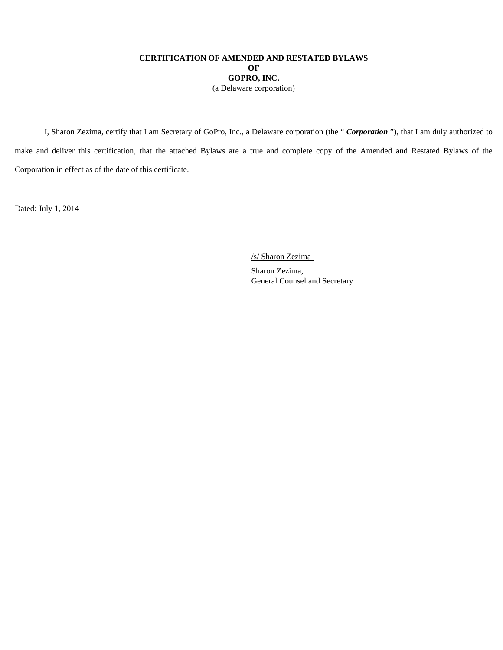# **CERTIFICATION OF AMENDED AND RESTATED BYLAWS OF GOPRO, INC.**  (a Delaware corporation)

I, Sharon Zezima, certify that I am Secretary of GoPro, Inc., a Delaware corporation (the " *Corporation* "), that I am duly authorized to make and deliver this certification, that the attached Bylaws are a true and complete copy of the Amended and Restated Bylaws of the Corporation in effect as of the date of this certificate.

Dated: July 1, 2014

/s/ Sharon Zezima

Sharon Zezima, General Counsel and Secretary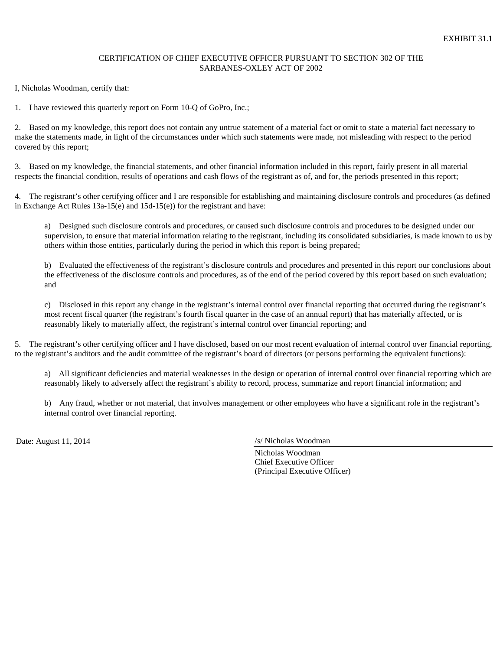# CERTIFICATION OF CHIEF EXECUTIVE OFFICER PURSUANT TO SECTION 302 OF THE SARBANES-OXLEY ACT OF 2002

I, Nicholas Woodman, certify that:

1. I have reviewed this quarterly report on Form 10-Q of GoPro, Inc.;

2. Based on my knowledge, this report does not contain any untrue statement of a material fact or omit to state a material fact necessary to make the statements made, in light of the circumstances under which such statements were made, not misleading with respect to the period covered by this report;

3. Based on my knowledge, the financial statements, and other financial information included in this report, fairly present in all material respects the financial condition, results of operations and cash flows of the registrant as of, and for, the periods presented in this report;

4. The registrant's other certifying officer and I are responsible for establishing and maintaining disclosure controls and procedures (as defined in Exchange Act Rules 13a-15(e) and 15d-15(e)) for the registrant and have:

a) Designed such disclosure controls and procedures, or caused such disclosure controls and procedures to be designed under our supervision, to ensure that material information relating to the registrant, including its consolidated subsidiaries, is made known to us by others within those entities, particularly during the period in which this report is being prepared;

b) Evaluated the effectiveness of the registrant's disclosure controls and procedures and presented in this report our conclusions about the effectiveness of the disclosure controls and procedures, as of the end of the period covered by this report based on such evaluation; and

c) Disclosed in this report any change in the registrant's internal control over financial reporting that occurred during the registrant's most recent fiscal quarter (the registrant's fourth fiscal quarter in the case of an annual report) that has materially affected, or is reasonably likely to materially affect, the registrant's internal control over financial reporting; and

5. The registrant's other certifying officer and I have disclosed, based on our most recent evaluation of internal control over financial reporting, to the registrant's auditors and the audit committee of the registrant's board of directors (or persons performing the equivalent functions):

a) All significant deficiencies and material weaknesses in the design or operation of internal control over financial reporting which are reasonably likely to adversely affect the registrant's ability to record, process, summarize and report financial information; and

b) Any fraud, whether or not material, that involves management or other employees who have a significant role in the registrant's internal control over financial reporting.

Date: August 11, 2014 /s/ Nicholas Woodman

Nicholas Woodman Chief Executive Officer (Principal Executive Officer)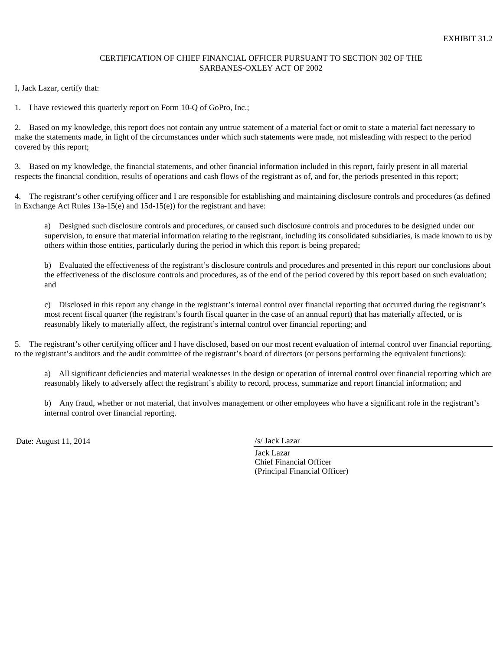## CERTIFICATION OF CHIEF FINANCIAL OFFICER PURSUANT TO SECTION 302 OF THE SARBANES-OXLEY ACT OF 2002

I, Jack Lazar, certify that:

1. I have reviewed this quarterly report on Form 10-Q of GoPro, Inc.;

2. Based on my knowledge, this report does not contain any untrue statement of a material fact or omit to state a material fact necessary to make the statements made, in light of the circumstances under which such statements were made, not misleading with respect to the period covered by this report;

3. Based on my knowledge, the financial statements, and other financial information included in this report, fairly present in all material respects the financial condition, results of operations and cash flows of the registrant as of, and for, the periods presented in this report;

4. The registrant's other certifying officer and I are responsible for establishing and maintaining disclosure controls and procedures (as defined in Exchange Act Rules 13a-15(e) and 15d-15(e)) for the registrant and have:

a) Designed such disclosure controls and procedures, or caused such disclosure controls and procedures to be designed under our supervision, to ensure that material information relating to the registrant, including its consolidated subsidiaries, is made known to us by others within those entities, particularly during the period in which this report is being prepared;

b) Evaluated the effectiveness of the registrant's disclosure controls and procedures and presented in this report our conclusions about the effectiveness of the disclosure controls and procedures, as of the end of the period covered by this report based on such evaluation; and

c) Disclosed in this report any change in the registrant's internal control over financial reporting that occurred during the registrant's most recent fiscal quarter (the registrant's fourth fiscal quarter in the case of an annual report) that has materially affected, or is reasonably likely to materially affect, the registrant's internal control over financial reporting; and

5. The registrant's other certifying officer and I have disclosed, based on our most recent evaluation of internal control over financial reporting, to the registrant's auditors and the audit committee of the registrant's board of directors (or persons performing the equivalent functions):

a) All significant deficiencies and material weaknesses in the design or operation of internal control over financial reporting which are reasonably likely to adversely affect the registrant's ability to record, process, summarize and report financial information; and

b) Any fraud, whether or not material, that involves management or other employees who have a significant role in the registrant's internal control over financial reporting.

Date: August 11, 2014 */s/ Jack Lazar* 

Jack Lazar Chief Financial Officer (Principal Financial Officer)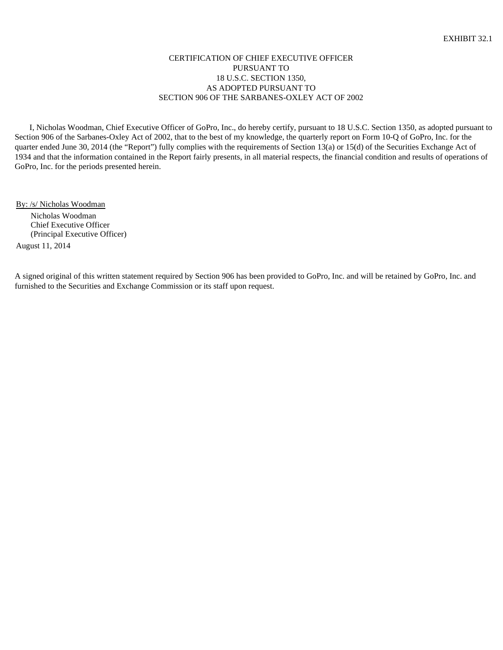## CERTIFICATION OF CHIEF EXECUTIVE OFFICER PURSUANT TO 18 U.S.C. SECTION 1350, AS ADOPTED PURSUANT TO SECTION 906 OF THE SARBANES-OXLEY ACT OF 2002

I, Nicholas Woodman, Chief Executive Officer of GoPro, Inc., do hereby certify, pursuant to 18 U.S.C. Section 1350, as adopted pursuant to Section 906 of the Sarbanes-Oxley Act of 2002, that to the best of my knowledge, the quarterly report on Form 10-Q of GoPro, Inc. for the quarter ended June 30, 2014 (the "Report") fully complies with the requirements of Section 13(a) or 15(d) of the Securities Exchange Act of 1934 and that the information contained in the Report fairly presents, in all material respects, the financial condition and results of operations of GoPro, Inc. for the periods presented herein.

By: /s/ Nicholas Woodman

Nicholas Woodman Chief Executive Officer (Principal Executive Officer)

August 11, 2014

A signed original of this written statement required by Section 906 has been provided to GoPro, Inc. and will be retained by GoPro, Inc. and furnished to the Securities and Exchange Commission or its staff upon request.